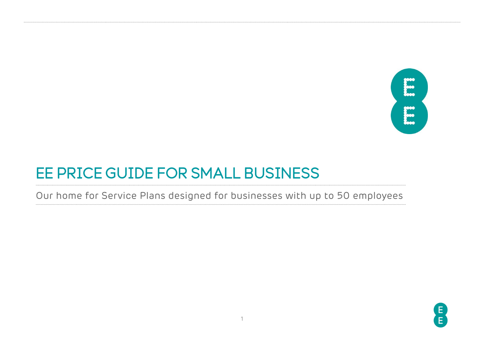

# EE PRICE GUIDE FOR SMALL BUSINESS

Our home for Service Plans designed for businesses with up to 50 employees

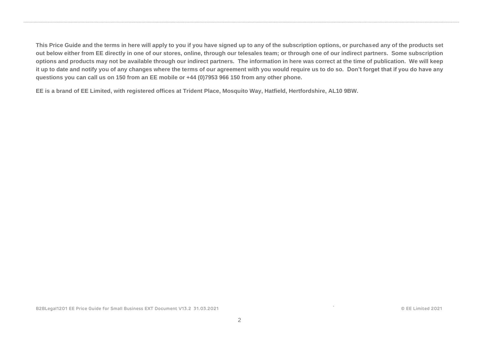**This Price Guide and the terms in here will apply to you if you have signed up to any of the subscription options, or purchased any of the products set out below either from EE directly in one of our stores, online, through our telesales team; or through one of our indirect partners. Some subscription options and products may not be available through our indirect partners. The information in here was correct at the time of publication. We will keep it up to date and notify you of any changes where the terms of our agreement with you would require us to do so. Don't forget that if you do have any questions you can call us on 150 from an EE mobile or +44 (0)7953 966 150 from any other phone.**

**EE is a brand of EE Limited, with registered offices at Trident Place, Mosquito Way, Hatfield, Hertfordshire, AL10 9BW.**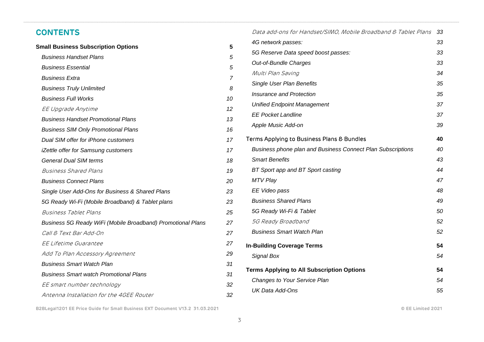### **CONTENTS**

| <b>Small Business Subscription Options</b>                  | 5  |
|-------------------------------------------------------------|----|
| <b>Business Handset Plans</b>                               | 5  |
| <b>Business Essential</b>                                   | 5  |
| <b>Business Extra</b>                                       | 7  |
| <b>Business Truly Unlimited</b>                             | 8  |
| <b>Business Full Works</b>                                  | 10 |
| EE Upgrade Anytime                                          | 12 |
| <b>Business Handset Promotional Plans</b>                   | 13 |
| <b>Business SIM Only Promotional Plans</b>                  | 16 |
| Dual SIM offer for iPhone customers                         | 17 |
| iZettle offer for Samsung customers                         | 17 |
| <b>General Dual SIM terms</b>                               | 18 |
| <b>Business Shared Plans</b>                                | 19 |
| <b>Business Connect Plans</b>                               | 20 |
| Single User Add-Ons for Business & Shared Plans             | 23 |
| 5G Ready Wi-Fi (Mobile Broadband) & Tablet plans            | 23 |
| Business Tablet Plans                                       | 25 |
| Business 5G Ready WiFi (Mobile Broadband) Promotional Plans | 27 |
| Call & Text Bar Add-On                                      | 27 |
| EE Lifetime Guarantee                                       | 27 |
| Add To Plan Accessory Agreement                             | 29 |
| <b>Business Smart Watch Plan</b>                            | 31 |
| <b>Business Smart watch Promotional Plans</b>               | 31 |
| EE smart number technology                                  | 32 |
| Antenna Installation for the 4GEE Router                    | 32 |

| Data add-ons for Handset/SIMO, Mobile Broadband & Tablet Plans     | 33 |
|--------------------------------------------------------------------|----|
| 4G network passes:                                                 | 33 |
| 5G Reserve Data speed boost passes:                                | 33 |
| Out-of-Bundle Charges                                              | 33 |
| Multi Plan Saving                                                  | 34 |
| Single User Plan Benefits                                          | 35 |
| Insurance and Protection                                           | 35 |
| <b>Unified Endpoint Management</b>                                 | 37 |
| <b>EE Pocket Landline</b>                                          | 37 |
| Apple Music Add-on                                                 | 39 |
| Terms Applying to Business Plans & Bundles                         | 40 |
| <b>Business phone plan and Business Connect Plan Subscriptions</b> | 40 |
| <b>Smart Benefits</b>                                              | 43 |
| BT Sport app and BT Sport casting                                  | 44 |
| <b>MTV Play</b>                                                    | 47 |
| EE Video pass                                                      | 48 |
| <b>Business Shared Plans</b>                                       | 49 |
| 5G Ready Wi-Fi & Tablet                                            | 50 |
| 5G Ready Broadband                                                 | 52 |
| <b>Business Smart Watch Plan</b>                                   | 52 |
| <b>In-Building Coverage Terms</b>                                  | 54 |
| Signal Box                                                         | 54 |
| <b>Terms Applying to All Subscription Options</b>                  | 54 |
| <b>Changes to Your Service Plan</b>                                | 54 |
| <b>UK Data Add-Ons</b>                                             | 55 |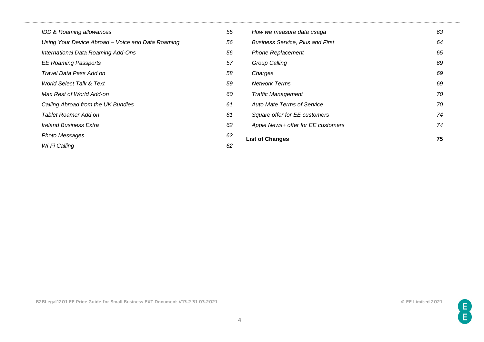| IDD & Roaming allowances                          | 55 | How we measure data usaga               | 63 |
|---------------------------------------------------|----|-----------------------------------------|----|
| Using Your Device Abroad - Voice and Data Roaming | 56 | <b>Business Service, Plus and First</b> | 64 |
| International Data Roaming Add-Ons                | 56 | <b>Phone Replacement</b>                | 65 |
| <b>EE Roaming Passports</b>                       | 57 | <b>Group Calling</b>                    | 69 |
| Travel Data Pass Add on                           | 58 | Charges                                 | 69 |
| <b>World Select Talk &amp; Text</b>               | 59 | <b>Network Terms</b>                    | 69 |
| Max Rest of World Add-on                          | 60 | <b>Traffic Management</b>               | 70 |
| Calling Abroad from the UK Bundles                | 61 | <b>Auto Mate Terms of Service</b>       | 70 |
| Tablet Roamer Add on                              | 61 | Square offer for EE customers           | 74 |
| <b>Ireland Business Extra</b>                     | 62 | Apple News+ offer for EE customers      | 74 |
| Photo Messages                                    | 62 | <b>List of Changes</b>                  | 75 |
| Wi-Fi Calling                                     | 62 |                                         |    |

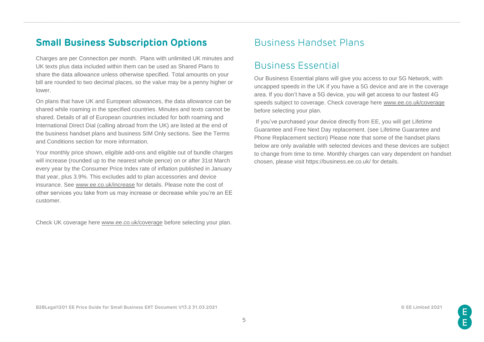# <span id="page-4-0"></span>**Small Business Subscription Options**

Charges are per Connection per month. Plans with unlimited UK minutes and UK texts plus data included within them can be used as Shared Plans to share the data allowance unless otherwise specified. Total amounts on your bill are rounded to two decimal places, so the value may be a penny higher or lower.

On plans that have UK and European allowances, the data allowance can be shared while roaming in the specified countries. Minutes and texts cannot be shared. Details of all of European countries included for both roaming and International Direct Dial (calling abroad from the UK) are listed at the end of the business handset plans and business SIM Only sections. See the Terms and Conditions section for more information.

Your monthly price shown, eligible add-ons and eligible out of bundle charges will increase (rounded up to the nearest whole pence) on or after 31st March every year by the Consumer Price Index rate of inflation published in January that year, plus 3.9%. This excludes add to plan accessories and device insurance. See [www.ee.co.uk/increase](http://www.ee.co.uk/increase) for details. Please note the cost of other services you take from us may increase or decrease while you're an EE customer.

Check UK coverage here [www.ee.co.uk/coverage](http://www.ee.co.uk/coverage) before selecting your plan.

# <span id="page-4-1"></span>Business Handset Plans

# <span id="page-4-2"></span>Business Essential

Our Business Essential plans will give you access to our 5G Network, with uncapped speeds in the UK if you have a 5G device and are in the coverage area. If you don't have a 5G device, you will get access to our fastest 4G speeds subject to coverage. Check coverage here [www.ee.co.uk/coverage](http://www.ee.co.uk/coverage) before selecting your plan.

If you've purchased your device directly from EE, you will get Lifetime Guarantee and Free Next Day replacement. (see Lifetime Guarantee and Phone Replacement section) Please note that some of the handset plans below are only available with selected devices and these devices are subject to change from time to time. Monthly charges can vary dependent on handset chosen, please visit https://business.ee.co.uk/ for details.

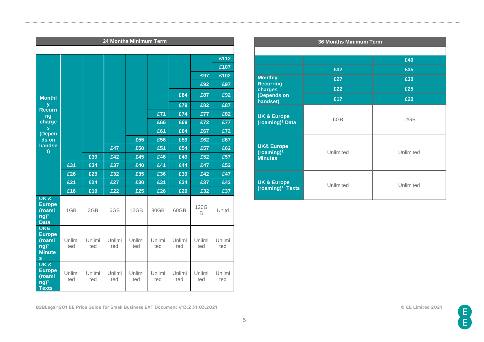|                                                                                           |               |               | 24 Months Minimum Term |               |               |               |               |               |
|-------------------------------------------------------------------------------------------|---------------|---------------|------------------------|---------------|---------------|---------------|---------------|---------------|
|                                                                                           |               |               |                        |               |               |               |               |               |
|                                                                                           |               |               |                        |               |               |               |               | £112          |
|                                                                                           |               |               |                        |               |               |               |               | £107          |
|                                                                                           |               |               |                        |               |               |               | £97           | £102          |
|                                                                                           |               |               |                        |               |               |               | £92           | £97           |
| <b>Monthl</b>                                                                             |               |               |                        |               |               | £84           | £87           | £92           |
| У<br><b>Recurri</b>                                                                       |               |               |                        |               |               | £79           | £82           | £87           |
| ng                                                                                        |               |               |                        |               | £71           | £74           | £77           | £82           |
| charge                                                                                    |               |               |                        |               | £66           | £69           | £72           | £77           |
| s.<br>(Depen                                                                              |               |               |                        |               | £61           | £64           | £67           | £72           |
| ds on                                                                                     |               |               |                        | £55           | £56           | £59           | £62           | £67           |
| handse<br>t)                                                                              |               |               | £47                    | £50           | £51           | £54           | £57           | £62           |
|                                                                                           |               | £39           | £42                    | £45           | £46           | £49           | £52           | £57           |
|                                                                                           | £31           | £34           | £37                    | £40           | £41           | £44           | £47           | £52           |
|                                                                                           | £26           | £29           | £32                    | £35           | £36           | £39           | £42           | £47           |
|                                                                                           | £21           | £24           | £27                    | £30           | £31           | £34           | £37           | £42           |
|                                                                                           | £16           | £19           | £22                    | £25           | £26           | £29           | £32           | £37           |
| <b>UK &amp;</b><br><b>Europe</b><br>(roami<br>$\overline{ng}$ <sup>1</sup><br><b>Data</b> | 1GB           | 3GB           | 6GB                    | 12GB          | 30GB          | 60GB          | 120G<br>B     | Unltd         |
| UK&<br><b>Europe</b><br>(roami<br>$ng)$ <sup>1</sup><br><b>Minute</b><br>S                | Unlimi<br>ted | Unlimi<br>ted | Unlimi<br>ted          | Unlimi<br>ted | Unlimi<br>ted | Unlimi<br>ted | Unlimi<br>ted | Unlimi<br>ted |
| <b>UK&amp;</b><br><b>Europe</b><br>(roami<br>$ng)$ <sup>1</sup><br><b>Texts</b>           | Unlimi<br>ted | Unlimi<br>ted | Unlimi<br>ted          | Unlimi<br>ted | Unlimi<br>ted | Unlimi<br>ted | Unlimi<br>ted | Unlimi<br>ted |

| <b>36 Months Minimum Term</b>                            |           |           |  |  |
|----------------------------------------------------------|-----------|-----------|--|--|
|                                                          |           |           |  |  |
|                                                          |           | £40       |  |  |
|                                                          | £32       | £35       |  |  |
| <b>Monthly</b><br><b>Recurring</b>                       | £27       | £30       |  |  |
| charges                                                  | £22       | £25       |  |  |
| (Depends on<br>handset)                                  | £17       | £20       |  |  |
| <b>UK &amp; Europe</b><br>(roaming) <sup>1</sup> Data    | 6GB       | 12GB      |  |  |
| <b>UK&amp; Europe</b><br>$(roaming)^1$<br><b>Minutes</b> | Unlimited | Unlimited |  |  |
| <b>UK &amp; Europe</b><br>(roaming) <sup>1</sup> Texts   | Unlimited | Unlimited |  |  |

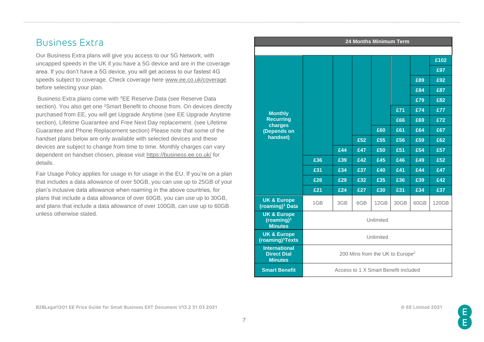# <span id="page-6-0"></span>Business Extra

Our Business Extra plans will give you access to our 5G Network, with uncapped speeds in the UK if you have a 5G device and are in the coverage area. If you don't have a 5G device, you will get access to our fastest 4G speeds subject to coverage. Check coverage here [www.ee.co.uk/coverage](http://www.ee.co.uk/coverage) before selecting your plan.

Business Extra plans come with <sup>4</sup>EE Reserve Data (see Reserve Data section). You also get one <sup>2</sup>Smart Benefit to choose from. On devices directly purchased from EE, you will get Upgrade Anytime (see EE Upgrade Anytime section), Lifetime Guarantee and Free Next Day replacement. (see Lifetime Guarantee and Phone Replacement section) Please note that some of the handset plans below are only available with selected devices and these devices are subject to change from time to time. Monthly charges can vary dependent on handset chosen, please visit<https://business.ee.co.uk/> for details.

Fair Usage Policy applies for usage in for usage in the EU. If you're on a plan that includes a data allowance of over 50GB, you can use up to 25GB of your plan's inclusive data allowance when roaming in the above countries, for plans that include a data allowance of over 60GB, you can use up to 30GB, and plans that include a data allowance of over 100GB, can use up to 60GB unless otherwise stated.

| 24 Months Minimum Term                                             |                                             |                                      |     |      |      |      |       |
|--------------------------------------------------------------------|---------------------------------------------|--------------------------------------|-----|------|------|------|-------|
|                                                                    |                                             |                                      |     |      |      |      |       |
|                                                                    |                                             |                                      |     |      |      |      | £102  |
|                                                                    |                                             |                                      |     |      |      |      | £97   |
|                                                                    |                                             |                                      |     |      |      | £89  | £92   |
|                                                                    |                                             |                                      |     |      |      | £84  | £87   |
|                                                                    |                                             |                                      |     |      |      | £79  | £82   |
| <b>Monthly</b>                                                     |                                             |                                      |     |      | £71  | £74  | £77   |
| <b>Recurring</b><br>charges                                        |                                             |                                      |     |      | £66  | £69  | £72   |
| (Depends on                                                        |                                             |                                      |     | £60  | £61  | £64  | £67   |
| handset)                                                           |                                             |                                      | £52 | £55  | £56  | £59  | £62   |
|                                                                    |                                             | £44                                  | £47 | £50  | £51  | £54  | £57   |
|                                                                    | £36                                         | £39                                  | £42 | £45  | £46  | £49  | £52   |
|                                                                    | £31                                         | £34                                  | £37 | £40  | £41  | £44  | £47   |
|                                                                    | £26                                         | £29                                  | £32 | £35  | £36  | £39  | £42   |
|                                                                    | £21                                         | £24                                  | £27 | £30  | £31  | £34  | £37   |
| <b>UK &amp; Europe</b><br>(roaming) <sup>1</sup> Data              | 1GB                                         | 3GB                                  | 6GB | 12GB | 30GB | 60GB | 120GB |
| <b>UK &amp; Europe</b><br>(roaming) <sup>1</sup><br><b>Minutes</b> | Unlimited                                   |                                      |     |      |      |      |       |
| <b>UK &amp; Europe</b><br>(roaming) <sup>1</sup> Texts             | Unlimited                                   |                                      |     |      |      |      |       |
| <b>International</b><br><b>Direct Dial</b><br><b>Minutes</b>       | 200 Mins from the UK to Europe <sup>2</sup> |                                      |     |      |      |      |       |
| <b>Smart Benefit</b>                                               |                                             | Access to 1 X Smart Benefit included |     |      |      |      |       |

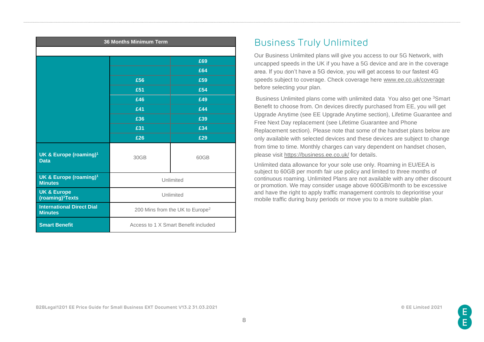| <b>36 Months Minimum Term</b>                          |                                             |                                      |  |  |  |
|--------------------------------------------------------|---------------------------------------------|--------------------------------------|--|--|--|
|                                                        |                                             |                                      |  |  |  |
|                                                        |                                             | £69                                  |  |  |  |
|                                                        |                                             | £64                                  |  |  |  |
|                                                        | £56                                         | £59                                  |  |  |  |
|                                                        | £51<br>£54                                  |                                      |  |  |  |
|                                                        | £46                                         | £49                                  |  |  |  |
|                                                        | £41                                         | £44                                  |  |  |  |
|                                                        | £36<br>£39                                  |                                      |  |  |  |
|                                                        | £31                                         | £34                                  |  |  |  |
|                                                        | £26                                         | £29                                  |  |  |  |
| UK & Europe (roaming) <sup>1</sup><br><b>Data</b>      | 30GB                                        | 60GB                                 |  |  |  |
| UK & Europe (roaming) <sup>1</sup><br><b>Minutes</b>   | Unlimited                                   |                                      |  |  |  |
| <b>UK &amp; Europe</b><br>(roaming) <sup>1</sup> Texts | Unlimited                                   |                                      |  |  |  |
| <b>International Direct Dial</b><br><b>Minutes</b>     | 200 Mins from the UK to Europe <sup>2</sup> |                                      |  |  |  |
| <b>Smart Benefit</b>                                   |                                             | Access to 1 X Smart Benefit included |  |  |  |

# <span id="page-7-0"></span>Business Truly Unlimited

Our Business Unlimited plans will give you access to our 5G Network, with uncapped speeds in the UK if you have a 5G device and are in the coverage area. If you don't have a 5G device, you will get access to our fastest 4G speeds subject to coverage. Check coverage here [www.ee.co.uk/coverage](http://www.ee.co.uk/coverage) before selecting your plan.

Business Unlimited plans come with unlimited data You also get one <sup>3</sup>Smart Benefit to choose from. On devices directly purchased from EE, you will get Upgrade Anytime (see EE Upgrade Anytime section), Lifetime Guarantee and Free Next Day replacement (see Lifetime Guarantee and Phone Replacement section). Please note that some of the handset plans below are only available with selected devices and these devices are subject to change from time to time. Monthly charges can vary dependent on handset chosen, please visit<https://business.ee.co.uk/> for details.

Unlimited data allowance for your sole use only. Roaming in EU/EEA is subject to 60GB per month fair use policy and limited to three months of continuous roaming. Unlimited Plans are not available with any other discount or promotion. We may consider usage above 600GB/month to be excessive and have the right to apply traffic management controls to deprioritise your mobile traffic during busy periods or move you to a more suitable plan.

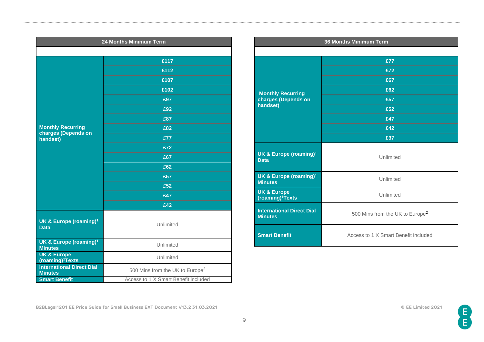| 24 Months Minimum Term                                         |                                             |  |  |
|----------------------------------------------------------------|---------------------------------------------|--|--|
|                                                                |                                             |  |  |
|                                                                | £117                                        |  |  |
|                                                                | £112                                        |  |  |
|                                                                | £107                                        |  |  |
|                                                                | £102                                        |  |  |
|                                                                | £97                                         |  |  |
|                                                                | £92                                         |  |  |
|                                                                | £87                                         |  |  |
| <b>Monthly Recurring</b><br>charges (Depends on                | £82                                         |  |  |
| handset)                                                       | £77                                         |  |  |
|                                                                | £72                                         |  |  |
|                                                                | £67                                         |  |  |
|                                                                | £62                                         |  |  |
|                                                                | £57                                         |  |  |
|                                                                | £52                                         |  |  |
|                                                                | £47                                         |  |  |
|                                                                | £42                                         |  |  |
| UK & Europe (roaming) <sup>1</sup><br><b>Data</b>              | Unlimited                                   |  |  |
| <b>UK &amp; Europe (roaming)<sup>1</sup></b><br><b>Minutes</b> | Unlimited                                   |  |  |
| <b>UK &amp; Europe</b><br>(roaming) <sup>1</sup> Texts         | Unlimited                                   |  |  |
| <b>International Direct Dial</b><br><b>Minutes</b>             | 500 Mins from the UK to Europe <sup>2</sup> |  |  |
| <b>Smart Benefit</b>                                           | Access to 1 X Smart Benefit included        |  |  |

|                                                        | <b>36 Months Minimum Term</b>               |  |  |  |
|--------------------------------------------------------|---------------------------------------------|--|--|--|
|                                                        |                                             |  |  |  |
|                                                        | £77                                         |  |  |  |
|                                                        | £72                                         |  |  |  |
|                                                        | £67                                         |  |  |  |
| <b>Monthly Recurring</b>                               | £62                                         |  |  |  |
| charges (Depends on                                    | £57                                         |  |  |  |
| handset)                                               | £52                                         |  |  |  |
|                                                        | £47                                         |  |  |  |
|                                                        | £42                                         |  |  |  |
|                                                        | £37                                         |  |  |  |
| UK & Europe (roaming) <sup>1</sup><br><b>Data</b>      | Unlimited                                   |  |  |  |
| UK & Europe (roaming) <sup>1</sup><br><b>Minutes</b>   | Unlimited                                   |  |  |  |
| <b>UK &amp; Europe</b><br>(roaming) <sup>1</sup> Texts | Unlimited                                   |  |  |  |
| <b>International Direct Dial</b><br><b>Minutes</b>     | 500 Mins from the UK to Europe <sup>2</sup> |  |  |  |
| <b>Smart Benefit</b>                                   | Access to 1 X Smart Benefit included        |  |  |  |

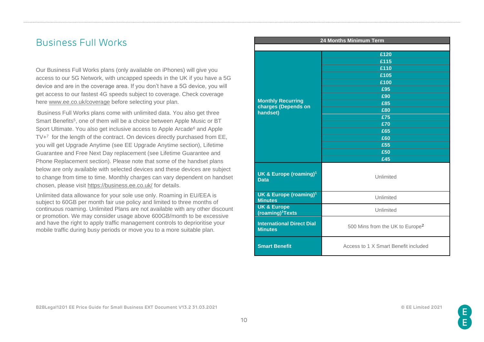### <span id="page-9-0"></span>Business Full Works

Our Business Full Works plans (only available on iPhones) will give you access to our 5G Network, with uncapped speeds in the UK if you have a 5G device and are in the coverage area. If you don't have a 5G device, you will get access to our fastest 4G speeds subject to coverage. Check coverage here [www.ee.co.uk/coverage](http://www.ee.co.uk/coverage) before selecting your plan.

Business Full Works plans come with unlimited data. You also get three Smart Benefits<sup>5</sup>, one of them will be a choice between Apple Music or BT Sport Ultimate. You also get inclusive access to Apple Arcade<sup>6</sup> and Apple TV+<sup>7</sup> for the length of the contract. On devices directly purchased from EE, you will get Upgrade Anytime (see EE Upgrade Anytime section), Lifetime Guarantee and Free Next Day replacement (see Lifetime Guarantee and Phone Replacement section). Please note that some of the handset plans below are only available with selected devices and these devices are subject to change from time to time. Monthly charges can vary dependent on handset chosen, please visit<https://business.ee.co.uk/> for details.

Unlimited data allowance for your sole use only. Roaming in EU/EEA is subject to 60GB per month fair use policy and limited to three months of continuous roaming. Unlimited Plans are not available with any other discount or promotion. We may consider usage above 600GB/month to be excessive and have the right to apply traffic management controls to deprioritise your mobile traffic during busy periods or move you to a more suitable plan.

|                                                                | 24 Months Minimum Term                      |  |  |
|----------------------------------------------------------------|---------------------------------------------|--|--|
|                                                                |                                             |  |  |
|                                                                | £120                                        |  |  |
|                                                                | £115                                        |  |  |
|                                                                | £110                                        |  |  |
|                                                                | £105                                        |  |  |
|                                                                | £100                                        |  |  |
|                                                                | £95                                         |  |  |
| <b>Monthly Recurring</b>                                       | £90                                         |  |  |
| charges (Depends on                                            | £85                                         |  |  |
| handset)                                                       | £80                                         |  |  |
|                                                                | £75                                         |  |  |
|                                                                | £70                                         |  |  |
|                                                                | £65                                         |  |  |
|                                                                | £60                                         |  |  |
|                                                                | £55                                         |  |  |
|                                                                | £50                                         |  |  |
|                                                                | £45                                         |  |  |
| UK & Europe (roaming) <sup>1</sup><br><b>Data</b>              | Unlimited                                   |  |  |
| <b>UK &amp; Europe (roaming)<sup>1</sup></b><br><b>Minutes</b> | Unlimited                                   |  |  |
| <b>UK &amp; Europe</b><br>(roaming) <sup>1</sup> Texts         | Unlimited                                   |  |  |
| <b>International Direct Dial</b><br><b>Minutes</b>             | 500 Mins from the UK to Europe <sup>2</sup> |  |  |
| <b>Smart Benefit</b>                                           | Access to 1 X Smart Benefit included        |  |  |

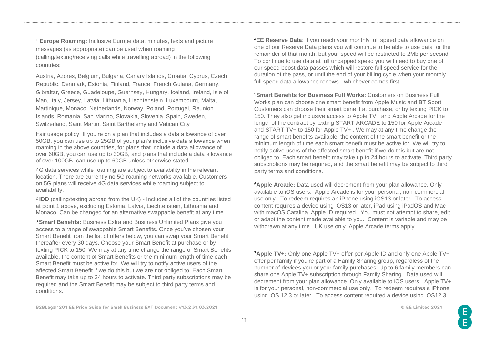<sup>1</sup> **Europe Roaming:** Inclusive Europe data, minutes, texts and picture messages (as appropriate) can be used when roaming (calling/texting/receiving calls while travelling abroad) in the following countries:

Austria, Azores, Belgium, Bulgaria, Canary Islands, Croatia, Cyprus, Czech Republic, Denmark, Estonia, Finland, France, French Guiana, Germany, Gibraltar, Greece, Guadeloupe, Guernsey, Hungary, Iceland, Ireland, Isle of Man, Italy, Jersey, Latvia, Lithuania, Liechtenstein, Luxembourg, Malta, Martinique, Monaco, Netherlands, Norway, Poland, Portugal, Reunion Islands, Romania, San Marino, Slovakia, Slovenia, Spain, Sweden, Switzerland, Saint Martin, Saint Barthelemy and Vatican City

Fair usage policy: If you're on a plan that includes a data allowance of over 50GB, you can use up to 25GB of your plan's inclusive data allowance when roaming in the above countries, for plans that include a data allowance of over 60GB, you can use up to 30GB, and plans that include a data allowance of over 100GB, can use up to 60GB unless otherwise stated.

4G data services while roaming are subject to availability in the relevant location. There are currently no 5G roaming networks available. Customers on 5G plans will receive 4G data services while roaming subject to availability.

2 **IDD** (calling/texting abroad from the UK) **-** Includes all of the countries listed at point 1 above, excluding Estonia, Latvia, Liechtenstein, Lithuania and Monaco. Can be changed for an alternative swappable benefit at any time.

<sup>3</sup>**Smart Benefits:** Business Extra and Business Unlimited Plans give you access to a range of swappable Smart Benefits. Once you've chosen your Smart Benefit from the list of offers below, you can swap your Smart Benefit thereafter every 30 days. Choose your Smart Benefit at purchase or by texting PICK to 150. We may at any time change the range of Smart Benefits available, the content of Smart Benefits or the minimum length of time each Smart Benefit must be active for. We will try to notify active users of the affected Smart Benefit if we do this but we are not obliged to. Each Smart Benefit may take up to 24 hours to activate. Third party subscriptions may be required and the Smart Benefit may be subject to third party terms and conditions.

**B2BLegal1201 EE Price Guide for Small Business EXT Document V13.2 31.03.2021 © EE Limited 2021**

<sup>4</sup>**EE Reserve Data**: If you reach your monthly full speed data allowance on one of our Reserve Data plans you will continue to be able to use data for the remainder of that month, but your speed will be restricted to 2Mb per second. To continue to use data at full uncapped speed you will need to buy one of our speed boost data passes which will restore full speed service for the duration of the pass, or until the end of your billing cycle when your monthly full speed data allowance renews - whichever comes first.

<sup>5</sup>**Smart Benefits for Business Full Works:** Customers on Business Full Works plan can choose one smart benefit from Apple Music and BT Sport. Customers can choose their smart benefit at purchase, or by texting PICK to 150. They also get inclusive access to Apple TV+ and Apple Arcade for the length of the contract by texting START ARCADE to 150 for Apple Arcade and START TV+ to 150 for Apple TV+ . We may at any time change the range of smart benefits available, the content of the smart benefit or the minimum length of time each smart benefit must be active for. We will try to notify active users of the affected smart benefit if we do this but are not obliged to. Each smart benefit may take up to 24 hours to activate. Third party subscriptions may be required, and the smart benefit may be subject to third party terms and conditions.

<sup>6</sup>**Apple Arcade:** Data used will decrement from your plan allowance. Only available to iOS users. Apple Arcade is for your personal, non-commercial use only. To redeem requires an iPhone using iOS13 or later. To access content requires a device using iOS13 or later, iPad using iPadOS and Mac with macOS Catalina. Apple ID required. You must not attempt to share, edit or adapt the content made available to you. Content is variable and may be withdrawn at any time. UK use only. Apple Arcade terms apply.

<sup>7</sup>**Apple TV+:** Only one Apple TV+ offer per Apple ID and only one Apple TV+ offer per family if you're part of a Family Sharing group, regardless of the number of devices you or your family purchases. Up to 6 family members can share one Apple TV+ subscription through Family Sharing. Data used will decrement from your plan allowance. Only available to iOS users. Apple TV+ is for your personal, non-commercial use only. To redeem requires a iPhone using iOS 12.3 or later. To access content required a device using iOS12.3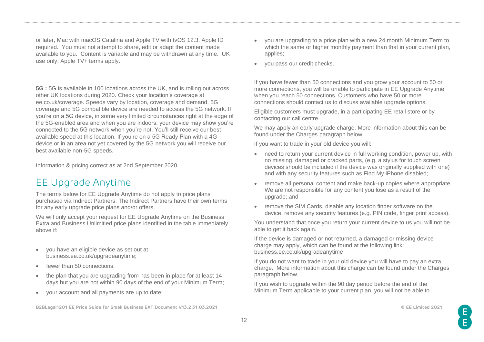or later, Mac with macOS Catalina and Apple TV with tvOS 12.3. Apple ID required. You must not attempt to share, edit or adapt the content made available to you. Content is variable and may be withdrawn at any time. UK use only. Apple TV+ terms apply.

**5G :** 5G is available in 100 locations across the UK, and is rolling out across other UK locations during 2020. Check your location's coverage at ee.co.uk/coverage. Speeds vary by location, coverage and demand. 5G coverage and 5G compatible device are needed to access the 5G network. If you're on a 5G device, in some very limited circumstances right at the edge of the 5G-enabled area and when you are indoors, your device may show you're connected to the 5G network when you're not. You'll still receive our best available speed at this location. If you're on a 5G Ready Plan with a 4G device or in an area not yet covered by the 5G network you will receive our best available non-5G speeds.

Information & pricing correct as at 2nd September 2020.

# <span id="page-11-0"></span>EE Upgrade Anytime

The terms below for EE Upgrade Anytime do not apply to price plans purchased via Indirect Partners. The Indirect Partners have their own terms for any early upgrade price plans and/or offers.

We will only accept your request for EE Upgrade Anytime on the Business Extra and Business Unlimitied price plans identified in the table immediately above if:

- you have an eligible device as set out at [business.ee.co.uk/upgradeanytime;](file:///C:/Users/610071216/AppData/Local/Microsoft/Windows/INetCache/IE/S0CC1EWA/business.ee.co.uk/upgradeanytime)
- fewer than 50 connections;
- the plan that you are upgrading from has been in place for at least 14 days but you are not within 90 days of the end of your Minimum Term;
- your account and all payments are up to date;

**B2BLegal1201 EE Price Guide for Small Business EXT Document V13.2 31.03.2021 © EE Limited 2021**

- you are upgrading to a price plan with a new 24 month Minimum Term to which the same or higher monthly payment than that in your current plan, applies;
- you pass our credit checks.

If you have fewer than 50 connections and you grow your account to 50 or more connections, you will be unable to participate in EE Upgrade Anytime when you reach 50 connections. Customers who have 50 or more connections should contact us to discuss available upgrade options.

Eligible customers must upgrade, in a participating EE retail store or by contacting our call centre.

We may apply an early upgrade charge. More information about this can be found under the Charges paragraph below.

If you want to trade in your old device you will:

- need to return your current device in full working condition, power up, with no missing, damaged or cracked parts, (e.g. a stylus for touch screen devices should be included if the device was originally supplied with one) and with any security features such as Find My iPhone disabled;
- remove all personal content and make back-up copies where appropriate. We are not responsible for any content you lose as a result of the upgrade; and
- remove the SIM Cards, disable any location finder software on the device, remove any security features (e.g. PIN code, finger print access).

You understand that once you return your current device to us you will not be able to get it back again.

If the device is damaged or not returned, a damaged or missing device charge may apply, which can be found at the following link: [business.ee.co.uk/upgradeanytime](file:///C:/Users/610071216/AppData/Local/Microsoft/Windows/INetCache/IE/S0CC1EWA/business.ee.co.uk/upgradeanytime)

If you do not want to trade in your old device you will have to pay an extra charge. More information about this charge can be found under the Charges paragraph below.

If you wish to upgrade within the 90 day period before the end of the Minimum Term applicable to your current plan, you will not be able to

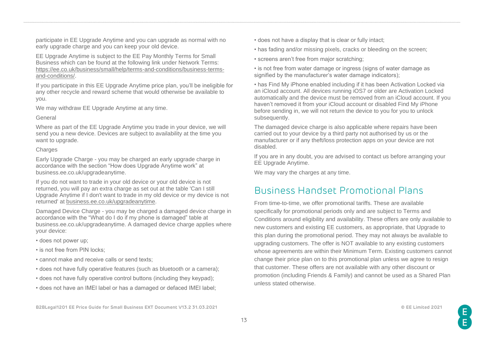participate in EE Upgrade Anytime and you can upgrade as normal with no early upgrade charge and you can keep your old device.

EE Upgrade Anytime is subject to the EE Pay Monthly Terms for Small Business which can be found at the following link under Network Terms: [https://ee.co.uk/business/small/help/terms-and-conditions/business-terms](https://ee.co.uk/business/small/help/terms-and-conditions/business-terms-and-conditions/)[and-conditions/.](https://ee.co.uk/business/small/help/terms-and-conditions/business-terms-and-conditions/)

If you participate in this EE Upgrade Anytime price plan, you'll be ineligible for any other recycle and reward scheme that would otherwise be available to you.

We may withdraw EE Upgrade Anytime at any time.

#### General

Where as part of the EE Upgrade Anytime you trade in your device, we will send you a new device. Devices are subject to availability at the time you want to upgrade.

### **Charges**

Early Upgrade Charge - you may be charged an early upgrade charge in accordance with the section "How does Upgrade Anytime work" at business.ee.co.uk/upgradeanytime.

If you do not want to trade in your old device or your old device is not returned, you will pay an extra charge as set out at the table 'Can I still Upgrade Anytime if I don't want to trade in my old device or my device is not returned' at [business.ee.co.uk/upgradeanytime.](file:///C:/Users/610071216/AppData/Local/Microsoft/Windows/INetCache/IE/S0CC1EWA/business.ee.co.uk/upgradeanytime)

Damaged Device Charge - you may be charged a damaged device charge in accordance with the "What do I do if my phone is damaged" table at business.ee.co.uk/upgradeanytime. A damaged device charge applies where your device:

- does not power up;
- is not free from PIN locks;
- cannot make and receive calls or send texts;
- does not have fully operative features (such as bluetooth or a camera);
- does not have fully operative control buttons (including they keypad);
- does not have an IMEI label or has a damaged or defaced IMEI label;
- does not have a display that is clear or fully intact;
- has fading and/or missing pixels, cracks or bleeding on the screen;
- screens aren't free from major scratching;

• is not free from water damage or ingress (signs of water damage as signified by the manufacturer's water damage indicators);

• has Find My iPhone enabled including if it has been Activation Locked via an iCloud account. All devices running iOS7 or older are Activation Locked automatically and the device must be removed from an iCloud account. If you haven't removed it from your iCloud account or disabled Find My iPhone before sending in, we will not return the device to you for you to unlock subsequently.

The damaged device charge is also applicable where repairs have been carried out to your device by a third party not authorised by us or the manufacturer or if any theft/loss protection apps on your device are not disabled.

If you are in any doubt, you are advised to contact us before arranging your EE Upgrade Anytime.

We may vary the charges at any time.

# <span id="page-12-0"></span>Business Handset Promotional Plans

From time-to-time, we offer promotional tariffs. These are available specifically for promotional periods only and are subject to Terms and Conditions around eligibility and availability. These offers are only available to new customers and existing EE customers, as appropriate, that Upgrade to this plan during the promotional period. They may not always be available to upgrading customers. The offer is NOT available to any existing customers whose agreements are within their Minimum Term. Existing customers cannot change their price plan on to this promotional plan unless we agree to resign that customer. These offers are not available with any other discount or promotion (including Friends & Family) and cannot be used as a Shared Plan unless stated otherwise.

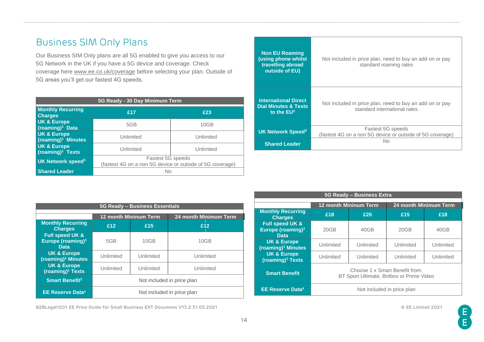# Business SIM Only Plans

Our Business SIM Only plans are all 5G enabled to give you access to our 5G Network in the UK if you have a 5G device and coverage. Check coverage here [www.ee.co.uk/coverage](http://www.ee.co.uk/coverage) before selecting your plan. Outside of 5G areas you'll get our fastest 4G speeds.

| 5G Ready - 30 Day Minimum Term                         |                                                                                |           |  |  |  |
|--------------------------------------------------------|--------------------------------------------------------------------------------|-----------|--|--|--|
| <b>Monthly Recurring</b><br><b>Charges</b>             | £17                                                                            | £23       |  |  |  |
| <b>UK &amp; Europe</b><br>(roaming) <sup>1</sup> Data  | 5GB                                                                            | 10GB      |  |  |  |
| <b>UK &amp; Europe</b><br>$(roaming)1$ Minutes         | Unlimited<br>Unlimited                                                         |           |  |  |  |
| <b>UK &amp; Europe</b><br>(roaming) <sup>1</sup> Texts | Unlimited                                                                      | Unlimited |  |  |  |
| UK Network speed <sup>5</sup>                          | Fastest 5G speeds<br>(fastest 4G on a non 5G device or outside of 5G coverage) |           |  |  |  |
| <b>Shared Leader</b>                                   | No                                                                             |           |  |  |  |

| <b>Non EU Roaming</b><br>(using phone whilst<br>travelling abroad<br>outside of EU) | Not included in price plan, need to buy an add on or pay<br>standard roaming rates       |  |  |
|-------------------------------------------------------------------------------------|------------------------------------------------------------------------------------------|--|--|
| <b>International Direct</b><br><b>Dial Minutes &amp; Texts</b><br>to the $EU2$      | Not included in price plan, need to buy an add on or pay<br>standard international rates |  |  |
| <b>UK Network Speed<sup>5</sup></b>                                                 | Fastest 5G speeds<br>(fastest 4G on a non 5G device or outside of 5G coverage)           |  |  |
| <b>Shared Leader</b>                                                                | N٥                                                                                       |  |  |

| 5G Ready - Business Essentials                                  |                            |                              |                              |  |  |  |  |  |  |
|-----------------------------------------------------------------|----------------------------|------------------------------|------------------------------|--|--|--|--|--|--|
|                                                                 |                            | <b>12 month Mininum Term</b> | <b>24 month Minimum Term</b> |  |  |  |  |  |  |
| <b>Monthly Recurring</b><br><b>Charges</b>                      | £12                        | £12<br>£15                   |                              |  |  |  |  |  |  |
| Full speed UK &<br>Europe (roaming) <sup>1</sup><br><b>Data</b> | 5GB                        | 10GB                         | 10GB                         |  |  |  |  |  |  |
| <b>UK &amp; Europe</b><br>(roaming) <sup>1</sup> Minutes        | Unlimited                  | Unlimited                    | Unlimited                    |  |  |  |  |  |  |
| <b>UK &amp; Europe</b><br>(roaming) <sup>1</sup> Texts          | Unlimited                  | Unlimited<br>Unlimited       |                              |  |  |  |  |  |  |
| <b>Smart Benefit<sup>3</sup></b>                                | Not included in price plan |                              |                              |  |  |  |  |  |  |
| <b>EE Reserve Data4</b>                                         |                            | Not included in price plan   |                              |  |  |  |  |  |  |

| 5G Ready - Business Extra                                                  |                                                                             |                            |           |           |  |  |  |  |
|----------------------------------------------------------------------------|-----------------------------------------------------------------------------|----------------------------|-----------|-----------|--|--|--|--|
|                                                                            | 24 month Minimum Term<br><b>12 month Mininum Term</b>                       |                            |           |           |  |  |  |  |
| <b>Monthly Recurring</b><br><b>Charges</b>                                 | £18<br>£20                                                                  |                            | £15       | £18       |  |  |  |  |
| <b>Full speed UK &amp;</b><br>Europe (roaming) <sup>1</sup><br><b>Data</b> | 20GB                                                                        | 40GB                       | 20GB      | 40GB      |  |  |  |  |
| <b>UK &amp; Europe</b><br>(roaming) <sup>1</sup> Minutes                   | Unlimited                                                                   | Unlimited                  | Unlimited | Unlimited |  |  |  |  |
| <b>UK &amp; Europe</b><br>(roaming) <sup>1</sup> Texts                     | Unlimited                                                                   | Unlimited                  | Unlimited | Unlimited |  |  |  |  |
| <b>Smart Benefit</b>                                                       | Choose 1 x Smart Benefit from:<br>BT Sport Ultimate, Britbox or Prime Video |                            |           |           |  |  |  |  |
| <b>EE Reserve Data4</b>                                                    |                                                                             | Not included in price plan |           |           |  |  |  |  |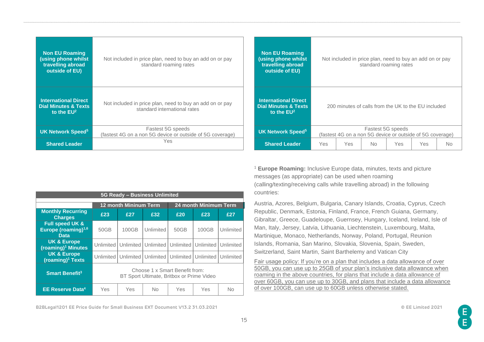| <b>Non EU Roaming</b><br>(using phone whilst<br>travelling abroad<br>outside of EU) | Not included in price plan, need to buy an add on or pay<br>standard roaming rates       | <b>Non EU Roaming</b><br>(using phone whilst<br>travelling abroad<br>outside of EU) |                                                     | Not included in price plan, need to buy an add on or pay  | standard roaming rates |            |            |           |
|-------------------------------------------------------------------------------------|------------------------------------------------------------------------------------------|-------------------------------------------------------------------------------------|-----------------------------------------------------|-----------------------------------------------------------|------------------------|------------|------------|-----------|
| <b>International Direct</b><br><b>Dial Minutes &amp; Texts</b><br>to the $EU2$      | Not included in price plan, need to buy an add on or pay<br>standard international rates | <b>International Direct</b><br><b>Dial Minutes &amp; Texts</b><br>to the $EU2$      | 200 minutes of calls from the UK to the EU included |                                                           |                        |            |            |           |
| <b>UK Network Speed<sup>5</sup></b>                                                 | Fastest 5G speeds<br>(fastest 4G on a non 5G device or outside of 5G coverage)           | <b>UK Network Speed<sup>5</sup></b>                                                 |                                                     | (fastest 4G on a non 5G device or outside of 5G coverage) | Fastest 5G speeds      |            |            |           |
| <b>Shared Leader</b>                                                                | Yes.                                                                                     | <b>Shared Leader</b>                                                                | Yes                                                 | Yes                                                       | <b>No</b>              | <b>Yes</b> | <b>Yes</b> | <b>No</b> |

| <sup>1</sup> Europe Roaming: Inclusive Europe data, minutes, texts and picture |
|--------------------------------------------------------------------------------|
| messages (as appropriate) can be used when roaming                             |
| (calling/texting/receiving calls while travelling abroad) in the following     |
| countries:                                                                     |

Austria, Azores, Belgium, Bulgaria, Canary Islands, Croatia, Cyprus, Czech Republic, Denmark, Estonia, Finland, France, French Guiana, Germany, Gibraltar, Greece, Guadeloupe, Guernsey, Hungary, Iceland, Ireland, Isle of Man, Italy, Jersey, Latvia, Lithuania, Liechtenstein, Luxembourg, Malta, Martinique, Monaco, Netherlands, Norway, Poland, Portugal, Reunion Islands, Romania, San Marino, Slovakia, Slovenia, Spain, Sweden, Switzerland, Saint Martin, Saint Barthelemy and Vatican City

Fair usage policy: If you're on a plan that includes a data allowance of over 50GB, you can use up to 25GB of your plan's inclusive data allowance when roaming in the above countries, for plans that include a data allowance of over 60GB, you can use up to 30GB, and plans that include a data allowance of over 100GB, can use up to 60GB unless otherwise stated.

| 5G Ready - Business Unlimited                                       |                                                                             |                              |           |                                         |                       |           |  |  |  |
|---------------------------------------------------------------------|-----------------------------------------------------------------------------|------------------------------|-----------|-----------------------------------------|-----------------------|-----------|--|--|--|
|                                                                     |                                                                             | <b>12 month Mininum Term</b> |           |                                         | 24 month Minimum Term |           |  |  |  |
| <b>Monthly Recurring</b><br><b>Charges</b>                          | £23                                                                         | £27<br>£32                   |           | £20                                     | £23                   | £27       |  |  |  |
| <b>Full speed UK &amp;</b><br>Europe (roaming) $1,6$<br><b>Data</b> | 50GB                                                                        | 100GB                        | Unlimited | 50GB                                    | 100GB                 | Unlimited |  |  |  |
| <b>UK &amp; Europe</b><br>(roaming) <sup>1</sup> Minutes            | Unlimited                                                                   |                              |           | Unlimited Unlimited Unlimited Unlimited |                       | Unlimited |  |  |  |
| <b>UK &amp; Europe</b><br>(roaming) <sup>1</sup> Texts              | <b>Unlimited</b>                                                            |                              |           | Unlimited Unlimited Unlimited Unlimited |                       | Unlimited |  |  |  |
| <b>Smart Benefit<sup>3</sup></b>                                    | Choose 1 x Smart Benefit from:<br>BT Sport Ultimate, Britbox or Prime Video |                              |           |                                         |                       |           |  |  |  |
| <b>EE Reserve Data4</b>                                             | Yes                                                                         | Yes                          | <b>No</b> | Yes                                     | Yes                   | <b>No</b> |  |  |  |

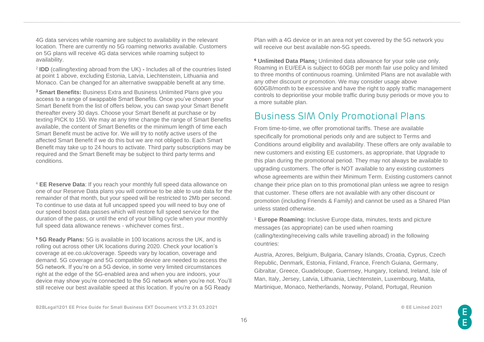4G data services while roaming are subject to availability in the relevant location. There are currently no 5G roaming networks available. Customers on 5G plans will receive 4G data services while roaming subject to availability.

2 **IDD** (calling/texting abroad from the UK) **-** Includes all of the countries listed at point 1 above, excluding Estonia, Latvia, Liechtenstein, Lithuania and Monaco. Can be changed for an alternative swappable benefit at any time.

<sup>3</sup>**Smart Benefits:** Business Extra and Business Unlimited Plans give you access to a range of swappable Smart Benefits. Once you've chosen your Smart Benefit from the list of offers below, you can swap your Smart Benefit thereafter every 30 days. Choose your Smart Benefit at purchase or by texting PICK to 150. We may at any time change the range of Smart Benefits available, the content of Smart Benefits or the minimum length of time each Smart Benefit must be active for. We will try to notify active users of the affected Smart Benefit if we do this but we are not obliged to. Each Smart Benefit may take up to 24 hours to activate. Third party subscriptions may be required and the Smart Benefit may be subject to third party terms and conditions.

<sup>4</sup> **EE Reserve Data**: If you reach your monthly full speed data allowance on one of our Reserve Data plans you will continue to be able to use data for the remainder of that month, but your speed will be restricted to 2Mb per second. To continue to use data at full uncapped speed you will need to buy one of our speed boost data passes which will restore full speed service for the duration of the pass, or until the end of your billing cycle when your monthly full speed data allowance renews - whichever comes first..

⁵ **5G Ready Plans:** 5G is available in 100 locations across the UK, and is rolling out across other UK locations during 2020. Check your location's coverage at ee.co.uk/coverage. Speeds vary by location, coverage and demand. 5G coverage and 5G compatible device are needed to access the 5G network. If you're on a 5G device, in some very limited circumstances right at the edge of the 5G-enabled area and when you are indoors, your device may show you're connected to the 5G network when you're not. You'll still receive our best available speed at this location. If you're on a 5G Ready

Plan with a 4G device or in an area not yet covered by the 5G network you will receive our best available non-5G speeds.

⁶ **Unlimited Data Plans:** Unlimited data allowance for your sole use only. Roaming in EU/EEA is subject to 60GB per month fair use policy and limited to three months of continuous roaming. Unlimited Plans are not available with any other discount or promotion. We may consider usage above 600GB/month to be excessive and have the right to apply traffic management controls to deprioritise your mobile traffic during busy periods or move you to a more suitable plan.

### <span id="page-15-0"></span>Business SIM Only Promotional Plans

From time-to-time, we offer promotional tariffs. These are available specifically for promotional periods only and are subject to Terms and Conditions around eligibility and availability. These offers are only available to new customers and existing EE customers, as appropriate, that Upgrade to this plan during the promotional period. They may not always be available to upgrading customers. The offer is NOT available to any existing customers whose agreements are within their Minimum Term. Existing customers cannot change their price plan on to this promotional plan unless we agree to resign that customer. These offers are not available with any other discount or promotion (including Friends & Family) and cannot be used as a Shared Plan unless stated otherwise.

<sup>1</sup> **Europe Roaming:** Inclusive Europe data, minutes, texts and picture messages (as appropriate) can be used when roaming (calling/texting/receiving calls while travelling abroad) in the following countries:

Austria, Azores, Belgium, Bulgaria, Canary Islands, Croatia, Cyprus, Czech Republic, Denmark, Estonia, Finland, France, French Guiana, Germany, Gibraltar, Greece, Guadeloupe, Guernsey, Hungary, Iceland, Ireland, Isle of Man, Italy, Jersey, Latvia, Lithuania, Liechtenstein, Luxembourg, Malta, Martinique, Monaco, Netherlands, Norway, Poland, Portugal, Reunion

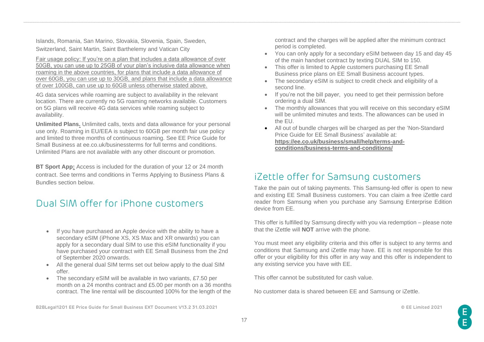Islands, Romania, San Marino, Slovakia, Slovenia, Spain, Sweden, Switzerland, Saint Martin, Saint Barthelemy and Vatican City

Fair usage policy: If you're on a plan that includes a data allowance of over 50GB, you can use up to 25GB of your plan's inclusive data allowance when roaming in the above countries, for plans that include a data allowance of over 60GB, you can use up to 30GB, and plans that include a data allowance of over 100GB, can use up to 60GB unless otherwise stated above.

4G data services while roaming are subject to availability in the relevant location. There are currently no 5G roaming networks available. Customers on 5G plans will receive 4G data services while roaming subject to availability.

**Unlimited Plans.** Unlimited calls, texts and data allowance for your personal use only. Roaming in EU/EEA is subject to 60GB per month fair use policy and limited to three months of continuous roaming. See EE Price Guide for Small Business at ee.co.uk/businessterms for full terms and conditions. Unlimited Plans are not available with any other discount or promotion.

**BT Sport App:** Access is included for the duration of your 12 or 24 month contract. See terms and conditions in Terms Applying to Business Plans & Bundles section below.

### <span id="page-16-0"></span>Dual SIM offer for iPhone customers

- If you have purchased an Apple device with the ability to have a secondary eSIM (iPhone XS, XS Max and XR onwards) you can apply for a secondary dual SIM to use this eSIM functionality if you have purchased your contract with EE Small Business from the 2nd of September 2020 onwards.
- All the general dual SIM terms set out below apply to the dual SIM offer.
- The secondary eSIM will be available in two variants, £7.50 per month on a 24 months contract and £5.00 per month on a 36 months contract. The line rental will be discounted 100% for the length of the

**B2BLegal1201 EE Price Guide for Small Business EXT Document V13.2 31.03.2021 © EE Limited 2021**

contract and the charges will be applied after the minimum contract period is completed.

- You can only apply for a secondary eSIM between day 15 and day 45 of the main handset contract by texting DUAL SIM to 150.
- This offer is limited to Apple customers purchasing EE Small Business price plans on EE Small Business account types.
- The secondary eSIM is subject to credit check and eligibility of a second line.
- If you're not the bill payer, you need to get their permission before ordering a dual SIM.
- The monthly allowances that you will receive on this secondary eSIM will be unlimited minutes and texts. The allowances can be used in the EU.
- All out of bundle charges will be charged as per the 'Non-Standard Price Guide for EE Small Business' available at: **[https://ee.co.uk/business/small/help/terms-and](https://eur02.safelinks.protection.outlook.com/?url=https%3A%2F%2Fee.co.uk%2Fbusiness%2Fsmall%2Fhelp%2Fterms-and-conditions%2Fbusiness-terms-and-conditions%2F&data=02%7C01%7Cpraveen.kolluguri%40bt.com%7Ca264fecb8c554565ea0308d857cfea9e%7Ca7f356889c004d5eba4129f146377ab0%7C0%7C0%7C637355897790966851&sdata=AIG6F73Cu0m%2F0Uy9Jh0mXBSMfc96vkfQJzPuj31%2FLaw%3D&reserved=0)[conditions/business-terms-and-conditions/](https://eur02.safelinks.protection.outlook.com/?url=https%3A%2F%2Fee.co.uk%2Fbusiness%2Fsmall%2Fhelp%2Fterms-and-conditions%2Fbusiness-terms-and-conditions%2F&data=02%7C01%7Cpraveen.kolluguri%40bt.com%7Ca264fecb8c554565ea0308d857cfea9e%7Ca7f356889c004d5eba4129f146377ab0%7C0%7C0%7C637355897790966851&sdata=AIG6F73Cu0m%2F0Uy9Jh0mXBSMfc96vkfQJzPuj31%2FLaw%3D&reserved=0)**

### <span id="page-16-1"></span>iZettle offer for Samsung customers

Take the pain out of taking payments. This Samsung-led offer is open to new and existing EE Small Business customers. You can claim a free iZettle card reader from Samsung when you purchase any Samsung Enterprise Edition device from EE.

This offer is fulfilled by Samsung directly with you via redemption – please note that the iZettle will **NOT** arrive with the phone.

You must meet any eligibility criteria and this offer is subject to any terms and conditions that Samsung and iZettle may have. EE is not responsible for this offer or your eligibility for this offer in any way and this offer is independent to any existing service you have with EE.

This offer cannot be substituted for cash value.

No customer data is shared between EE and Samsung or iZettle.

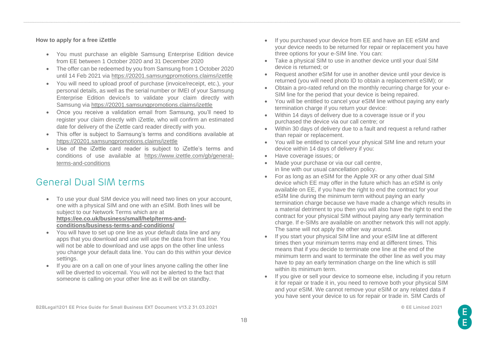#### **How to apply for a free iZettle**

- You must purchase an eligible Samsung Enterprise Edition device from EE between 1 October 2020 and 31 December 2020
- The offer can be redeemed by you from Samsung from 1 October 2020 until 14 Feb 2021 via<https://20201.samsungpromotions.claims/izettle>
- You will need to upload proof of purchase (invoice/receipt, etc.), your personal details, as well as the serial number or IMEI of your Samsung Enterprise Edition device/s to validate your claim directly with Samsung via<https://20201.samsungpromotions.claims/izettle>
- Once you receive a validation email from Samsung, you'll need to register your claim directly with iZettle, who will confirm an estimated date for delivery of the iZettle card reader directly with you.
- This offer is subject to Samsung's terms and conditions available at <https://20201.samsungpromotions.claims/izettle>
- Use of the iZettle card reader is subject to iZettle's terms and conditions of use available at [https://www.izettle.com/gb/general](https://www.izettle.com/gb/general-terms-and-conditions)[terms-and-conditions](https://www.izettle.com/gb/general-terms-and-conditions)

### <span id="page-17-0"></span>General Dual SIM terms

- To use your dual SIM device you will need two lines on your account, one with a physical SIM and one with an eSIM. Both lines will be subject to our Network Terms which are at **[https://ee.co.uk/business/small/help/terms-and](https://ee.co.uk/business/small/help/terms-and-conditions/business-terms-and-conditions/)[conditions/business-terms-and-conditions/](https://ee.co.uk/business/small/help/terms-and-conditions/business-terms-and-conditions/)**
- You will have to set up one line as your default data line and any apps that you download and use will use the data from that line. You will not be able to download and use apps on the other line unless you change your default data line. You can do this within your device settings.
- If you are on a call on one of your lines anyone calling the other line will be diverted to voicemail. You will not be alerted to the fact that someone is calling on your other line as it will be on standby.
- If you purchased your device from EE and have an EE eSIM and your device needs to be returned for repair or replacement you have three options for your e-SIM line. You can:
- Take a physical SIM to use in another device until your dual SIM device is returned; or
- Request another eSIM for use in another device until your device is returned (you will need photo ID to obtain a replacement eSIM); or
- Obtain a pro-rated refund on the monthly recurring charge for your e-SIM line for the period that your device is being repaired.
- You will be entitled to cancel your eSIM line without paying any early termination charge if you return your device:
- Within 14 days of delivery due to a coverage issue or if you purchased the device via our call centre; or
- Within 30 days of delivery due to a fault and request a refund rather than repair or replacement.
- You will be entitled to cancel your physical SIM line and return your device within 14 days of delivery if you:
- Have coverage issues; or
- Made your purchase or via our call centre, in line with our usual cancellation policy.
- For as long as an eSIM for the Apple XR or any other dual SIM device which EE may offer in the future which has an eSIM is only available on EE, if you have the right to end the contract for your eSIM line during the minimum term without paying an early termination charge because we have made a change which results in a material detriment to you then you will also have the right to end the contract for your physical SIM without paying any early termination charge. If e-SIMs are available on another network this will not apply. The same will not apply the other way around.
- If you start your physical SIM line and your eSIM line at different times then your minimum terms may end at different times. This means that if you decide to terminate one line at the end of the minimum term and want to terminate the other line as well you may have to pay an early termination charge on the line which is still within its minimum term.
- If you give or sell your device to someone else, including if you return it for repair or trade it in, you need to remove both your physical SIM and your eSIM. We cannot remove your eSIM or any related data if you have sent your device to us for repair or trade in. SIM Cards of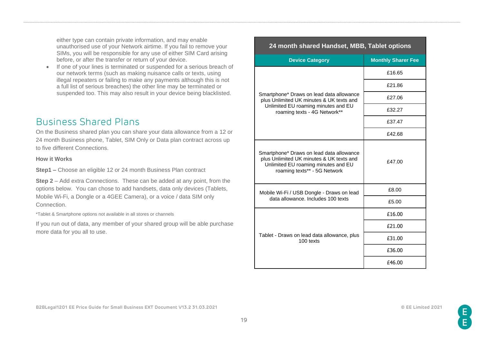either type can contain private information, and may enable unauthorised use of your Network airtime. If you fail to remove your SIMs, you will be responsible for any use of either SIM Card arising before, or after the transfer or return of your device.

If one of your lines is terminated or suspended for a serious breach of our network terms (such as making nuisance calls or texts, using illegal repeaters or failing to make any payments although this is not a full list of serious breaches) the other line may be terminated or suspended too. This may also result in your device being blacklisted.

### <span id="page-18-0"></span>Business Shared Plans

On the Business shared plan you can share your data allowance from a 12 or 24 month Business phone, Tablet, SIM Only or Data plan contract across up to five different Connections.

#### **How it Works**

**Step1 –** Choose an eligible 12 or 24 month Business Plan contract

**Step 2** – Add extra Connections. These can be added at any point, from the options below. You can chose to add handsets, data only devices (Tablets, Mobile Wi-Fi, a Dongle or a 4GEE Camera), or a voice / data SIM only Connection.

\*Tablet & Smartphone options not available in all stores or channels

If you run out of data, any member of your shared group will be able purchase more data for you all to use.

| 24 month shared Handset, MBB, Tablet options                                                                                                                |                           |  |  |  |  |  |
|-------------------------------------------------------------------------------------------------------------------------------------------------------------|---------------------------|--|--|--|--|--|
| <b>Device Category</b>                                                                                                                                      | <b>Monthly Sharer Fee</b> |  |  |  |  |  |
|                                                                                                                                                             | £16.65                    |  |  |  |  |  |
|                                                                                                                                                             | £21.86                    |  |  |  |  |  |
| Smartphone* Draws on lead data allowance<br>plus Unlimited UK minutes & UK texts and                                                                        | £27.06                    |  |  |  |  |  |
| Unlimited EU roaming minutes and EU<br>roaming texts - 4G Network**                                                                                         | £32.27                    |  |  |  |  |  |
|                                                                                                                                                             | £37.47                    |  |  |  |  |  |
|                                                                                                                                                             | £42.68                    |  |  |  |  |  |
| Smartphone* Draws on lead data allowance<br>plus Unlimited UK minutes & UK texts and<br>Unlimited EU roaming minutes and EU<br>roaming texts** - 5G Network | £47.00                    |  |  |  |  |  |
| Mobile Wi-Fi / USB Dongle - Draws on lead                                                                                                                   | £8.00                     |  |  |  |  |  |
| data allowance. Includes 100 texts                                                                                                                          | £5.00                     |  |  |  |  |  |
|                                                                                                                                                             | £16.00                    |  |  |  |  |  |
|                                                                                                                                                             | £21.00                    |  |  |  |  |  |
| Tablet - Draws on lead data allowance, plus<br>100 texts                                                                                                    | £31.00                    |  |  |  |  |  |
|                                                                                                                                                             | £36.00                    |  |  |  |  |  |
|                                                                                                                                                             | £46.00                    |  |  |  |  |  |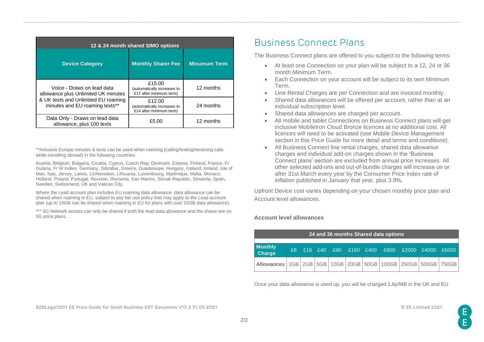| 12 & 24 month shared SIMO options                                     |                                                                  |                     |  |  |  |  |  |  |
|-----------------------------------------------------------------------|------------------------------------------------------------------|---------------------|--|--|--|--|--|--|
| <b>Device Category</b>                                                | <b>Monthly Sharer Fee</b>                                        | <b>Minumum Term</b> |  |  |  |  |  |  |
| Voice - Draws on lead data<br>allowance plus Unlimited UK minutes     | £15.00<br>(automatically increases to<br>£17 after minimum term) | 12 months           |  |  |  |  |  |  |
| & UK texts and Unlimited EU roaming<br>minutes and EU roaming texts** | £12.00<br>(automatically increases to<br>£14 after minimum term) | 24 months           |  |  |  |  |  |  |
| Data Only - Draws on lead data<br>allowance, plus 100 texts           | £5.00                                                            | 12 months           |  |  |  |  |  |  |

\*\*Inclusive Europe minutes & texts can be used when roaming (calling/texting/receiving calls while travelling abroad) in the following countries:

Austria, Belgium, Bulgaria, Croatia, Cyprus, Czech Rep, Denmark, Estonia, Finland, France, Fr Guiana, Fr W Indies, Germany, Gibraltar, Greece, Guadeloupe, Hungary, Iceland, Ireland, Isle of Man, Italy, Jersey, Latvia, Lichtenstein, Lithuania, Luxembourg, Martinique, Malta, Monaco, Holland, Poland, Portugal, Reunion, Romania, San Marino, Slovak Republic, Slovenia, Spain, Sweden, Switzerland, UK and Vatican City.

Where the Lead account plan includes EU roaming data allowance, data allowance can be shared when roaming in EU, subject to any fair use policy that may apply to the Lead account plan (up to 15GB can be shared when roaming in EU for plans with over 15GB data allowance).

\*\*\* 5G Network access can only be shared if both the lead data allowance and the sharer are on 5G price plans.

# <span id="page-19-0"></span>Business Connect Plans

The Business Connect plans are offered to you subject to the following terms:

- At least one Connection on your plan will be subject to a 12, 24 or 36 month Minimum Term.
- Each Connection on your account will be subject to its own Minimum Term.
- Line Rental Charges are per Connection and are invoiced monthly.
- Shared data allowances will be offered per account, rather than at an individual subscription level.
- Shared data allowances are charged per account.
- All mobile and tablet Connections on Business Connect plans will get inclusive MobileIron Cloud Bronze licences at no additional cost. All licences will need to be activated (see Mobile Device Management section in this Price Guide for more detail and terms and conditions).
- All Business Connect line rental charges, shared data allowance charges and individual add-on charges shown in the 'Business Connect plans' section are excluded from annual price increases. All other selected add-ons and out-of-bundle charges will increase on or after 31st March every year by the Consumer Price Index rate of inflation published in January that year, plus 3.9%.

Upfront Device cost varies depending on your chosen monthly price plan and Account level allowances.

#### **Account level allowances**

| 24 and 36 months Shared data options                                              |    |  |                     |  |  |  |  |  |                                          |       |
|-----------------------------------------------------------------------------------|----|--|---------------------|--|--|--|--|--|------------------------------------------|-------|
| <b>Monthly</b><br>Charge                                                          | £8 |  | $£16$ $£40$ $\vert$ |  |  |  |  |  | £80   £160   £400   £800   £2000   £4000 | £6000 |
| Allowances   1GB   2GB   5GB   10GB   20GB   50GB   100GB   250GB   500GB   750GB |    |  |                     |  |  |  |  |  |                                          |       |

Once your data allowance is used up, you will be charged 1.6p/MB in the UK and EU.

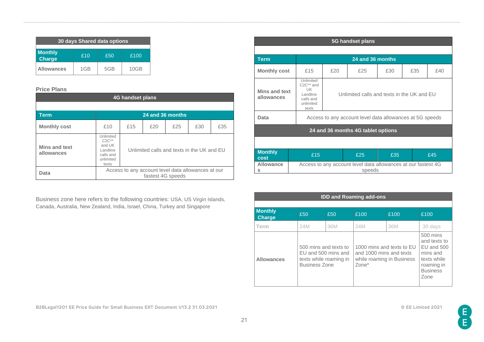| 30 days Shared data options                           |     |     |      |  |  |  |  |
|-------------------------------------------------------|-----|-----|------|--|--|--|--|
| <b>Monthly</b><br>£10<br>£50<br>£100<br><b>Charge</b> |     |     |      |  |  |  |  |
| <b>Allowances</b>                                     | 1GB | 5GB | 10GB |  |  |  |  |

#### **Price Plans**

| 4G handset plans            |                                                                                                                             |  |  |  |  |  |  |  |
|-----------------------------|-----------------------------------------------------------------------------------------------------------------------------|--|--|--|--|--|--|--|
|                             |                                                                                                                             |  |  |  |  |  |  |  |
| <b>Term</b>                 | 24 and 36 months                                                                                                            |  |  |  |  |  |  |  |
| <b>Monthly cost</b>         | £35<br>f20<br>£25<br>£10<br>£30<br>£15                                                                                      |  |  |  |  |  |  |  |
| Mins and text<br>allowances | Unlimited<br>$C2C**$<br>and UK<br>Unlimited calls and texts in the UK and EU<br>Landline<br>calls and<br>unlimited<br>texts |  |  |  |  |  |  |  |
| Data                        | Access to any account level data allowances at our<br>fastest 4G speeds                                                     |  |  |  |  |  |  |  |

Business zone here refers to the following countries: USA, US Virgin Islands, Canada, Australia, New Zealand, India, Israel, China, Turkey and Singapore

| 5G handset plans            |                                                                                                 |                                            |                                                                         |     |     |     |  |  |
|-----------------------------|-------------------------------------------------------------------------------------------------|--------------------------------------------|-------------------------------------------------------------------------|-----|-----|-----|--|--|
|                             |                                                                                                 |                                            |                                                                         |     |     |     |  |  |
| <b>Term</b>                 |                                                                                                 |                                            | 24 and 36 months                                                        |     |     |     |  |  |
| <b>Monthly cost</b>         | £15                                                                                             | £20                                        | £25                                                                     | £30 | £35 | £40 |  |  |
| Mins and text<br>allowances | Unlimited<br>C2C <sup>**</sup> and<br><b>IJK</b><br>Landline<br>calls and<br>unlimited<br>texts | Unlimited calls and texts in the UK and EU |                                                                         |     |     |     |  |  |
| Data                        |                                                                                                 |                                            | Access to any account level data allowances at 5G speeds                |     |     |     |  |  |
|                             | 24 and 36 months 4G tablet options                                                              |                                            |                                                                         |     |     |     |  |  |
|                             |                                                                                                 |                                            |                                                                         |     |     |     |  |  |
| <b>Monthly</b><br>cost      | £15                                                                                             | £25<br>£35<br>£45                          |                                                                         |     |     |     |  |  |
| <b>Allowance</b><br>s       |                                                                                                 |                                            | Access to any account level data allowances at our fastest 4G<br>speeds |     |     |     |  |  |

| <b>IDD and Roaming add-ons</b>  |                                                                                                |     |                                                               |                           |                                                                                                              |  |  |  |
|---------------------------------|------------------------------------------------------------------------------------------------|-----|---------------------------------------------------------------|---------------------------|--------------------------------------------------------------------------------------------------------------|--|--|--|
| <b>Monthly</b><br><b>Charge</b> | £50                                                                                            | £50 | £100                                                          | £100                      | £100                                                                                                         |  |  |  |
| Term                            | 24M                                                                                            | 36M | 24M                                                           | 36M                       | 30 days                                                                                                      |  |  |  |
| <b>Allowances</b>               | 500 mins and texts to<br>EU and 500 mins and<br>texts while roaming in<br><b>Business Zone</b> |     | and 1000 mins and texts<br>while roaming in Business<br>Zone* | 1000 mins and texts to EU | $500$ mins<br>and texts to<br>EU and 500<br>mins and<br>texts while<br>roaming in<br><b>Business</b><br>Zone |  |  |  |

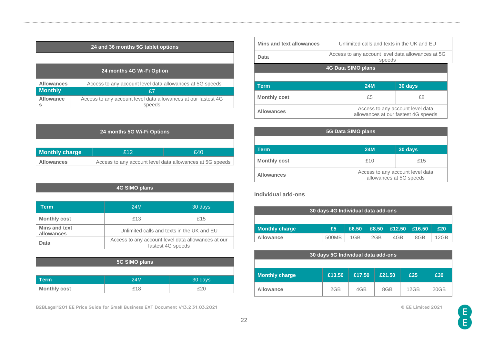| 24 and 36 months 5G tablet options |                                                                         |  |  |  |  |
|------------------------------------|-------------------------------------------------------------------------|--|--|--|--|
|                                    |                                                                         |  |  |  |  |
| 24 months 4G Wi-Fi Option          |                                                                         |  |  |  |  |
| <b>Allowances</b>                  | Access to any account level data allowances at 5G speeds                |  |  |  |  |
| <b>Monthly</b>                     | £7                                                                      |  |  |  |  |
| Allowance<br>s                     | Access to any account level data allowances at our fastest 4G<br>speeds |  |  |  |  |

| 24 months 5G Wi-Fi Options          |                                                          |  |  |  |  |  |  |
|-------------------------------------|----------------------------------------------------------|--|--|--|--|--|--|
|                                     |                                                          |  |  |  |  |  |  |
| <b>Monthly charge</b><br>£12<br>£40 |                                                          |  |  |  |  |  |  |
| <b>Allowances</b>                   | Access to any account level data allowances at 5G speeds |  |  |  |  |  |  |

| 4G SIMO plans                      |                                                                         |         |  |  |  |  |  |
|------------------------------------|-------------------------------------------------------------------------|---------|--|--|--|--|--|
|                                    |                                                                         |         |  |  |  |  |  |
| Term                               | 24M                                                                     | 30 days |  |  |  |  |  |
| <b>Monthly cost</b>                | £13                                                                     | £15     |  |  |  |  |  |
| <b>Mins and text</b><br>allowances | Unlimited calls and texts in the UK and EU                              |         |  |  |  |  |  |
| Data                               | Access to any account level data allowances at our<br>fastest 4G speeds |         |  |  |  |  |  |

| 5G SIMO plans       |     |         |  |  |  |  |
|---------------------|-----|---------|--|--|--|--|
|                     |     |         |  |  |  |  |
| Term                | 24M | 30 days |  |  |  |  |
| <b>Monthly cost</b> | £18 | £20     |  |  |  |  |

**B2BLegal1201 EE Price Guide for Small Business EXT Document V13.2 31.03.2021 © EE Limited 2021**

| Mins and text allowances | Unlimited calls and texts in the UK and EU                  |                    |                                                                         |  |
|--------------------------|-------------------------------------------------------------|--------------------|-------------------------------------------------------------------------|--|
| Data                     | Access to any account level data allowances at 5G<br>speeds |                    |                                                                         |  |
|                          |                                                             | 4G Data SIMO plans |                                                                         |  |
|                          |                                                             |                    |                                                                         |  |
| <b>Term</b>              |                                                             | <b>24M</b>         | 30 days                                                                 |  |
| <b>Monthly cost</b>      |                                                             | £5<br>£8           |                                                                         |  |
| <b>Allowances</b>        |                                                             |                    | Access to any account level data<br>allowances at our fastest 4G speeds |  |

| 5G Data SIMO plans  |                                                             |         |  |  |  |  |
|---------------------|-------------------------------------------------------------|---------|--|--|--|--|
|                     |                                                             |         |  |  |  |  |
| Term                | <b>24M</b>                                                  | 30 days |  |  |  |  |
| <b>Monthly cost</b> | £10                                                         | £15     |  |  |  |  |
| <b>Allowances</b>   | Access to any account level data<br>allowances at 5G speeds |         |  |  |  |  |

### **Individual add-ons**

| 30 days 4G Individual data add-ons |       |       |     |                                    |     |      |
|------------------------------------|-------|-------|-----|------------------------------------|-----|------|
|                                    |       |       |     |                                    |     |      |
| <b>Monthly charge</b>              | £5    | £6.50 |     | $\pm 8.50$ $\pm 12.50$ $\pm 16.50$ |     | £20  |
| <b>Allowance</b>                   | 500MB | 1GB   | 2GB | 4GB                                | 8GB | 12GB |

| 30 days 5G Individual data add-ons |        |        |        |      |      |  |
|------------------------------------|--------|--------|--------|------|------|--|
|                                    |        |        |        |      |      |  |
| Monthly charge                     | £13.50 | £17.50 | £21.50 | £25  | £30  |  |
| <b>Allowance</b>                   | 2GB    | 4GB    | 8GB    | 12GB | 20GB |  |

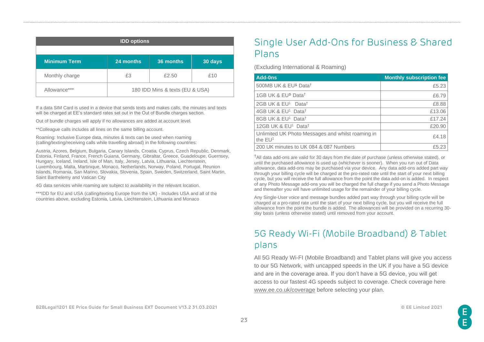| <b>IDD options</b>  |                                 |           |         |  |  |  |
|---------------------|---------------------------------|-----------|---------|--|--|--|
|                     |                                 |           |         |  |  |  |
| <b>Minimum Term</b> | 24 months                       | 36 months | 30 days |  |  |  |
| Monthly charge      | £3                              | £2.50     | £10     |  |  |  |
| Allowance***        | 180 IDD Mins & texts (EU & USA) |           |         |  |  |  |

If a data SIM Card is used in a device that sends texts and makes calls, the minutes and texts will be charged at EE's standard rates set out in the Out of Bundle charges section.

Out of bundle charges will apply if no allowances are added at account level.

\*\*Colleague calls includes all lines on the same billing account.

Roaming: Inclusive Europe data, minutes & texts can be used when roaming (calling/texting/receiving calls while travelling abroad) in the following countries:

Austria, Azores, Belgium, Bulgaria, Canary Islands, Croatia, Cyprus, Czech Republic, Denmark, Estonia, Finland, France, French Guiana, Germany, Gibraltar, Greece, Guadeloupe, Guernsey, Hungary, Iceland, Ireland, Isle of Man, Italy, Jersey, Latvia, Lithuania, Liechtenstein, Luxembourg, Malta, Martinique, Monaco, Netherlands, Norway, Poland, Portugal, Reunion Islands, Romania, San Marino, Slovakia, Slovenia, Spain, Sweden, Switzerland, Saint Martin, Saint Barthelemy and Vatican City

4G data services while roaming are subject to availability in the relevant location.

\*\*\*IDD for EU and USA (calling/texting Europe from the UK) - Includes USA and all of the countries above, excluding Estonia, Latvia, Liechtenstein, Lithuania and Monaco

# <span id="page-22-0"></span>Single User Add-Ons for Business & Shared Plans

(Excluding International & Roaming)

| <b>Add-0ns</b>                                                 | <b>Monthly subscription fee</b> |
|----------------------------------------------------------------|---------------------------------|
| 500MB UK & EU <sup>1</sup> Data <sup>t</sup>                   | £5.23                           |
| 1GB UK & EU <sup>1</sup> Data <sup>†</sup>                     | £6.79                           |
| 2GB UK & EU <sup>1</sup> Data <sup>†</sup>                     | £8.88                           |
| 4GB UK & EU <sup>1</sup> Data <sup>†</sup>                     | £13.06                          |
| 8GB UK & EU <sup>1</sup> Data <sup>†</sup>                     | £17.24                          |
| 12GB UK & EU <sup>1</sup> Data <sup>†</sup>                    | £20.90                          |
| Unlimited UK Photo Messages and whilst roaming in<br>the $EU1$ | £4.18                           |
| 200 UK minutes to UK 084 & 087 Numbers                         | £5.23                           |

†All data add-ons are valid for 30 days from the date of purchase (unless otherwise stated), or until the purchased allowance is used up (whichever is sooner). When you run out of Data allowance, data add-ons may be purchased via your device. Any data add-ons added part way through your billing cycle will be charged at the pro-rated rate until the start of your next billing cycle, but you will receive the full allowance from the point the data add-on is added. In respect of any Photo Message add-ons you will be charged the full charge if you send a Photo Message and thereafter you will have unlimited usage for the remainder of your billing cycle.

Any Single-User voice and message bundles added part way through your billing cycle will be charged at a pro-rated rate until the start of your next billing cycle, but you will receive the full allowance from the point the bundle is added. The allowances will be provided on a recurring 30 day basis (unless otherwise stated) until removed from your account.

# <span id="page-22-1"></span>5G Ready Wi-Fi (Mobile Broadband) & Tablet plans

All 5G Ready Wi-FI (Mobile Broadband) and Tablet plans will give you access to our 5G Network, with uncapped speeds in the UK if you have a 5G device and are in the coverage area. If you don't have a 5G device, you will get access to our fastest 4G speeds subject to coverage. Check coverage here [www.ee.co.uk/coverage](http://www.ee.co.uk/coverage) before selecting your plan.

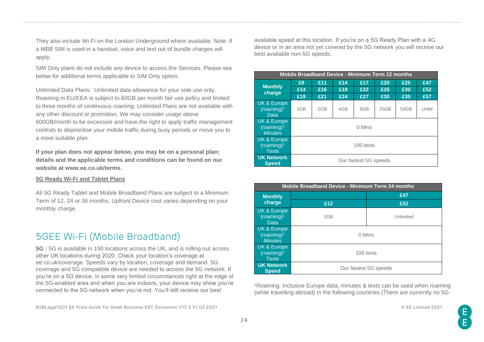They also include Wi-Fi on the London Underground where available. Note: If a MBB SIM is used in a handset, voice and text out of bundle charges will apply.

SIM Only plans do not include any device to access the Services. Please see below for additional terms applicable to SIM Only option.

Unlimited Data Plans: Unlimited data allowance for your sole use only. Roaming in EU/EEA is subject to 60GB per month fair use policy and limited to three months of continuous roaming. Unlimited Plans are not available with any other discount or promotion. We may consider usage above 600GB/month to be excessive and have the right to apply traffic management controls to deprioritise your mobile traffic during busy periods or move you to a more suitable plan.

**If your plan does not appear below, you may be on a personal plan; details and the applicable terms and conditions can be found on our website at www.ee.co.uk/terms.**

#### **5G Ready Wi-Fi and Tablet Plans**

All 5G Ready Tablet and Mobile Broadband Plans are subject to a Minimum Term of 12, 24 or 36 months. Upfront Device cost varies depending on your monthly charge.

### 5GEE Wi-Fi (Mobile Broadband)

**5G :** 5G is available in 100 locations across the UK, and is rolling out across other UK locations during 2020. Check your location's coverage at ee.co.uk/coverage. Speeds vary by location, coverage and demand. 5G coverage and 5G compatible device are needed to access the 5G network. If you're on a 5G device, in some very limited circumstances right at the edge of the 5G-enabled area and when you are indoors, your device may show you're connected to the 5G network when you're not. You'll still receive our best

**B2BLegal1201 EE Price Guide for Small Business EXT Document V13.2 31.03.2021 © EE Limited 2021**

available speed at this location. If you're on a 5G Ready Plan with a 4G device or in an area not yet covered by the 5G network you will receive our best available non-5G speeds.

| <b>Mobile Broadband Device - Minimum Term 12 months</b> |                       |     |     |     |      |      |       |
|---------------------------------------------------------|-----------------------|-----|-----|-----|------|------|-------|
|                                                         | £9                    | £11 | £14 | £17 | £20  | £25  | £47   |
| <b>Monthly</b><br>charge                                | £14                   | £16 | £19 | £22 | £25  | £30  | £52   |
|                                                         | £19                   | £21 | £24 | £27 | £30  | £35  | £57   |
| UK & Europe<br>(roaming) <sup>1</sup><br>Data           | 1GB                   | 2GB | 4GB | 8GB | 25GB | 50GB | Unltd |
| UK & Europe<br>(roaming) <sup>1</sup><br><b>Minutes</b> | 0 Mins                |     |     |     |      |      |       |
| UK & Europe<br>(roamina) <sup>1</sup><br><b>Texts</b>   | 100 texts             |     |     |     |      |      |       |
| <b>UK Network</b><br><b>Speed</b>                       | Our fastest 5G speeds |     |     |     |      |      |       |

| Mobile Broadband Device - Minimum Term 24 months        |           |                       |  |  |  |  |
|---------------------------------------------------------|-----------|-----------------------|--|--|--|--|
| <b>Monthly</b>                                          | £47       |                       |  |  |  |  |
| charge                                                  | £12       | £52                   |  |  |  |  |
| UK & Europe<br>(roaming) <sup>1</sup><br>Data           | 1GB       | Unlimited             |  |  |  |  |
| UK & Europe<br>(roaming) <sup>1</sup><br><b>Minutes</b> | 0 Mins    |                       |  |  |  |  |
| UK & Europe<br>$(roaming)^1$<br><b>Texts</b>            | 100 texts |                       |  |  |  |  |
| <b>UK Network</b><br><b>Speed</b>                       |           | Our fastest 5G speeds |  |  |  |  |

<sup>1</sup>Roaming: Inclusive Europe data, minutes & texts can be used when roaming (while travelling abroad) in the following countries (There are currently no 5G

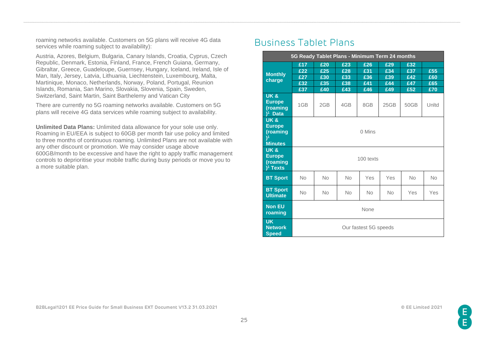roaming networks available. Customers on 5G plans will receive 4G data services while roaming subject to availability):

Austria, Azores, Belgium, Bulgaria, Canary Islands, Croatia, Cyprus, Czech Republic, Denmark, Estonia, Finland, France, French Guiana, Germany, Gibraltar, Greece, Guadeloupe, Guernsey, Hungary, Iceland, Ireland, Isle of Man, Italy, Jersey, Latvia, Lithuania, Liechtenstein, Luxembourg, Malta, Martinique, Monaco, Netherlands, Norway, Poland, Portugal, Reunion Islands, Romania, San Marino, Slovakia, Slovenia, Spain, Sweden, Switzerland, Saint Martin, Saint Barthelemy and Vatican City

There are currently no 5G roaming networks available. Customers on 5G plans will receive 4G data services while roaming subject to availability.

**Unlimited Data Plans:** Unlimited data allowance for your sole use only. Roaming in EU/EEA is subject to 60GB per month fair use policy and limited to three months of continuous roaming. Unlimited Plans are not available with any other discount or promotion. We may consider usage above 600GB/month to be excessive and have the right to apply traffic management controls to deprioritise your mobile traffic during busy periods or move you to a more suitable plan.

### <span id="page-24-0"></span>Business Tablet Plans

| 5G Ready Tablet Plans - Minimum Term 24 months                                   |                                 |                                 |                                 |                                 |                                 |                                 |                          |
|----------------------------------------------------------------------------------|---------------------------------|---------------------------------|---------------------------------|---------------------------------|---------------------------------|---------------------------------|--------------------------|
| <b>Monthly</b><br>charge                                                         | £17<br>£22<br>£27<br>£32<br>£37 | £20<br>£25<br>£30<br>£35<br>£40 | £23<br>£28<br>£33<br>£38<br>£43 | £26<br>£31<br>£36<br>£41<br>£46 | £29<br>£34<br>£39<br>£44<br>£49 | £32<br>£37<br>£42<br>£47<br>£52 | £55<br>£60<br>£65<br>£70 |
| <b>UK &amp;</b><br><b>Europe</b><br>(roaming<br>$)1$ Data                        | 1GB                             | 2GB                             | 4GB                             | 8GB                             | 25GB                            | 50GB                            | Unitd                    |
| <b>UK&amp;</b><br><b>Europe</b><br>(roaming<br>$\mathcal{V}^1$<br><b>Minutes</b> | 0 Mins                          |                                 |                                 |                                 |                                 |                                 |                          |
| <b>UK&amp;</b><br><b>Europe</b><br>(roaming<br>$)^1$ Texts                       | 100 texts                       |                                 |                                 |                                 |                                 |                                 |                          |
| <b>BT Sport</b>                                                                  | <b>No</b>                       | <b>No</b>                       | No                              | Yes                             | Yes                             | <b>No</b>                       | <b>No</b>                |
| <b>BT Sport</b><br><b>Ultimate</b>                                               | <b>No</b>                       | <b>No</b>                       | <b>No</b>                       | <b>No</b>                       | <b>No</b>                       | Yes                             | Yes                      |
| <b>Non EU</b><br>roaming                                                         | None                            |                                 |                                 |                                 |                                 |                                 |                          |
| <b>UK</b><br><b>Network</b><br><b>Speed</b>                                      | Our fastest 5G speeds           |                                 |                                 |                                 |                                 |                                 |                          |

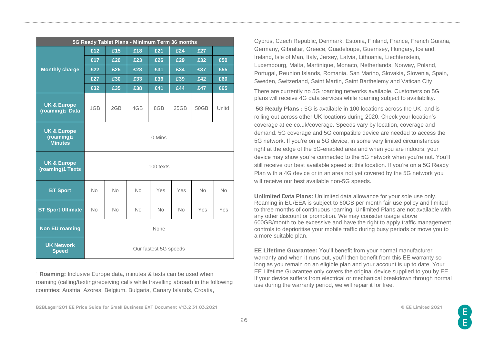| 5G Ready Tablet Plans - Minimum Term 36 months                     |                       |           |           |           |           |           |            |
|--------------------------------------------------------------------|-----------------------|-----------|-----------|-----------|-----------|-----------|------------|
| <b>Monthly charge</b>                                              | £12                   | £15       | £18       | £21       | £24       | £27       |            |
|                                                                    | £17                   | £20       | £23       | £26       | £29       | £32       | £50        |
|                                                                    | £22                   | £25       | £28       | £31       | £34       | £37       | £55        |
|                                                                    | £27                   | £30       | £33       | £36       | £39       | £42       | £60        |
|                                                                    | £32                   | £35       | £38       | £41       | £44       | £47       | £65        |
| <b>UK &amp; Europe</b><br>(roaming) <sup>1</sup> Data              | 1GB                   | 2GB       | 4GB       | 8GB       | 25GB      | 50GB      | Unltd      |
| <b>UK &amp; Europe</b><br>(roaming) <sup>1</sup><br><b>Minutes</b> | 0 Mins                |           |           |           |           |           |            |
| <b>UK &amp; Europe</b><br>(roaming)1 Texts                         | 100 texts             |           |           |           |           |           |            |
| <b>BT Sport</b>                                                    | <b>No</b>             | <b>No</b> | <b>No</b> | Yes       | Yes       | <b>No</b> | <b>No</b>  |
| <b>BT Sport Ultimate</b>                                           | <b>No</b>             | <b>No</b> | <b>No</b> | <b>No</b> | <b>No</b> | Yes       | <b>Yes</b> |
| <b>Non EU roaming</b>                                              | None                  |           |           |           |           |           |            |
| <b>UK Network</b><br><b>Speed</b>                                  | Our fastest 5G speeds |           |           |           |           |           |            |

<sup>1</sup> **Roaming:** Inclusive Europe data, minutes & texts can be used when roaming (calling/texting/receiving calls while travelling abroad) in the following countries: Austria, Azores, Belgium, Bulgaria, Canary Islands, Croatia,

Cyprus, Czech Republic, Denmark, Estonia, Finland, France, French Guiana, Germany, Gibraltar, Greece, Guadeloupe, Guernsey, Hungary, Iceland, Ireland, Isle of Man, Italy, Jersey, Latvia, Lithuania, Liechtenstein, Luxembourg, Malta, Martinique, Monaco, Netherlands, Norway, Poland, Portugal, Reunion Islands, Romania, San Marino, Slovakia, Slovenia, Spain, Sweden, Switzerland, Saint Martin, Saint Barthelemy and Vatican City

There are currently no 5G roaming networks available. Customers on 5G plans will receive 4G data services while roaming subject to availability.

**5G Ready Plans :** 5G is available in 100 locations across the UK, and is rolling out across other UK locations during 2020. Check your location's coverage at ee.co.uk/coverage. Speeds vary by location, coverage and demand. 5G coverage and 5G compatible device are needed to access the 5G network. If you're on a 5G device, in some very limited circumstances right at the edge of the 5G-enabled area and when you are indoors, your device may show you're connected to the 5G network when you're not. You'll still receive our best available speed at this location. If you're on a 5G Ready Plan with a 4G device or in an area not yet covered by the 5G network you will receive our best available non-5G speeds.

**Unlimited Data Plans:** Unlimited data allowance for your sole use only. Roaming in EU/EEA is subject to 60GB per month fair use policy and limited to three months of continuous roaming. Unlimited Plans are not available with any other discount or promotion. We may consider usage above 600GB/month to be excessive and have the right to apply traffic management controls to deprioritise your mobile traffic during busy periods or move you to a more suitable plan.

**EE Lifetime Guarantee:** You'll benefit from your normal manufacturer warranty and when it runs out, you'll then benefit from this EE warranty so long as you remain on an eligible plan and your account is up to date. Your EE Lifetime Guarantee only covers the original device supplied to you by EE. If your device suffers from electrical or mechanical breakdown through normal use during the warranty period, we will repair it for free.

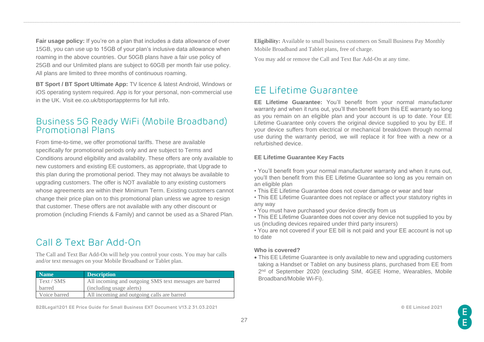**Fair usage policy:** If you're on a plan that includes a data allowance of over 15GB, you can use up to 15GB of your plan's inclusive data allowance when roaming in the above countries. Our 50GB plans have a fair use policy of 25GB and our Unlimited plans are subject to 60GB per month fair use policy. All plans are limited to three months of continuous roaming.

**BT Sport / BT Sport Ultimate App:** TV licence & latest Android, Windows or iOS operating system required. App is for your personal, non-commercial use in the UK. Visit ee.co.uk/btsportappterms for full info.

### <span id="page-26-0"></span>Business 5G Ready WiFi (Mobile Broadband) Promotional Plans

From time-to-time, we offer promotional tariffs. These are available specifically for promotional periods only and are subject to Terms and Conditions around eligibility and availability. These offers are only available to new customers and existing EE customers, as appropriate, that Upgrade to this plan during the promotional period. They may not always be available to upgrading customers. The offer is NOT available to any existing customers whose agreements are within their Minimum Term. Existing customers cannot change their price plan on to this promotional plan unless we agree to resign that customer. These offers are not available with any other discount or promotion (including Friends & Family) and cannot be used as a Shared Plan.

# <span id="page-26-1"></span>Call & Text Bar Add-On

The Call and Text Bar Add-On will help you control your costs. You may bar calls and/or text messages on your Mobile Broadband or Tablet plan.

| Name         | <b>Description</b>                                     |
|--------------|--------------------------------------------------------|
| Text / SMS   | All incoming and outgoing SMS text messages are barred |
| barred       | (including usage alerts)                               |
| Voice barred | All incoming and outgoing calls are barred             |

**B2BLegal1201 EE Price Guide for Small Business EXT Document V13.2 31.03.2021 © EE Limited 2021**

**Eligibility:** Available to small business customers on Small Business Pay Monthly Mobile Broadband and Tablet plans, free of charge.

You may add or remove the Call and Text Bar Add-On at any time.

### <span id="page-26-2"></span>EE Lifetime Guarantee

**EE Lifetime Guarantee:** You'll benefit from your normal manufacturer warranty and when it runs out, you'll then benefit from this EE warranty so long as you remain on an eligible plan and your account is up to date. Your EE Lifetime Guarantee only covers the original device supplied to you by EE. If your device suffers from electrical or mechanical breakdown through normal use during the warranty period, we will replace it for free with a new or a refurbished device.

### **EE Lifetime Guarantee Key Facts**

• You'll benefit from your normal manufacturer warranty and when it runs out, you'll then benefit from this EE Lifetime Guarantee so long as you remain on an eligible plan

- This EE Lifetime Guarantee does not cover damage or wear and tear
- This EE Lifetime Guarantee does not replace or affect your statutory rights in any way
- You must have purchased your device directly from us
- This EE Lifetime Guarantee does not cover any device not supplied to you by us (including devices repaired under third party insurers)
- You are not covered if your EE bill is not paid and your EE account is not up to date

#### **Who is covered?**

• This EE Lifetime Guarantee is only available to new and upgrading customers taking a Handset or Tablet on any business plans, purchased from EE from 2<sup>nd</sup> of September 2020 (excluding SIM, 4GEE Home, Wearables, Mobile Broadband/Mobile Wi-Fi).

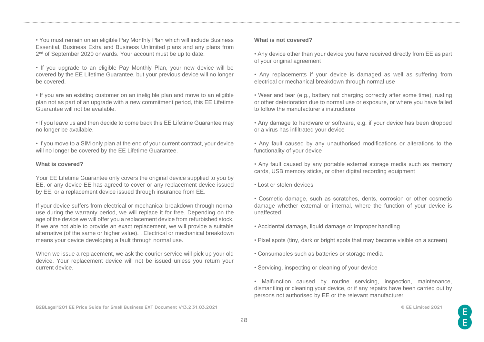• You must remain on an eligible Pay Monthly Plan which will include Business Essential, Business Extra and Business Unlimited plans and any plans from 2<sup>nd</sup> of September 2020 onwards. Your account must be up to date.

- If you upgrade to an eligible Pay Monthly Plan, your new device will be covered by the EE Lifetime Guarantee, but your previous device will no longer be covered.
- If you are an existing customer on an ineligible plan and move to an eligible plan not as part of an upgrade with a new commitment period, this EE Lifetime Guarantee will not be available.
- If you leave us and then decide to come back this EE Lifetime Guarantee may no longer be available.

• If you move to a SIM only plan at the end of your current contract, your device will no longer be covered by the EE Lifetime Guarantee.

### **What is covered?**

Your EE Lifetime Guarantee only covers the original device supplied to you by EE, or any device EE has agreed to cover or any replacement device issued by EE, or a replacement device issued through insurance from EE.

If your device suffers from electrical or mechanical breakdown through normal use during the warranty period, we will replace it for free. Depending on the age of the device we will offer you a replacement device from refurbished stock. If we are not able to provide an exact replacement, we will provide a suitable alternative (of the same or higher value). . Electrical or mechanical breakdown means your device developing a fault through normal use.

When we issue a replacement, we ask the courier service will pick up your old device. Your replacement device will not be issued unless you return your current device.

#### **What is not covered?**

• Any device other than your device you have received directly from EE as part of your original agreement

- Any replacements if your device is damaged as well as suffering from electrical or mechanical breakdown through normal use
- Wear and tear (e.g., battery not charging correctly after some time), rusting or other deterioration due to normal use or exposure, or where you have failed to follow the manufacturer's instructions
- Any damage to hardware or software, e.g. if your device has been dropped or a virus has infiltrated your device
- Any fault caused by any unauthorised modifications or alterations to the functionality of your device
- Any fault caused by any portable external storage media such as memory cards, USB memory sticks, or other digital recording equipment
- Lost or stolen devices
- Cosmetic damage, such as scratches, dents, corrosion or other cosmetic damage whether external or internal, where the function of your device is unaffected
- Accidental damage, liquid damage or improper handling
- Pixel spots (tiny, dark or bright spots that may become visible on a screen)
- Consumables such as batteries or storage media
- Servicing, inspecting or cleaning of your device
- Malfunction caused by routine servicing, inspection, maintenance, dismantling or cleaning your device, or if any repairs have been carried out by persons not authorised by EE or the relevant manufacturer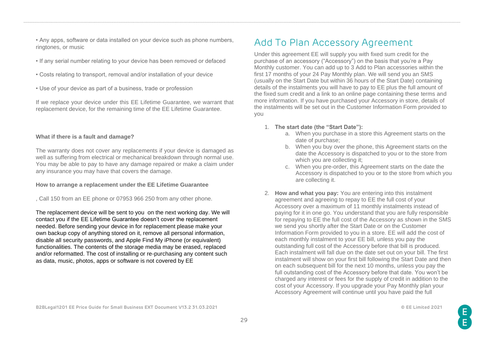• Any apps, software or data installed on your device such as phone numbers, ringtones, or music

- If any serial number relating to your device has been removed or defaced
- Costs relating to transport, removal and/or installation of your device
- Use of your device as part of a business, trade or profession

If we replace your device under this EE Lifetime Guarantee, we warrant that replacement device, for the remaining time of the EE Lifetime Guarantee.

#### **What if there is a fault and damage?**

The warranty does not cover any replacements if your device is damaged as well as suffering from electrical or mechanical breakdown through normal use. You may be able to pay to have any damage repaired or make a claim under any insurance you may have that covers the damage.

#### **How to arrange a replacement under the EE Lifetime Guarantee**

#### , Call 150 from an EE phone or 07953 966 250 from any other phone.

The replacement device will be sent to you on the next working day. We will contact you if the EE Lifetime Guarantee doesn't cover the replacement needed. Before sending your device in for replacement please make your own backup copy of anything stored on it, remove all personal information, disable all security passwords, and Apple Find My iPhone (or equivalent) functionalities. The contents of the storage media may be erased, replaced and/or reformatted. The cost of installing or re-purchasing any content such as data, music, photos, apps or software is not covered by EE

# <span id="page-28-0"></span>Add To Plan Accessory Agreement

Under this agreement EE will supply you with fixed sum credit for the purchase of an accessory ("Accessory") on the basis that you're a Pay Monthly customer. You can add up to 3 Add to Plan accessories within the first 17 months of your 24 Pay Monthly plan. We will send you an SMS (usually on the Start Date but within 36 hours of the Start Date) containing details of the instalments you will have to pay to EE plus the full amount of the fixed sum credit and a link to an online page containing these terms and more information. If you have purchased your Accessory in store, details of the instalments will be set out in the Customer Information Form provided to you

- 1. **The start date (the "Start Date"):** 
	- a. When you purchase in a store this Agreement starts on the date of purchase;
	- b. When you buy over the phone, this Agreement starts on the date the Accessory is dispatched to you or to the store from which you are collecting it;
	- c. When you pre-order, this Agreement starts on the date the Accessory is dispatched to you or to the store from which you are collecting it.
- 2. **How and what you pay:** You are entering into this instalment agreement and agreeing to repay to EE the full cost of your Accessory over a maximum of 11 monthly instalments instead of paying for it in one go. You understand that you are fully responsible for repaying to EE the full cost of the Accessory as shown in the SMS we send you shortly after the Start Date or on the Customer Information Form provided to you in a store. EE will add the cost of each monthly instalment to your EE bill, unless you pay the outstanding full cost of the Accessory before that bill is produced. Each instalment will fall due on the date set out on your bill. The first instalment will show on your first bill following the Start Date and then on each subsequent bill for the next 10 months, unless you pay the full outstanding cost of the Accessory before that date. You won't be charged any interest or fees for the supply of credit in addition to the cost of your Accessory. If you upgrade your Pay Monthly plan your Accessory Agreement will continue until you have paid the full

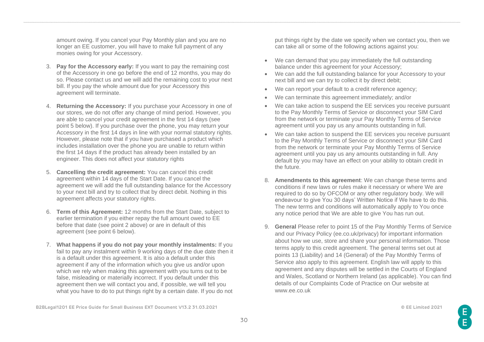amount owing. If you cancel your Pay Monthly plan and you are no longer an EE customer, you will have to make full payment of any monies owing for your Accessory.

- 3. **Pay for the Accessory early:** If you want to pay the remaining cost of the Accessory in one go before the end of 12 months, you may do so. Please contact us and we will add the remaining cost to your next bill. If you pay the whole amount due for your Accessory this agreement will terminate.
- 4. **Returning the Accessory:** If you purchase your Accessory in one of our stores, we do not offer any change of mind period. However, you are able to cancel your credit agreement in the first 14 days (see point 5 below). If you purchase over the phone, you may return your Accessory in the first 14 days in line with your normal statutory rights. However, please note that if you have purchased a product which includes installation over the phone you are unable to return within the first 14 days if the product has already been installed by an engineer. This does not affect your statutory rights
- 5. **Cancelling the credit agreement:** You can cancel this credit agreement within 14 days of the Start Date. If you cancel the agreement we will add the full outstanding balance for the Accessory to your next bill and try to collect that by direct debit. Nothing in this agreement affects your statutory rights.
- 6. **Term of this Agreement:** 12 months from the Start Date, subject to earlier termination if you either repay the full amount owed to EE before that date (see point 2 above) or are in default of this agreement (see point 6 below).
- 7. **What happens if you do not pay your monthly instalments:** If you fail to pay any instalment within 9 working days of the due date then it is a default under this agreement. It is also a default under this agreement if any of the information which you give us and/or upon which we rely when making this agreement with you turns out to be false, misleading or materially incorrect. If you default under this agreement then we will contact you and, if possible, we will tell you what you have to do to put things right by a certain date. If you do not

put things right by the date we specify when we contact you, then we can take all or some of the following actions against you:

- We can demand that you pay immediately the full outstanding balance under this agreement for your Accessory;
- We can add the full outstanding balance for your Accessory to your next bill and we can try to collect it by direct debit;
- We can report your default to a credit reference agency;
- We can terminate this agreement immediately; and/or
- We can take action to suspend the EE services you receive pursuant to the Pay Monthly Terms of Service or disconnect your SIM Card from the network or terminate your Pay Monthly Terms of Service agreement until you pay us any amounts outstanding in full.
- We can take action to suspend the EE services you receive pursuant to the Pay Monthly Terms of Service or disconnect your SIM Card from the network or terminate your Pay Monthly Terms of Service agreement until you pay us any amounts outstanding in full. Any default by you may have an effect on your ability to obtain credit in the future.
- 8. **Amendments to this agreement**: We can change these terms and conditions if new laws or rules make it necessary or where We are required to do so by OFCOM or any other regulatory body. We will endeavour to give You 30 days' Written Notice if We have to do this. The new terms and conditions will automatically apply to You once any notice period that We are able to give You has run out.
- 9. **General** Please refer to point 15 of the Pay Monthly Terms of Service and our Privacy Policy (ee.co.uk/privacy) for important information about how we use, store and share your personal information. Those terms apply to this credit agreement. The general terms set out at points 13 (Liability) and 14 (General) of the Pay Monthly Terms of Service also apply to this agreement. English law will apply to this agreement and any disputes will be settled in the Courts of England and Wales, Scotland or Northern Ireland (as applicable). You can find details of our Complaints Code of Practice on Our website at www.ee.co.uk

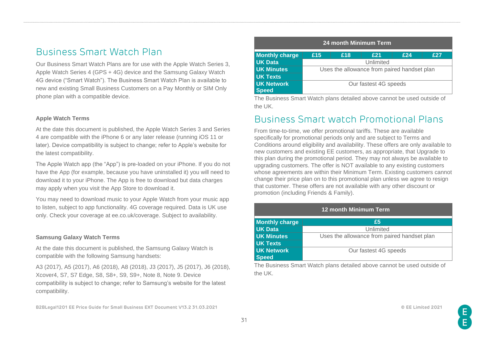# <span id="page-30-0"></span>Business Smart Watch Plan

Our Business Smart Watch Plans are for use with the Apple Watch Series 3, Apple Watch Series 4 (GPS + 4G) device and the Samsung Galaxy Watch 4G device ("Smart Watch"). The Business Smart Watch Plan is available to new and existing Small Business Customers on a Pay Monthly or SIM Only phone plan with a compatible device.

#### **Apple Watch Terms**

At the date this document is published, the Apple Watch Series 3 and Series 4 are compatible with the iPhone 6 or any later release (running iOS 11 or later). Device compatibility is subject to change; refer to Apple's website for the latest compatibility.

The Apple Watch app (the "App") is pre-loaded on your iPhone. If you do not have the App (for example, because you have uninstalled it) you will need to download it to your iPhone. The App is free to download but data charges may apply when you visit the App Store to download it.

You may need to download music to your Apple Watch from your music app to listen, subject to app functionality. 4G coverage required. Data is UK use only. Check your coverage at ee.co.uk/coverage. Subject to availability.

#### **Samsung Galaxy Watch Terms**

At the date this document is published, the Samsung Galaxy Watch is compatible with the following Samsung handsets:

A3 (2017), A5 (2017), A6 (2018), A8 (2018), J3 (2017), J5 (2017), J6 (2018), Xcover4, S7, S7 Edge, S8, S8+, S9, S9+, Note 8, Note 9. Device compatibility is subject to change; refer to Samsung's website for the latest compatibility.

#### **24 month Minimum Term Monthly charge £15 £18 £21 £24 £27 UK Data** Unlimited **UK Minutes** Uses the allowance from paired handset plan **UK Texts UK Network Speed** Our fastest 4G speeds

The Business Smart Watch plans detailed above cannot be used outside of the UK.

### <span id="page-30-1"></span>Business Smart watch Promotional Plans

From time-to-time, we offer promotional tariffs. These are available specifically for promotional periods only and are subject to Terms and Conditions around eligibility and availability. These offers are only available to new customers and existing EE customers, as appropriate, that Upgrade to this plan during the promotional period. They may not always be available to upgrading customers. The offer is NOT available to any existing customers whose agreements are within their Minimum Term. Existing customers cannot change their price plan on to this promotional plan unless we agree to resign that customer. These offers are not available with any other discount or promotion (including Friends & Family).

| 12 month Minimum Term |                                             |  |  |  |
|-----------------------|---------------------------------------------|--|--|--|
| <b>Monthly charge</b> | £5                                          |  |  |  |
| <b>UK Data</b>        | Unlimited                                   |  |  |  |
| <b>UK Minutes</b>     | Uses the allowance from paired handset plan |  |  |  |
| <b>UK Texts</b>       |                                             |  |  |  |
| <b>UK Network</b>     | Our fastest 4G speeds                       |  |  |  |
| <b>Speed</b>          |                                             |  |  |  |

The Business Smart Watch plans detailed above cannot be used outside of the UK.

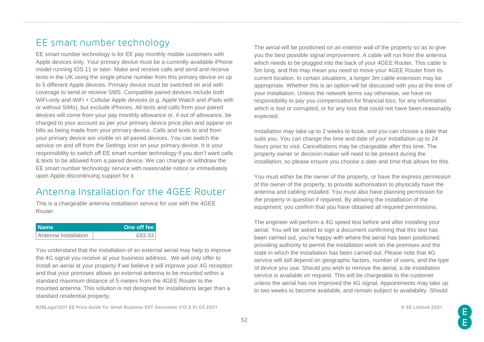# <span id="page-31-0"></span>EE smart number technology

EE smart number technology is for EE pay monthly mobile customers with Apple devices only. Your primary device must be a currently-available iPhone model running iOS 11 or later. Make and receive calls and send and receive texts in the UK using the single phone number from this primary device on up to 5 different Apple devices. Primary device must be switched on and with coverage to send or receive SMS. Compatible paired devices include both WiFi-only and WiFi + Cellular Apple devices (e.g. Apple Watch and iPads with or without SIMs), but exclude iPhones. All texts and calls from your paired devices will come from your pay monthly allowance or, if out of allowance, be charged to your account as per your primary device price plan and appear on bills as being made from your primary device. Calls and texts to and from your primary device are visible on all paired devices. You can switch the service on and off from the Settings icon on your primary device. It is your responsibility to switch off EE smart number technology if you don't want calls & texts to be allowed from a paired device. We can change or withdraw the EE smart number technology service with reasonable notice or immediately upon Apple discontinuing support for it.

# <span id="page-31-1"></span>Antenna Installation for the 4GEE Router

This is a chargeable antenna installation service for use with the 4GEE Router.

| ∣ Name∶              | One off fee |
|----------------------|-------------|
| Antenna Installation | もとろ ろろ      |

You understand that the installation of an external aerial may help to improve the 4G signal you receive at your business address. We will only offer to install an aerial at your property if we believe it will improve your 4G reception and that your premises allows an external antenna to be mounted within a standard maximum distance of 5 meters from the 4GEE Router to the mounted antenna. This solution is not designed for installations larger than a standard residential property.

**B2BLegal1201 EE Price Guide for Small Business EXT Document V13.2 31.03.2021 © EE Limited 2021**

The aerial will be positioned on an exterior wall of the property so as to give you the best possible signal improvement. A cable will run from the antenna which needs to be plugged into the back of your 4GEE Router. This cable is 5m long, and this may mean you need to move your 4GEE Router from its current location. In certain situations, a longer 3m cable extension may be appropriate. Whether this is an option will be discussed with you at the time of your installation. Unless the network terms say otherwise, we have no responsibility to pay you compensation for financial loss, for any information which is lost or corrupted, or for any loss that could not have been reasonably expected.

Installation may take up to 2 weeks to book, and you can choose a date that suits you. You can change the time and date of your installation up to 24 hours prior to visit. Cancellations may be chargeable after this time. The property owner or decision maker will need to be present during the installation, so please ensure you choose a date and time that allows for this.

You must either be the owner of the property, or have the express permission of the owner of the property, to provide authorisation to physically have the antenna and cabling installed. You must also have planning permission for the property in question if required. By allowing the installation of the equipment, you confirm that you have obtained all required permissions.

The engineer will perform a 4G speed test before and after installing your aerial. You will be asked to sign a document confirming that this test has been carried out, you're happy with where the aerial has been positioned, providing authority to permit the installation work on the premises and the state in which the installation has been carried out. Please note that 4G service will still depend on geographic factors, number of users, and the type of device you use. Should you wish to remove the aerial, a de-installation service is available on request. This will be chargeable to the customer unless the aerial has not improved the 4G signal. Appointments may take up to two weeks to become available, and remain subject to availability. Should

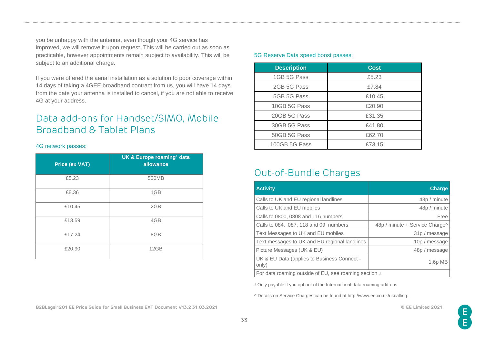you be unhappy with the antenna, even though your 4G service has improved, we will remove it upon request. This will be carried out as soon as practicable, however appointments remain subject to availability. This will be subject to an additional charge.

If you were offered the aerial installation as a solution to poor coverage within 14 days of taking a 4GEE broadband contract from us, you will have 14 days from the date your antenna is installed to cancel, if you are not able to receive 4G at your address.

# <span id="page-32-0"></span>Data add-ons for Handset/SIMO, Mobile Broadband & Tablet Plans

#### <span id="page-32-1"></span>4G network passes:

| <b>Price (ex VAT)</b> | UK & Europe roaming <sup>1</sup> data<br>allowance |
|-----------------------|----------------------------------------------------|
| £5.23                 | 500MB                                              |
| £8.36                 | 1GB                                                |
| £10.45                | 2GB                                                |
| £13.59                | 4GB                                                |
| £17.24                | 8GB                                                |
| £20.90                | 12GB                                               |

#### <span id="page-32-2"></span>5G Reserve Data speed boost passes:

| <b>Description</b> | <b>Cost</b> |
|--------------------|-------------|
| 1GB 5G Pass        | £5.23       |
| 2GB 5G Pass        | £7.84       |
| 5GB 5G Pass        | £10.45      |
| 10GB 5G Pass       | £20.90      |
| 20GB 5G Pass       | £31.35      |
| 30GB 5G Pass       | £41.80      |
| 50GB 5G Pass       | £62.70      |
| 100GB 5G Pass      | £73.15      |

### <span id="page-32-3"></span>Out-of-Bundle Charges

| <b>Activity</b>                                           | <b>Charge</b>                  |  |
|-----------------------------------------------------------|--------------------------------|--|
| Calls to UK and EU regional landlines                     | 48p / minute                   |  |
| Calls to UK and EU mobiles                                | 48p / minute                   |  |
| Calls to 0800, 0808 and 116 numbers                       | Free                           |  |
| Calls to 084, 087, 118 and 09 numbers                     | 48p / minute + Service Charge^ |  |
| Text Messages to UK and EU mobiles                        | 31p / message                  |  |
| Text messages to UK and EU regional landlines             | 10p / message                  |  |
| Picture Messages (UK & EU)                                | 48p / message                  |  |
| UK & EU Data (applies to Business Connect -<br>only)      | $1.6p$ MB                      |  |
| For data roaming outside of EU, see roaming section $\pm$ |                                |  |

±Only payable if you opt out of the International data roaming add-ons

^ Details on Service Charges can be found at [http://www.ee.co.uk/ukcalling.](http://www.ee.co.uk/ukcalling)

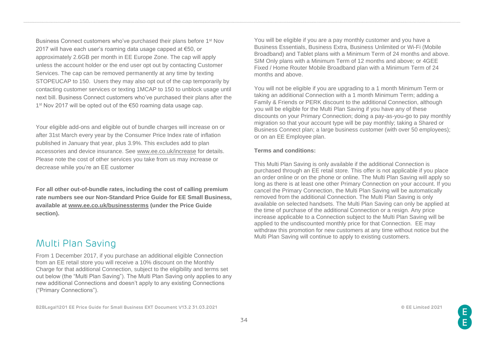Business Connect customers who've purchased their plans before 1st Nov 2017 will have each user's roaming data usage capped at €50, or approximately 2.6GB per month in EE Europe Zone. The cap will apply unless the account holder or the end user opt out by contacting Customer Services. The cap can be removed permanently at any time by texting STOPEUCAP to 150. Users they may also opt out of the cap temporarily by contacting customer services or texting 1MCAP to 150 to unblock usage until next bill. Business Connect customers who've purchased their plans after the 1 st Nov 2017 will be opted out of the €50 roaming data usage cap.

Your eligible add-ons and eligible out of bundle charges will increase on or after 31st March every year by the Consumer Price Index rate of inflation published in January that year, plus 3.9%. This excludes add to plan accessories and device insurance. See [www.ee.co.uk/increase](http://www.ee.co.uk/increase) for details. Please note the cost of other services you take from us may increase or decrease while you're an EE customer

**For all other out-of-bundle rates, including the cost of calling premium rate numbers see our Non-Standard Price Guide for EE Small Business, available at [www.ee.co.uk/businessterms](http://www.ee.co.uk/businessterms) (under the Price Guide section).** 

### <span id="page-33-0"></span>Multi Plan Saving

From 1 December 2017, if you purchase an additional eligible Connection from an EE retail store you will receive a 10% discount on the Monthly Charge for that additional Connection, subject to the eligibility and terms set out below (the "Multi Plan Saving"). The Multi Plan Saving only applies to any new additional Connections and doesn't apply to any existing Connections ("Primary Connections").

**B2BLegal1201 EE Price Guide for Small Business EXT Document V13.2 31.03.2021 © EE Limited 2021**

You will be eligible if you are a pay monthly customer and you have a Business Essentials, Business Extra, Business Unlimited or Wi-Fi (Mobile Broadband) and Tablet plans with a Minimum Term of 24 months and above. SIM Only plans with a Minimum Term of 12 months and above; or 4GEE Fixed / Home Router Mobile Broadband plan with a Minimum Term of 24 months and above.

You will not be eligible if you are upgrading to a 1 month Minimum Term or taking an additional Connection with a 1 month Minimum Term; adding a Family & Friends or PERK discount to the additional Connection, although you will be eligible for the Multi Plan Saving if you have any of these discounts on your Primary Connection; doing a pay-as-you-go to pay monthly migration so that your account type will be pay monthly; taking a Shared or Business Connect plan; a large business customer (with over 50 employees); or on an EE Employee plan.

#### **Terms and conditions:**

This Multi Plan Saving is only available if the additional Connection is purchased through an EE retail store. This offer is not applicable if you place an order online or on the phone or online. The Multi Plan Saving will apply so long as there is at least one other Primary Connection on your account. If you cancel the Primary Connection, the Multi Plan Saving will be automatically removed from the additional Connection. The Multi Plan Saving is only available on selected handsets. The Multi Plan Saving can only be applied at the time of purchase of the additional Connection or a resign. Any price increase applicable to a Connection subject to the Multi Plan Saving will be applied to the undiscounted monthly price for that Connection. EE may withdraw this promotion for new customers at any time without notice but the Multi Plan Saving will continue to apply to existing customers.

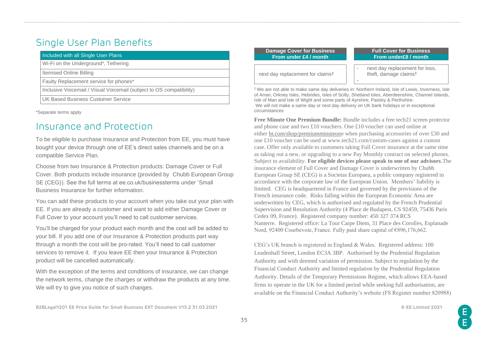# <span id="page-34-0"></span>Single User Plan Benefits

| Included with all Single User Plans                                  |  |
|----------------------------------------------------------------------|--|
| Wi-Fi on the Underground*, Tethering                                 |  |
| Itemised Online Billing                                              |  |
| Faulty Replacement service for phones*                               |  |
| Inclusive Voicemail / Visual Voicemail (subject to OS compatibility) |  |
| UK Based Business Customer Service                                   |  |

<span id="page-34-1"></span>\*Separate terms apply

### Insurance and Protection

To be eligible to purchase Insurance and Protection from EE, you must have bought your device through one of EE's direct sales channels and be on a compatible Service Plan.

Choose from two Insurance & Protection products: Damage Cover or Full Cover. Both products include insurance (provided by Chubb European Group SE (CEG)). See the full terms at ee.co.uk/businessterms under 'Small Business Insurance for further information.

You can add these products to your account when you take out your plan with EE. If you are already a customer and want to add either Damage Cover or Full Cover to your account you'll need to call customer services.

You'll be charged for your product each month and the cost will be added to your bill. If you add one of our Insurance & Protection products part way through a month the cost will be pro-rated. You'll need to call customer services to remove it. If you leave EE then your Insurance & Protection product will be cancelled automatically.

With the exception of the terms and conditions of insurance, we can change the network terms, change the charges or withdraw the products at any time. We will try to give you notice of such changes.

| Damage Cover for Business<br>From under £4 / month | <b>Full Cover for Business</b><br>From under£8 / month                                    |
|----------------------------------------------------|-------------------------------------------------------------------------------------------|
| next day replacement for claims <sup>‡</sup>       | next day replacement for loss,<br>theft, damage claims <sup>‡</sup>                       |
|                                                    | Ve are not able to make same day deliveries in: Northern Ireland, Isle of Lewis, Invernes |

nverness, Isle of Arran, Orkney Isles, Hebrides, Isles of Scilly, Shetland Isles, Aberdeenshire, Channel Islands, Isle of Man and Isle of Wight and some parts of Ayrshire, Paisley & Perthshire. We will not make a same day or next day delivery on UK bank holidays or in exceptional circumstances

**Free Minute One Premium Bundle:** Bundle includes a free tech21 screen protector and phone case and two £10 vouchers. One £10 voucher can used online at either [bt.com/shop/premiumminuteone](https://bt.com/shop/premiumminuteone) when purchasing accessories of over £30 and one £10 voucher can be used at www.tech21.com/custom-cases against a custom case. Offer only available to customers taking Full Cover insurance at the same time as taking out a new, or upgrading to a new Pay Monthly contract on selected phones. Subject to availability. **For eligible devices please speak to one of our advisors**.The insurance element of Full Cover and Damage Cover is underwritten by Chubb European Group SE (CEG) is a Societas Europaea, a public company registered in accordance with the corporate law of the European Union. Members' liability is limited. CEG is headquartered in France and governed by the provisions of the French insurance code. Risks falling within the European Economic Area are underwritten by CEG, which is authorised and regulated by the French Prudential Supervision and Resolution Authority (4 Place de Budapest, CS 92459, 75436 Paris Cedex 09, France). Registered company number: 450 327 374 RCS Nanterre. Registered office: La Tour Carpe Diem, 31 Place des Corolles, Esplanade Nord, 92400 Courbevoie, France. Fully paid share capital of €896,176,662.

CEG's UK branch is registered in England & Wales. Registered address: 100 Leadenhall Street, London EC3A 3BP. Authorised by the Prudential Regulation Authority and with deemed variation of permission. Subject to regulation by the Financial Conduct Authority and limited regulation by the Prudential Regulation Authority. Details of the Temporary Permissions Regime, which allows EEA-based firms to operate in the UK for a limited period while seeking full authorisation, are available on the Financial Conduct Authority's website (FS Register number 820988)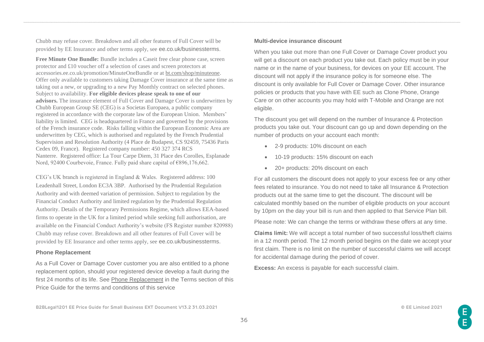Chubb may refuse cover. Breakdown and all other features of Full Cover will be provided by EE Insurance and other terms apply, see ee.co.uk/businessterms.

**Free Minute One Bundle:** Bundle includes a Caseit free clear phone case, screen protector and £10 voucher off a selection of cases and screen protectors at accessories.ee.co.uk/promotion/MinuteOneBundle or at [bt.com/shop/minuteone.](https://bt.com/shop/minuteone) Offer only available to customers taking Damage Cover insurance at the same time as taking out a new, or upgrading to a new Pay Monthly contract on selected phones. Subject to availability. **For eligible devices please speak to one of our advisors.** The insurance element of Full Cover and Damage Cover is underwritten by Chubb European Group SE (CEG) is a Societas Europaea, a public company registered in accordance with the corporate law of the European Union. Members' liability is limited. CEG is headquartered in France and governed by the provisions of the French insurance code. Risks falling within the European Economic Area are underwritten by CEG, which is authorised and regulated by the French Prudential Supervision and Resolution Authority (4 Place de Budapest, CS 92459, 75436 Paris Cedex 09, France). Registered company number: 450 327 374 RCS Nanterre. Registered office: La Tour Carpe Diem, 31 Place des Corolles, Esplanade Nord, 92400 Courbevoie, France. Fully paid share capital of €896,176,662.

CEG's UK branch is registered in England & Wales. Registered address: 100 Leadenhall Street, London EC3A 3BP. Authorised by the Prudential Regulation Authority and with deemed variation of permission. Subject to regulation by the Financial Conduct Authority and limited regulation by the Prudential Regulation Authority. Details of the Temporary Permissions Regime, which allows EEA-based firms to operate in the UK for a limited period while seeking full authorisation, are available on the Financial Conduct Authority's website (FS Register number 820988) Chubb may refuse cover. Breakdown and all other features of Full Cover will be provided by EE Insurance and other terms apply, see ee.co.uk/businessterms.

#### **Phone Replacement**

As a Full Cover or Damage Cover customer you are also entitled to a phone replacement option, should your registered device develop a fault during the first 24 months of its life. See [Phone Replacement](#page-64-0) in the Terms section of this Price Guide for the terms and conditions of this service

### **Multi-device insurance discount**

When you take out more than one Full Cover or Damage Cover product you will get a discount on each product you take out. Each policy must be in your name or in the name of your business, for devices on your EE account. The discount will not apply if the insurance policy is for someone else. The discount is only available for Full Cover or Damage Cover. Other insurance policies or products that you have with EE such as Clone Phone, Orange Care or on other accounts you may hold with T-Mobile and Orange are not eligible.

The discount you get will depend on the number of Insurance & Protection products you take out. Your discount can go up and down depending on the number of products on your account each month:

- 2-9 products: 10% discount on each
- 10-19 products: 15% discount on each
- 20+ products: 20% discount on each

For all customers the discount does not apply to your excess fee or any other fees related to insurance. You do not need to take all Insurance & Protection products out at the same time to get the discount. The discount will be calculated monthly based on the number of eligible products on your account by 10pm on the day your bill is run and then applied to that Service Plan bill.

Please note: We can change the terms or withdraw these offers at any time.

**Claims limit:** We will accept a total number of two successful loss/theft claims in a 12 month period. The 12 month period begins on the date we accept your first claim. There is no limit on the number of successful claims we will accept for accidental damage during the period of cover.

**Excess:** An excess is payable for each successful claim.

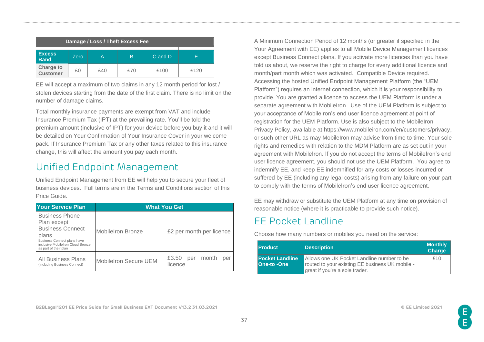| Damage / Loss / Theft Excess Fee |       |     |     |         |      |
|----------------------------------|-------|-----|-----|---------|------|
| <b>Excess</b><br><b>Band</b>     | Zero. | A   | B   | C and D | F    |
| <b>Charge to</b><br>Customer     | £Ο    | f40 | £70 | £100    | £120 |

EE will accept a maximum of two claims in any 12 month period for lost / stolen devices starting from the date of the first claim. There is no limit on the number of damage claims.

Total monthly insurance payments are exempt from VAT and include Insurance Premium Tax (IPT) at the prevailing rate. You'll be told the premium amount (inclusive of IPT) for your device before you buy it and it will be detailed on Your Confirmation of Your Insurance Cover in your welcome pack. If Insurance Premium Tax or any other taxes related to this insurance change, this will affect the amount you pay each month.

# Unified Endpoint Management

Unified Endpoint Management from EE will help you to secure your fleet of business devices. Full terms are in the Terms and Conditions section of this Price Guide.

| <b>Your Service Plan</b>                                                                                                                                              | <b>What You Get</b>          |                                         |  |
|-----------------------------------------------------------------------------------------------------------------------------------------------------------------------|------------------------------|-----------------------------------------|--|
| <b>Business Phone</b><br>Plan except<br><b>Business Connect</b><br>plans<br>Business Connect plans have<br>inclusive MobileIron Cloud Bronze<br>as part of their plan | <b>MobileIron Bronze</b>     | £2 per month per licence                |  |
| <b>All Business Plans</b><br>(including Business Connect)                                                                                                             | <b>MobileIron Secure UEM</b> | £3.50<br>month<br>per<br>per<br>licence |  |

A Minimum Connection Period of 12 months (or greater if specified in the Your Agreement with EE) applies to all Mobile Device Management licences except Business Connect plans. If you activate more licences than you have told us about, we reserve the right to charge for every additional licence and month/part month which was activated. Compatible Device required. Accessing the hosted Unified Endpoint Management Platform (the "UEM Platform") requires an internet connection, which it is your responsibility to provide. You are granted a licence to access the UEM Platform is under a separate agreement with MobileIron. Use of the UEM Platform is subject to your acceptance of MobileIron's end user licence agreement at point of registration for the UEM Platform. Use is also subject to the MobileIron Privacy Policy, available at [https://www.mobileiron.com/en/customers/privacy,](https://www.mobileiron.com/en/customers/privacy) or such other URL as may MobileIron may advise from time to time. Your sole rights and remedies with relation to the MDM Platform are as set out in your agreement with MobileIron. If you do not accept the terms of MobileIron's end user licence agreement, you should not use the UEM Platform. You agree to indemnify EE, and keep EE indemnified for any costs or losses incurred or suffered by EE (including any legal costs) arising from any failure on your part to comply with the terms of MobileIron's end user licence agreement.

EE may withdraw or substitute the UEM Platform at any time on provision of reasonable notice (where it is practicable to provide such notice).

## EE Pocket Landline

Choose how many numbers or mobiles you need on the service:

| <b>Product</b>                        | <b>Description</b>                                                                                                              | <b>Monthly</b><br>Charge |
|---------------------------------------|---------------------------------------------------------------------------------------------------------------------------------|--------------------------|
| <b>Pocket Landline</b><br>One-to -One | Allows one UK Pocket Landline number to be<br>routed to your existing EE business UK mobile -<br>great if you're a sole trader. | f10                      |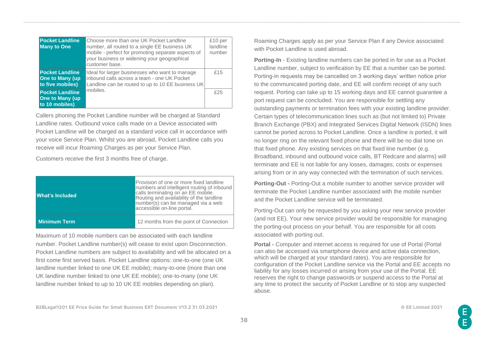| <b>Pocket Landline</b><br><b>Many to One</b>                         | Choose more than one UK Pocket Landline<br>number, all routed to a single EE business UK<br>mobile - perfect for promoting separate aspects of<br>your business or widening your geographical<br>customer base. | £10 per<br>landline<br>number |
|----------------------------------------------------------------------|-----------------------------------------------------------------------------------------------------------------------------------------------------------------------------------------------------------------|-------------------------------|
| <b>Pocket Landline</b><br><b>One to Many (up</b><br>to five mobiles) | Ideal for larger businesses who want to manage<br>inbound calls across a team - one UK Pocket<br>Landline can be routed to up to 10 EE business UK                                                              | £15                           |
| <b>Pocket Landline</b><br><b>One to Many (up</b><br>to 10 mobiles)   | mobiles.                                                                                                                                                                                                        | £25                           |

Callers phoning the Pocket Landline number will be charged at Standard Landline rates. Outbound voice calls made on a Device associated with Pocket Landline will be charged as a standard voice call in accordance with your voice Service Plan. Whilst you are abroad, Pocket Landline calls you receive will incur Roaming Charges as per your Service Plan.

Customers receive the first 3 months free of charge.

| What's Included     | Provision of one or more fixed landline<br>numbers and intelligent routing of inbound<br>calls terminating on an EE mobile.<br>Routing and availability of the landline<br>number(s) can be managed via a web<br>accessible on-line portal. |
|---------------------|---------------------------------------------------------------------------------------------------------------------------------------------------------------------------------------------------------------------------------------------|
| <b>Minimum Term</b> | 12 months from the point of Connection                                                                                                                                                                                                      |

Maximum of 10 mobile numbers can be associated with each landline number. Pocket Landline number(s) will cease to exist upon Disconnection. Pocket Landline numbers are subject to availability and will be allocated on a first come first served basis. Pocket Landline options: one-to-one (one UK landline number linked to one UK EE mobile); many-to-one (more than one UK landline number linked to one UK EE mobile); one-to-many (one UK landline number linked to up to 10 UK EE mobiles depending on plan).

Roaming Charges apply as per your Service Plan if any Device associated with Pocket Landline is used abroad.

**Porting-In** - Existing landline numbers can be ported in for use as a Pocket Landline number, subject to verification by EE that a number can be ported. Porting-in requests may be cancelled on 3 working days' written notice prior to the communicated porting date, and EE will confirm receipt of any such request. Porting can take up to 15 working days and EE cannot guarantee a port request can be concluded. You are responsible for settling any outstanding payments or termination fees with your existing landline provider. Certain types of telecommunication lines such as (but not limited to) Private Branch Exchange (PBX) and Integrated Services Digital Network (ISDN) lines cannot be ported across to Pocket Landline. Once a landline is ported, it will no longer ring on the relevant fixed phone and there will be no dial tone on that fixed phone. Any existing services on that fixed line number (e.g. Broadband, inbound and outbound voice calls, BT Redcare and alarms) will terminate and EE is not liable for any losses, damages, costs or expenses arising from or in any way connected with the termination of such services.

**Porting-Out -** Porting-Out a mobile number to another service provider will terminate the Pocket Landline number associated with the mobile number and the Pocket Landline service will be terminated.

Porting-Out can only be requested by you asking your new service provider (and not EE). Your new service provider would be responsible for managing the porting-out process on your behalf. You are responsible for all costs associated with porting out.

**Portal -** Computer and internet access is required for use of Portal (Portal can also be accessed via smartphone device and active data connection, which will be charged at your standard rates). You are responsible for configuration of the Pocket Landline service via the Portal and EE accepts no liability for any losses incurred or arising from your use of the Portal. EE reserves the right to change passwords or suspend access to the Portal at any time to protect the security of Pocket Landline or to stop any suspected abuse.

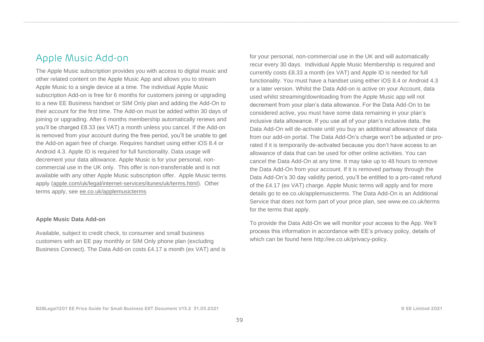## Apple Music Add-on

The Apple Music subscription provides you with access to digital music and other related content on the Apple Music App and allows you to stream Apple Music to a single device at a time. The individual Apple Music subscription Add-on is free for 6 months for customers joining or upgrading to a new EE Business handset or SIM Only plan and adding the Add-On to their account for the first time. The Add-on must be added within 30 days of joining or upgrading. After 6 months membership automatically renews and you'll be charged £8.33 (ex VAT) a month unless you cancel. If the Add-on is removed from your account during the free period, you'll be unable to get the Add-on again free of charge. Requires handset using either iOS 8.4 or Android 4.3. Apple ID is required for full functionality. Data usage will decrement your data allowance. Apple Music is for your personal, noncommercial use in the UK only. This offer is non-transferrable and is not available with any other Apple Music subscription offer. Apple Music terms apply [\(apple.com/uk/legal/internet-services/itunes/uk/terms.html\)](http://apple.com/uk/legal/internet-services/itunes/uk/terms.html). Other terms apply, see [ee.co.uk/applemusicterms](http://ee.co.uk/applemusicterms)

#### **Apple Music Data Add-on**

Available, subject to credit check, to consumer and small business customers with an EE pay monthly or SIM Only phone plan (excluding Business Connect). The Data Add-on costs £4.17 a month (ex VAT) and is

for your personal, non-commercial use in the UK and will automatically recur every 30 days. Individual Apple Music Membership is required and currently costs £8.33 a month (ex VAT) and Apple ID is needed for full functionality. You must have a handset using either iOS 8.4 or Android 4.3 or a later version. Whilst the Data Add-on is active on your Account, data used whilst streaming/downloading from the Apple Music app will not decrement from your plan's data allowance. For the Data Add-On to be considered active, you must have some data remaining in your plan's inclusive data allowance. If you use all of your plan's inclusive data, the Data Add-On will de-activate until you buy an additional allowance of data from our add-on portal. The Data Add-On's charge won't be adjusted or prorated if it is temporarily de-activated because you don't have access to an allowance of data that can be used for other online activities. You can cancel the Data Add-On at any time. It may take up to 48 hours to remove the Data Add-On from your account. If it is removed partway through the Data Add-On's 30 day validity period, you'll be entitled to a pro-rated refund of the £4.17 (ex VAT) charge. Apple Music terms will apply and for more details go to ee.co.uk/applemusicterms. The Data Add-On is an Additional Service that does not form part of your price plan, see www.ee.co.uk/terms for the terms that apply.

To provide the Data Add-On we will monitor your access to the App. We'll process this information in accordance with EE's privacy policy, details of which can be found here http://ee.co.uk/privacy-policy.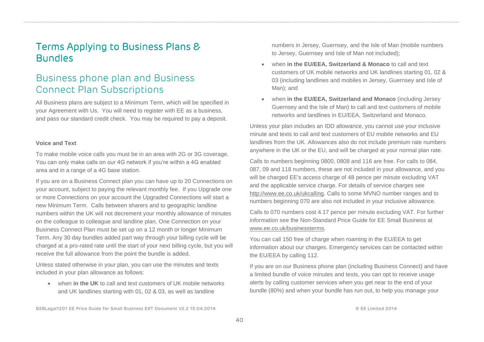# Terms Applying to Business Plans & Bundles

# Business phone plan and Business Connect Plan Subscriptions

All Business plans are subject to a Minimum Term, which will be specified in your Agreement with Us. You will need to register with EE as a business, and pass our standard credit check. You may be required to pay a deposit.

#### **Voice and Text**

To make mobile voice calls you must be in an area with 2G or 3G coverage. You can only make calls on our 4G network if you're within a 4G enabled area and in a range of a 4G base station.

If you are on a Business Connect plan you can have up to 20 Connections on your account, subject to paying the relevant monthly fee. If you Upgrade one or more Connections on your account the Upgraded Connections will start a new Minimum Term. Calls between sharers and to geographic landline numbers within the UK will not decrement your monthly allowance of minutes on the colleague to colleague and landline plan. One Connection on your Business Connect Plan must be set up on a 12 month or longer Minimum Term. Any 30 day bundles added part way through your billing cycle will be charged at a pro-rated rate until the start of your next billing cycle, but you will receive the full allowance from the point the bundle is added.

Unless stated otherwise in your plan, you can use the minutes and texts included in your plan allowance as follows:

• when **in the UK** to call and text customers of UK mobile networks and UK landlines starting with 01, 02 & 03, as well as landline

numbers in Jersey, Guernsey, and the Isle of Man (mobile numbers to Jersey, Guernsey and Isle of Man not included);

- when **in the EU/EEA, Switzerland & Monaco** to call and text customers of UK mobile networks and UK landlines starting 01, 02 & 03 (including landlines and mobiles in Jersey, Guernsey and Isle of Man); and
- when **in the EU/EEA, Switzerland and Monaco** (including Jersey Guernsey and the Isle of Man) to call and text customers of mobile networks and landlines in EU/EEA, Switzerland and Monaco.

Unless your plan includes an IDD allowance, you cannot use your inclusive minute and texts to call and text customers of EU mobile networks and EU landlines from the UK. Allowances also do not include premium rate numbers anywhere in the UK or the EU, and will be charged at your normal plan rate.

Calls to numbers beginning 0800, 0808 and 116 are free. For calls to 084, 087, 09 and 118 numbers, these are not included in your allowance, and you will be charged EE's access charge of 48 pence per minute excluding VAT and the applicable service charge. For details of service charges see [http://www.ee.co.uk/ukcalling.](http://www.ee.co.uk/ukcalling) Calls to some MVNO number ranges and to numbers beginning 070 are also not included in your inclusive allowance.

Calls to 070 numbers cost 4.17 pence per minute excluding VAT. For further information see the Non-Standard Price Guide for EE Small Business at [www.ee.co.uk/businessterms.](http://www.ee.co.uk/businessterms)

You can call 150 free of charge when roaming in the EU/EEA to get information about our charges. Emergency services can be contacted within the EU/EEA by calling 112.

If you are on our Business phone plan (including Business Connect) and have a limited bundle of voice minutes and texts, you can opt to receive usage alerts by calling customer services when you get near to the end of your bundle (80%) and when your bundle has run out, to help you manage your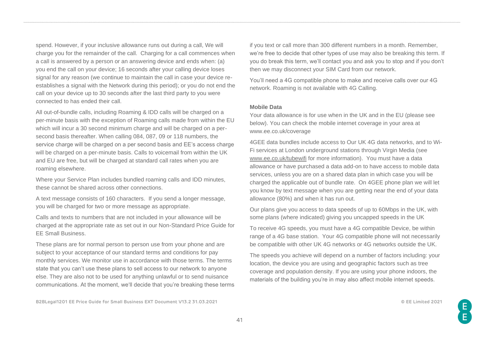spend. However, if your inclusive allowance runs out during a call, We will charge you for the remainder of the call. Charging for a call commences when a call is answered by a person or an answering device and ends when: (a) you end the call on your device; 16 seconds after your calling device loses signal for any reason (we continue to maintain the call in case your device reestablishes a signal with the Network during this period); or you do not end the call on your device up to 30 seconds after the last third party to you were connected to has ended their call.

All out-of-bundle calls, including Roaming & IDD calls will be charged on a per-minute basis with the exception of Roaming calls made from within the EU which will incur a 30 second minimum charge and will be charged on a persecond basis thereafter. When calling 084, 087, 09 or 118 numbers, the service charge will be charged on a per second basis and EE's access charge will be charged on a per-minute basis. Calls to voicemail from within the UK and EU are free, but will be charged at standard call rates when you are roaming elsewhere.

Where your Service Plan includes bundled roaming calls and IDD minutes, these cannot be shared across other connections.

A text message consists of 160 characters. If you send a longer message, you will be charged for two or more message as appropriate.

Calls and texts to numbers that are not included in your allowance will be charged at the appropriate rate as set out in our Non-Standard Price Guide for EE Small Business.

These plans are for normal person to person use from your phone and are subject to your acceptance of our standard terms and conditions for pay monthly services. We monitor use in accordance with those terms. The terms state that you can't use these plans to sell access to our network to anyone else. They are also not to be used for anything unlawful or to send nuisance communications. At the moment, we'll decide that you're breaking these terms if you text or call more than 300 different numbers in a month. Remember, we're free to decide that other types of use may also be breaking this term. If you do break this term, we'll contact you and ask you to stop and if you don't then we may disconnect your SIM Card from our network.

You'll need a 4G compatible phone to make and receive calls over our 4G network. Roaming is not available with 4G Calling.

#### **Mobile Data**

Your data allowance is for use when in the UK and in the EU (please see below). You can check the mobile internet coverage in your area at www.ee.co.uk/coverage

4GEE data bundles include access to Our UK 4G data networks, and to Wi-Fi services at London underground stations through Virgin Media (see [www.ee.co.uk/tubewifi](http://www.ee.co.uk/tubewifi) for more information). You must have a data allowance or have purchased a data add-on to have access to mobile data services, unless you are on a shared data plan in which case you will be charged the applicable out of bundle rate. On 4GEE phone plan we will let you know by text message when you are getting near the end of your data allowance (80%) and when it has run out.

Our plans give you access to data speeds of up to 60Mbps in the UK, with some plans (where indicated) giving you uncapped speeds in the UK

To receive 4G speeds, you must have a 4G compatible Device, be within range of a 4G base station. Your 4G compatible phone will not necessarily be compatible with other UK 4G networks or 4G networks outside the UK.

The speeds you achieve will depend on a number of factors including: your location, the device you are using and geographic factors such as tree coverage and population density. If you are using your phone indoors, the materials of the building you're in may also affect mobile internet speeds.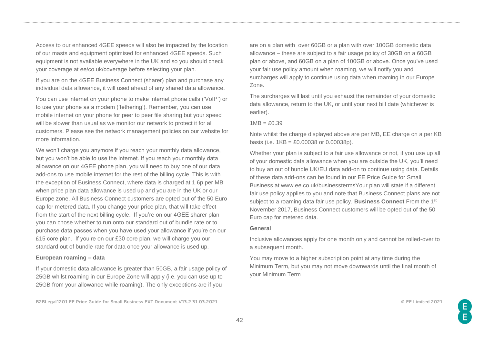Access to our enhanced 4GEE speeds will also be impacted by the location of our masts and equipment optimised for enhanced 4GEE speeds. Such equipment is not available everywhere in the UK and so you should check your coverage at ee/co.uk/coverage before selecting your plan.

If you are on the 4GEE Business Connect (sharer) plan and purchase any individual data allowance, it will used ahead of any shared data allowance.

You can use internet on your phone to make internet phone calls ('VoIP') or to use your phone as a modem ('tethering'). Remember, you can use mobile internet on your phone for peer to peer file sharing but your speed will be slower than usual as we monitor our network to protect it for all customers. Please see the network management policies on our website for more information.

We won't charge you anymore if you reach your monthly data allowance, but you won't be able to use the internet. If you reach your monthly data allowance on our 4GEE phone plan, you will need to buy one of our data add-ons to use mobile internet for the rest of the billing cycle. This is with the exception of Business Connect, where data is charged at 1.6p per MB when price plan data allowance is used up and you are in the UK or our Europe zone. All Business Connect customers are opted out of the 50 Euro cap for metered data. If you change your price plan, that will take effect from the start of the next billing cycle. If you're on our 4GEE sharer plan you can chose whether to run onto our standard out of bundle rate or to purchase data passes when you have used your allowance if you're on our £15 core plan. If you're on our £30 core plan, we will charge you our standard out of bundle rate for data once your allowance is used up.

#### **European roaming – data**

If your domestic data allowance is greater than 50GB, a fair usage policy of 25GB whilst roaming in our Europe Zone will apply (i.e. you can use up to 25GB from your allowance while roaming). The only exceptions are if you

**B2BLegal1201 EE Price Guide for Small Business EXT Document V13.2 31.03.2021 © EE Limited 2021**

are on a plan with over 60GB or a plan with over 100GB domestic data allowance – these are subject to a fair usage policy of 30GB on a 60GB plan or above, and 60GB on a plan of 100GB or above. Once you've used your fair use policy amount when roaming, we will notify you and surcharges will apply to continue using data when roaming in our Europe Zone.

The surcharges will last until you exhaust the remainder of your domestic data allowance, return to the UK, or until your next bill date (whichever is earlier).

 $1MB = f0.39$ 

Note whilst the charge displayed above are per MB, EE charge on a per KB basis (i.e.  $1KB = £0.00038$  or  $0.00038p$ ).

Whether your plan is subject to a fair use allowance or not, if you use up all of your domestic data allowance when you are outside the UK, you'll need to buy an out of bundle UK/EU data add-on to continue using data. Details of these data add-ons can be found in our EE Price Guide for Small Business at www.ee.co.uk/businesstermsYour plan will state if a different fair use policy applies to you and note that Business Connect plans are not subject to a roaming data fair use policy. **Business Connect** From the 1st November 2017, Business Connect customers will be opted out of the 50 Euro cap for metered data.

#### **General**

Inclusive allowances apply for one month only and cannot be rolled-over to a subsequent month.

You may move to a higher subscription point at any time during the Minimum Term, but you may not move downwards until the final month of your Minimum Term

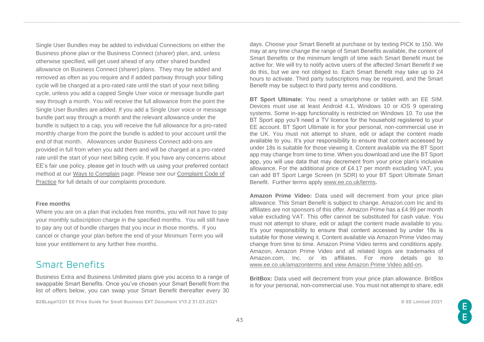Single User Bundles may be added to individual Connections on either the Business phone plan or the Business Connect (sharer) plan, and, unless otherwise specified, will get used ahead of any other shared bundled allowance on Business Connect (sharer) plans. They may be added and removed as often as you require and if added partway through your billing cycle will be charged at a pro-rated rate until the start of your next billing cycle, unless you add a capped Single User voice or message bundle part way through a month. You will receive the full allowance from the point the Single User Bundles are added. If you add a Single User voice or message bundle part way through a month and the relevant allowance under the bundle is subject to a cap, you will receive the full allowance for a pro-rated monthly charge from the point the bundle is added to your account until the end of that month. Allowances under Business Connect add-ons are provided in full from when you add them and will be charged at a pro-rated rate until the start of your next billing cycle. If you have any concerns about EE's fair use policy, please get in touch with us using your preferred contact method at our [Ways to Complain](http://ee.co.uk/help/safety-and-security/security/ways-to-complain) page. Please see our [Complaint Code of](http://ee.co.uk/help/safety-and-security/security/complaints-code-of-practice)  [Practice](http://ee.co.uk/help/safety-and-security/security/complaints-code-of-practice) for full details of our complaints procedure.

#### **Free months**

Where you are on a plan that includes free months, you will not have to pay your monthly subscription charge in the specified months. You will still have to pay any out of bundle charges that you incur in those months. If you cancel or change your plan before the end of your Minimum Term you will lose your entitlement to any further free months.

## Smart Benefits

Business Extra and Business Unlimited plans give you access to a range of swappable Smart Benefits. Once you've chosen your Smart Benefit from the list of offers below, you can swap your Smart Benefit thereafter every 30

**B2BLegal1201 EE Price Guide for Small Business EXT Document V13.2 31.03.2021 © EE Limited 2021**

days. Choose your Smart Benefit at purchase or by texting PICK to 150. We may at any time change the range of Smart Benefits available, the content of Smart Benefits or the minimum length of time each Smart Benefit must be active for. We will try to notify active users of the affected Smart Benefit if we do this, but we are not obliged to. Each Smart Benefit may take up to 24 hours to activate. Third party subscriptions may be required, and the Smart Benefit may be subject to third party terms and conditions.

**BT Sport Ultimate:** You need a smartphone or tablet with an EE SIM. Devices must use at least Android 4.1, Windows 10 or iOS 9 operating systems. Some in-app functionality is restricted on Windows 10. To use the BT Sport app you'll need a TV licence for the household registered to your EE account. BT Sport Ultimate is for your personal, non-commercial use in the UK. You must not attempt to share, edit or adapt the content made available to you. It's your responsibility to ensure that content accessed by under 18s is suitable for those viewing it. Content available via the BT Sport app may change from time to time. When you download and use the BT Sport app, you will use data that may decrement from your price plan's inclusive allowance. For the additional price of £4.17 per month excluding VAT, you can add BT Sport Large Screen (in SDR) to your BT Sport Ultimate Smart Benefit. Further terms apply [www.ee.co.uk/terms.](http://www.ee.co.uk/terms)

**Amazon Prime Video:** Data used will decrement from your price plan allowance. This Smart Benefit is subject to change. Amazon.com Inc and its affiliates are not sponsors of this offer. Amazon Prime has a £4.99 per month value excluding VAT. This offer cannot be substituted for cash value. You must not attempt to share, edit or adapt the content made available to you. It's your responsibility to ensure that content accessed by under 18s is suitable for those viewing it. Content available via Amazon Prime Video may change from time to time. Amazon Prime Video terms and conditions apply. Amazon, Amazon Prime Video and all related logos are trademarks of Amazon.com, Inc. or its affiliates. For more details go to [www.ee.co.uk/amazonterms](http://www.ee.co.uk/amazonterms) and view Amazon Prime Video add-on.

**BritBox:** Data used will decrement from your price plan allowance. BritBox is for your personal, non-commercial use. You must not attempt to share, edit

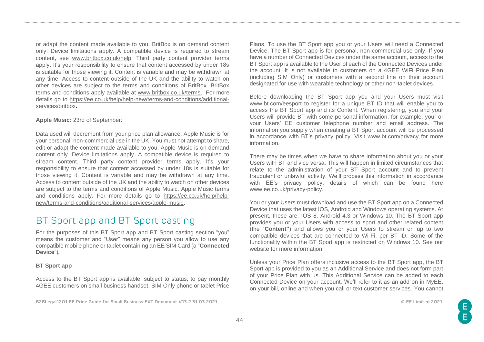or adapt the content made available to you. BritBox is on demand content only. Device limitations apply. A compatible device is required to stream content, see [www.britbox.co.uk/help.](http://www.britbox.co.uk/help) Third party content provider terms apply. It's your responsibility to ensure that content accessed by under 18s is suitable for those viewing it. Content is variable and may be withdrawn at any time. Access to content outside of the UK and the ability to watch on other devices are subject to the terms and conditions of BritBox. BritBox terms and conditions apply available at [www.britbox.co.uk/terms.](http://www.britbox.co.uk/terms) For more details go to [https://ee.co.uk/help/help-new/terms-and-conditions/additional](https://ee.co.uk/help/help-new/terms-and-conditions/additional-services/britbox)[services/britbox.](https://ee.co.uk/help/help-new/terms-and-conditions/additional-services/britbox)

#### **Apple Music:** 23rd of September:

Data used will decrement from your price plan allowance. Apple Music is for your personal, non-commercial use in the UK. You must not attempt to share, edit or adapt the content made available to you. Apple Music is on demand content only. Device limitations apply. A compatible device is required to stream content. Third party content provider terms apply. It's your responsibility to ensure that content accessed by under 18s is suitable for those viewing it. Content is variable and may be withdrawn at any time. Access to content outside of the UK and the ability to watch on other devices are subject to the terms and conditions of Apple Music. Apple Music terms and conditions apply. For more details go to [https://ee.co.uk/help/help](https://ee.co.uk/help/help-new/terms-and-conditions/additional-services/apple-music)[new/terms-and-conditions/additional-services/apple-music.](https://ee.co.uk/help/help-new/terms-and-conditions/additional-services/apple-music)

## BT Sport app and BT Sport casting

For the purposes of this BT Sport app and BT Sport casting section "you" means the customer and "User" means any person you allow to use any compatible mobile phone or tablet containing an EE SIM Card (a "**Connected Device**")**.**

#### **BT Sport app**

Access to the BT Sport app is available, subject to status, to pay monthly 4GEE customers on small business handset, SIM Only phone or tablet Price

**B2BLegal1201 EE Price Guide for Small Business EXT Document V13.2 31.03.2021 © EE Limited 2021**

Plans. To use the BT Sport app you or your Users will need a Connected Device. The BT Sport app is for personal, non-commercial use only. If you have a number of Connected Devices under the same account, access to the BT Sport app is available to the User of each of the Connected Devices under the account. It is not available to customers on a 4GEE WiFi Price Plan (including SIM Only) or customers with a second line on their account designated for use with wearable technology or other non-tablet devices.

Before downloading the BT Sport app you and your Users must visit [www.bt.com/eesport t](http://www.bt.com/eesport)o register for a unique BT ID that will enable you to access the BT Sport app and its Content. When registering, you and your Users will provide BT with some personal information, for example, your or your Users' EE customer telephone number and email address. The information you supply when creating a BT Sport account will be processed in accordance with BT's privacy policy. Visit [www.bt.com/privacy f](http://www.bt.com/privacy)or more information.

There may be times when we have to share information about you or your Users with BT and vice versa. This will happen in limited circumstances that relate to the administration of your BT Sport account and to prevent fraudulent or unlawful activity. We'll process this information in accordance with EE's privacy policy, details of which can be found here [www.ee.co.uk/privacy-policy.](http://www.ee.co.uk/privacy-policy)

You or your Users must download and use the BT Sport app on a Connected Device that uses the latest IOS, Android and Windows operating systems. At present, these are: IOS 8, Android 4.3 or Windows 10. The BT Sport app provides you or your Users with access to sport and other related content (the "**Content"**) and allows you or your Users to stream on up to two compatible devices that are connected to Wi-Fi, per BT ID. Some of the functionality within the BT Sport app is restricted on Windows 10. See our website for more information.

Unless your Price Plan offers inclusive access to the BT Sport app, the BT Sport app is provided to you as an Additional Service and does not form part of your Price Plan with us. This Additional Service can be added to each Connected Device on your account. We'll refer to it as an add-on in MyEE, on your bill, online and when you call or text customer services. You cannot

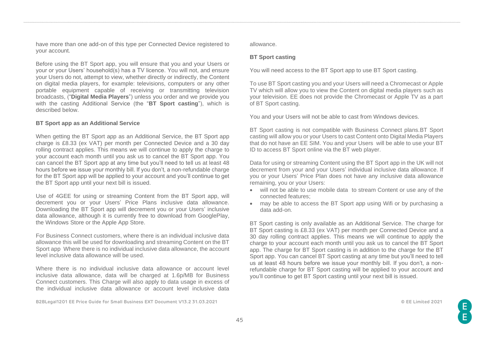have more than one add-on of this type per Connected Device registered to your account.

Before using the BT Sport app, you will ensure that you and your Users or your or your Users' household(s) has a TV licence. You will not, and ensure your Users do not, attempt to view, whether directly or indirectly, the Content on digital media players, for example: televisions, computers or any other portable equipment capable of receiving or transmitting television broadcasts, ("**Digital Media Players**") unless you order and we provide you with the casting Additional Service (the "**BT Sport casting**"), which is described below.

#### **BT Sport app as an Additional Service**

When getting the BT Sport app as an Additional Service, the BT Sport app charge is £8.33 (ex VAT) per month per Connected Device and a 30 day rolling contract applies. This means we will continue to apply the charge to your account each month until you ask us to cancel the BT Sport app. You can cancel the BT Sport app at any time but you'll need to tell us at least 48 hours before we issue your monthly bill. If you don't, a non-refundable charge for the BT Sport app will be applied to your account and you'll continue to get the BT Sport app until your next bill is issued.

Use of 4GEE for using or streaming Content from the BT Sport app, will decrement you or your Users' Price Plans inclusive data allowance. Downloading the BT Sport app will decrement you or your Users' inclusive data allowance, although it is currently free to download from GooglePlay, the Windows Store or the Apple App Store.

For Business Connect customers, where there is an individual inclusive data allowance this will be used for downloading and streaming Content on the BT Sport app Where there is no individual inclusive data allowance, the account level inclusive data allowance will be used.

Where there is no individual inclusive data allowance or account level inclusive data allowance, data will be charged at 1.6p/MB for Business Connect customers. This Charge will also apply to data usage in excess of the individual inclusive data allowance or account level inclusive data

**B2BLegal1201 EE Price Guide for Small Business EXT Document V13.2 31.03.2021 © EE Limited 2021**

allowance.

#### **BT Sport casting**

You will need access to the BT Sport app to use BT Sport casting.

To use BT Sport casting you and your Users will need a Chromecast or Apple TV which will allow you to view the Content on digital media players such as your television. EE does not provide the Chromecast or Apple TV as a part of BT Sport casting.

You and your Users will not be able to cast from Windows devices.

BT Sport casting is not compatible with Business Connect plans.BT Sport casting will allow you or your Users to cast Content onto Digital Media Players that do not have an EE SIM. You and your Users will be able to use your BT ID to access BT Sport online via the BT web player.

Data for using or streaming Content using the BT Sport app in the UK will not decrement from your and your Users' individual inclusive data allowance. If you or your Users' Price Plan does not have any inclusive data allowance remaining, you or your Users:

- will not be able to use mobile data to stream Content or use any of the connected features;
- may be able to access the BT Sport app using Wifi or by purchasing a data add-on.

BT Sport casting is only available as an Additional Service. The charge for BT Sport casting is £8.33 (ex VAT) per month per Connected Device and a 30 day rolling contract applies. This means we will continue to apply the charge to your account each month until you ask us to cancel the BT Sport app. The charge for BT Sport casting is in addition to the charge for the BT Sport app. You can cancel BT Sport casting at any time but you'll need to tell us at least 48 hours before we issue your monthly bill. If you don't, a nonrefundable charge for BT Sport casting will be applied to your account and you'll continue to get BT Sport casting until your next bill is issued.

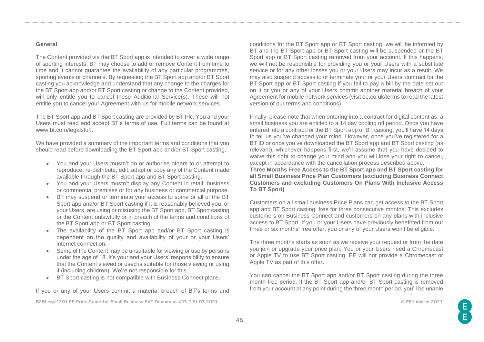#### **General**

The Content provided via the BT Sport app is intended to cover a wide range of sporting interests. BT may choose to add or remove Content from time to time and it cannot quarantee the availability of any particular programmes, sporting events or channels. By requesting the BT Sport app and/or BT Sport casting you acknowledge and understand that any change to the charges for the BT Sport app and/or BT Sport casting or change to the Content provided, will only entitle you to cancel these Additional Service(s). These will not entitle you to cancel your Agreement with us for mobile network services.

The BT Sport app and BT Sport casting are provided by BT Plc. You and your Users must read and accept BT's terms of use. Full terms can be found at [www.bt.com/legalstuff.](http://www.bt.com/legalstuff)

We have provided a summary of the important terms and conditions that you should read before downloading the BT Sport app and/or BT Sport casting.

- You and your Users mustn't do or authorise others to or attempt to reproduce, re-distribute, edit, adapt or copy any of the Content made available through the BT Sport app and BT Sport casting.
- You and your Users mustn't display any Content in retail, business or commercial premises or for any business or commercial purpose.
- BT may suspend or terminate your access to some or all of the BT Sport app and/or BT Sport casting if it is reasonably believed you, or your Users, are using or misusing the BT Sport app, BT Sport casting or the Content unlawfully or in breach of the terms and conditions of the BT Sport app or BT Sport casting.
- The availability of the BT Sport app and/or BT Sport casting is dependent on the quality and availability of your or your Users' internet connection.
- Some of the Content may be unsuitable for viewing or use by persons under the age of 18. It's your and your Users' responsibility to ensure that the Content viewed or used is suitable for those viewing or using it (including children). We're not responsible for this.
- BT Sport casting is not compatible with Business Connect plans.

If you or any of your Users commit a material breach of BT's terms and

**B2BLegal1201 EE Price Guide for Small Business EXT Document V13.2 31.03.2021 © EE Limited 2021**

conditions for the BT Sport app or BT Sport casting, we will be informed by BT and the BT Sport app or BT Sport casting will be suspended or the BT Sport app or BT Sport casting removed from your account. If this happens, we will not be responsible for providing you or your Users with a substitute service or for any other losses you or your Users may incur as a result. We may also suspend access to or terminate your or your Users' contract for the BT Sport app or BT Sport casting if you fail to pay a bill by the date set out on it or you or any of your Users commit another material breach of your Agreement for mobile network services (visit ee.co.uk/terms to read the latest version of our terms and conditions).

Finally, please note that when entering into a contract for digital content as a small business you are entitled to a 14 day cooling off period. Once you have entered into a contract for the BT Sport app or BT casting, you'll have 14 days to tell us you've changed your mind. However, once you've registered for a BT ID or once you've downloaded the BT Sport app and BT Sport casting (as relevant), whichever happens first, we'll assume that you have decided to waive this right to change your mind and you will lose your right to cancel, except in accordance with the cancellation process described above.

**Three Months Free Access to the BT Sport app and BT Sport casting for all Small Business Price Plan Customers (excluding Business Connect Customers and excluding Customers On Plans With Inclusive Access To BT Sport)**

Customers on all small business Price Plans can get access to the BT Sport app and BT Sport casting, free for three consecutive months. This excludes customers on Business Connect and customers on any plans with inclusive access to BT Sport. If you or your Users have previously benefitted from our three or six months' free offer, you or any of your Users won't be eligible.

The three months starts as soon as we receive your request or from the date you join or upgrade your price plan. You or your Users need a Chromecast or Apple TV to use BT Sport casting. EE will not provide a Chromecast or Apple TV as part of this offer.

You can cancel the BT Sport app and/or BT Sport casting during the three month free period. If the BT Sport app and/or BT Sport casting is removed from your account at any point during the three month period, you'll be unable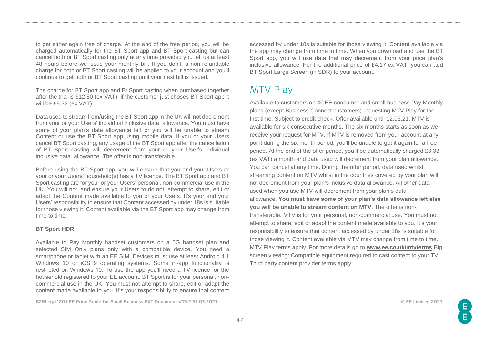to get either again free of charge. At the end of the free period, you will be charged automatically for the BT Sport app and BT Sport casting but can cancel both or BT Sport casting only at any time provided you tell us at least 48 hours before we issue your monthly bill. If you don't, a non-refundable charge for both or BT Sport casting will be applied to your account and you'll continue to get both or BT Sport casting until your next bill is issued.

The charge for BT Sport app and Bt Sport casting when purchased together after the trial is £12.50 (ex VAT), if the customer just choses BT Sport app it will be £8.33 (ex VAT)

Data used to stream from/using the BT Sport app in the UK will not decrement from your or your Users' individual inclusive data allowance. You must have some of your plan's data allowance left or you will be unable to stream Content or use the BT Sport app using mobile data. If you or your Users cancel BT Sport casting, any usage of the BT Sport app after the cancellation of BT Sport casting will decrement from your or your User's individual inclusive data allowance. The offer is non-transferable.

Before using the BT Sport app, you will ensure that you and your Users or your or your Users' household(s) has a TV licence. The BT Sport app and BT Sport casting are for your or your Users' personal, non-commercial use in the UK. You will not, and ensure your Users to do not, attempt to share, edit or adapt the Content made available to you or your Users. It's your and your Users' responsibility to ensure that Content accessed by under 18s is suitable for those viewing it. Content available via the BT Sport app may change from time to time.

#### **BT Sport HDR**

Available to Pay Monthly handset customers on a 5G handset plan and selected SIM Only plans only with a compatible device. You need a smartphone or tablet with an EE SIM. Devices must use at least Android 4.1 Windows 10 or iOS 9 operating systems. Some in-app functionality is restricted on Windows 10. To use the app you'll need a TV licence for the household registered to your EE account. BT Sport is for your personal, noncommercial use in the UK. You must not attempt to share, edit or adapt the content made available to you. It's your responsibility to ensure that content

**B2BLegal1201 EE Price Guide for Small Business EXT Document V13.2 31.03.2021 © EE Limited 2021**

accessed by under 18s is suitable for those viewing it. Content available via the app may change from time to time. When you download and use the BT Sport app, you will use data that may decrement from your price plan's inclusive allowance. For the additional price of £4.17 ex VAT, you can add BT Sport Large Screen (in SDR) to your account.

## MTV Play

Available to customers on 4GEE consumer and small business Pay Monthly plans (except Business Connect customers) requesting MTV Play for the first time. Subject to credit check. Offer available until 12.03.21. MTV is available for six consecutive months. The six months starts as soon as we receive your request for MTV. If MTV is removed from your account at any point during the six month period, you'll be unable to get it again for a free period. At the end of the offer period, you'll be automatically charged £3.33 (ex VAT) a month and data used will decrement from your plan allowance. You can cancel at any time. During the offer period, data used whilst streaming content on MTV whilst in the countries covered by your plan will not decrement from your plan's inclusive data allowance. All other data used when you use MTV will decrement from your plan's data allowance. **You must have some of your plan's data allowance left else you will be unable to stream content on MTV**. The offer is nontransferable. MTV is for your personal, non-commercial use. You must not attempt to share, edit or adapt the content made available to you. It's your responsibility to ensure that content accessed by under 18s is suitable for those viewing it. Content available via MTV may change from time to time. MTV Play terms apply. For more details go to **[www.ee.co.uk/mtvterms](http://www.ee.co.uk/mtvterms)** Big screen viewing: Compatible equipment required to cast content to your TV. Third party content provider terms apply.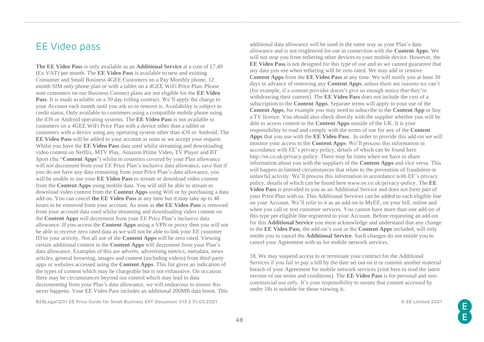## EE Video pass

**The EE Video Pass** is only available as an **Additional Service** at a cost of £7.49 (Ex VAT) per month. The **EE Video Pass** is available to new and existing Consumer and Small Business 4GEE Customers on a Pay Monthly phone, 12 month SIM only phone plan or with a tablet on a 4GEE WiFi Price Plan. Please note customers on our Business Connect plans are not eligible for the **EE Video Pass**. It is made available on a 30 day rolling contract. We'll apply the charge to your Account each month until you ask us to remove it. Availability is subject to credit status. Only available to customers using a compatible mobile phone using the iOS or Android operating systems. The **EE Video Pass** is not available to customers on a 4GEE WiFi Price Plan with a device other than a tablet or customers with a device using any operating system other than iOS or Android. The **EE Video Pass** will be added to your account as soon as we accept your request. Whilst you have the **EE Video Pass** data used whilst streaming and downloading video content on Netflix, MTV Play, Amazon Prime Video, TV Player and BT Sport (the "**Content Apps**") whilst in countries covered by your Plan allowance will not decrement from your EE Price Plan's inclusive data allowance, save that if you do not have any data remaining from your Price Plan's data allowance, you will be unable to use your **EE Video Pass** to stream or download video content from the **Content Apps** using mobile data. You will still be able to stream or download video content from the **Content Apps** using Wifi or by purchasing a data add-on. You can cancel **the EE Video Pass** at any time but it may take up to 48 hours to be removed from your account. As soon as **the EE Video Pass** is removed from your account data used whilst streaming and downloading video content on the **Content Apps** will decrement from your EE Price Plan's inclusive data allowance. If you access the **Content Apps** using a VPN or proxy then you will not be able to receive zero rated data as we will not be able to link your EE customer ID to your activity. Not all use of the **Content Apps** will be zero rated. Viewing certain additional content in the **Content Apps** will decrement from your Plan's data allowance. Examples of this are adverts, advertising metrics, metadata, news articles, general browsing, images and content (including videos) from third party apps or websites accessed using the **Content Apps**. This list gives an indication of the types of content which may be chargeable but is not exhaustive. On occasion there may be circumstances beyond our control which may lead to data decrementing from your Plan's data allowance, we will endeavour to ensure this never happens. Your EE Video Pass includes an additional 200MB data boost. This

**B2BLegal1201 EE Price Guide for Small Business EXT Document V13.2 31.03.2021 © EE Limited 2021**

additional data allowance will be used in the same way as your Plan's data allowance and is not ringfenced for use in connection with the **Content Apps**. We will not stop you from tethering other devices to your mobile device. However, the **EE Video Pass** is not designed for this type of use and so we cannot guarantee that any data you use when tethering will be zero rated. We may add or remove **Content Apps** from the **EE Video Pass** at any time. We will notify you at least 30 days in advance of removing any **Content Apps**, unless there are reasons we can't (for example, if a content provider doesn't give us enough notice that they're withdrawing their content). The **EE Video Pass** does not include the cost of a subscription to the **Content Apps**. Separate terms will apply to your use of the **Content Apps**, for example you may need to subscribe to the **Content App** or buy a TV licence. You should also check directly with the supplier whether you will be able to access content in the **Content Apps** outside of the UK. It is your responsibility to read and comply with the terms of use for any of the **Content Apps** that you use with the **EE Video Pass**. In order to provide this add-on we will monitor your access to the **Content Apps**. We'll process this information in accordance with EE's privacy policy, details of which can be found here http://ee.co.uk/privacy-policy. There may be times when we have to share information about you with the suppliers of the **Content Apps** and vice versa. This will happen in limited circumstances that relate to the prevention of fraudulent or unlawful activity. We'll process this information in accordance with EE's privacy policy, details of which can be found here www.ee.co.uk/privacy-policy. The **EE Video Pass** is provided to you as an Additional Service and does not form part of your Price Plan with us. This Additional Services can be added to each eligible line on your Account. We'll refer to it as an add-on in MyEE, on your bill, online and when you call or text customer services. You cannot have more than one add-on of this type per eligible line registered to your Account. Before requesting an add-on for this **Additional Service** you must acknowledge and understand that any change to the **EE Video Pass**, the add-on's cost or the **Content Apps** included, will only entitle you to cancel the **Additional Service**. Such changes do not entitle you to cancel your Agreement with us for mobile network services.

18. We may suspend access to or terminate your contract for the Additional Services if you fail to pay a bill by the date set out on it or commit another material breach of your Agreement for mobile network services (visit here to read the latest version of our terms and conditions). The **EE Video Pass** is for personal and noncommercial use only. It's your responsibility to ensure that content accessed by under 18s is suitable for those viewing it.

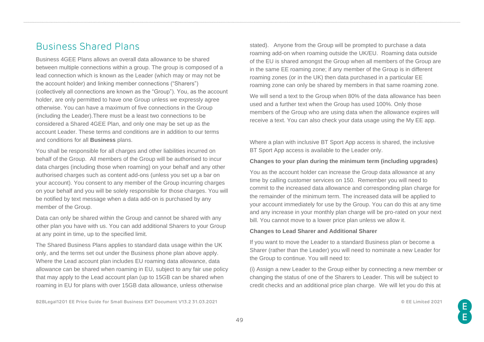# Business Shared Plans

Business 4GEE Plans allows an overall data allowance to be shared between multiple connections within a group. The group is composed of a lead connection which is known as the Leader (which may or may not be the account holder) and linking member connections ("Sharers") (collectively all connections are known as the "Group"). You, as the account holder, are only permitted to have one Group unless we expressly agree otherwise. You can have a maximum of five connections in the Group (including the Leader).There must be a least two connections to be considered a Shared 4GEE Plan, and only one may be set up as the account Leader. These terms and conditions are in addition to our terms and conditions for all **Business** plans.

You shall be responsible for all charges and other liabilities incurred on behalf of the Group. All members of the Group will be authorised to incur data charges (including those when roaming) on your behalf and any other authorised charges such as content add-ons (unless you set up a bar on your account). You consent to any member of the Group incurring charges on your behalf and you will be solely responsible for those charges. You will be notified by text message when a data add-on is purchased by any member of the Group.

Data can only be shared within the Group and cannot be shared with any other plan you have with us. You can add additional Sharers to your Group at any point in time, up to the specified limit.

The Shared Business Plans applies to standard data usage within the UK only, and the terms set out under the Business phone plan above apply. Where the Lead account plan includes EU roaming data allowance, data allowance can be shared when roaming in EU, subject to any fair use policy that may apply to the Lead account plan (up to 15GB can be shared when roaming in EU for plans with over 15GB data allowance, unless otherwise

stated). Anyone from the Group will be prompted to purchase a data roaming add-on when roaming outside the UK/EU. Roaming data outside of the EU is shared amongst the Group when all members of the Group are in the same EE roaming zone; if any member of the Group is in different roaming zones (or in the UK) then data purchased in a particular EE roaming zone can only be shared by members in that same roaming zone.

We will send a text to the Group when 80% of the data allowance has been used and a further text when the Group has used 100%. Only those members of the Group who are using data when the allowance expires will receive a text. You can also check your data usage using the My EE app.

Where a plan with inclusive BT Sport App access is shared, the inclusive BT Sport App access is available to the Leader only.

### **Changes to your plan during the minimum term (including upgrades)**

You as the account holder can increase the Group data allowance at any time by calling customer services on 150. Remember you will need to commit to the increased data allowance and corresponding plan charge for the remainder of the minimum term. The increased data will be applied to your account immediately for use by the Group. You can do this at any time and any increase in your monthly plan charge will be pro-rated on your next bill. You cannot move to a lower price plan unless we allow it.

#### **Changes to Lead Sharer and Additional Sharer**

If you want to move the Leader to a standard Business plan or become a Sharer (rather than the Leader) you will need to nominate a new Leader for the Group to continue. You will need to:

(i) Assign a new Leader to the Group either by connecting a new member or changing the status of one of the Sharers to Leader. This will be subject to credit checks and an additional price plan charge. We will let you do this at

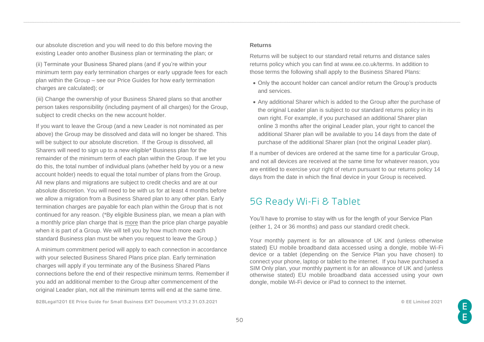our absolute discretion and you will need to do this before moving the existing Leader onto another Business plan or terminating the plan; or

(ii) Terminate your Business Shared plans (and if you're within your minimum term pay early termination charges or early upgrade fees for each plan within the Group – see our Price Guides for how early termination charges are calculated); or

(iii) Change the ownership of your Business Shared plans so that another person takes responsibility (including payment of all charges) for the Group, subject to credit checks on the new account holder.

If you want to leave the Group (and a new Leader is not nominated as per above) the Group may be dissolved and data will no longer be shared. This will be subject to our absolute discretion. If the Group is dissolved, all Sharers will need to sign up to a new eligible\* Business plan for the remainder of the minimum term of each plan within the Group. If we let you do this, the total number of individual plans (whether held by you or a new account holder) needs to equal the total number of plans from the Group. All new plans and migrations are subject to credit checks and are at our absolute discretion. You will need to be with us for at least 4 months before we allow a migration from a Business Shared plan to any other plan. Early termination charges are payable for each plan within the Group that is not continued for any reason. (\*By eligible Business plan, we mean a plan with a monthly price plan charge that is more than the price plan charge payable when it is part of a Group. We will tell you by how much more each standard Business plan must be when you request to leave the Group.)

A minimum commitment period will apply to each connection in accordance with your selected Business Shared Plans price plan. Early termination charges will apply if you terminate any of the Business Shared Plans connections before the end of their respective minimum terms. Remember if you add an additional member to the Group after commencement of the original Leader plan, not all the minimum terms will end at the same time.

**B2BLegal1201 EE Price Guide for Small Business EXT Document V13.2 31.03.2021 © EE Limited 2021**

#### **Returns**

Returns will be subject to our standard retail returns and distance sales returns policy which you can find at www.ee.co.uk/terms. In addition to those terms the following shall apply to the Business Shared Plans:

- Only the account holder can cancel and/or return the Group's products and services.
- Any additional Sharer which is added to the Group after the purchase of the original Leader plan is subject to our standard returns policy in its own right. For example, if you purchased an additional Sharer plan online 3 months after the original Leader plan, your right to cancel the additional Sharer plan will be available to you 14 days from the date of purchase of the additional Sharer plan (not the original Leader plan).

If a number of devices are ordered at the same time for a particular Group, and not all devices are received at the same time for whatever reason, you are entitled to exercise your right of return pursuant to our returns policy 14 days from the date in which the final device in your Group is received.

## 5G Ready Wi-Fi & Tablet

You'll have to promise to stay with us for the length of your Service Plan (either 1, 24 or 36 months) and pass our standard credit check.

Your monthly payment is for an allowance of UK and (unless otherwise stated) EU mobile broadband data accessed using a dongle, mobile Wi-Fi device or a tablet (depending on the Service Plan you have chosen) to connect your phone, laptop or tablet to the internet. If you have purchased a SIM Only plan, your monthly payment is for an allowance of UK and (unless otherwise stated) EU mobile broadband data accessed using your own dongle, mobile Wi-Fi device or iPad to connect to the internet.

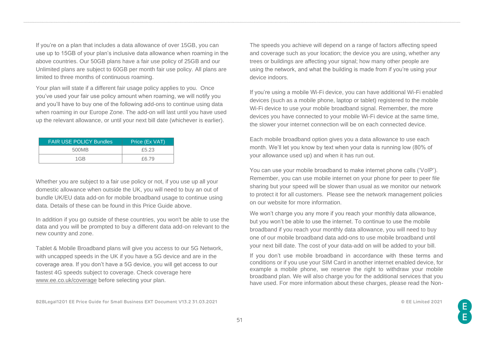If you're on a plan that includes a data allowance of over 15GB, you can use up to 15GB of your plan's inclusive data allowance when roaming in the above countries. Our 50GB plans have a fair use policy of 25GB and our Unlimited plans are subject to 60GB per month fair use policy. All plans are limited to three months of continuous roaming.

Your plan will state if a different fair usage policy applies to you. Once you've used your fair use policy amount when roaming, we will notify you and you'll have to buy one of the following add-ons to continue using data when roaming in our Europe Zone. The add-on will last until you have used up the relevant allowance, or until your next bill date (whichever is earlier).

| <b>FAIR USE POLICY Bundles</b> | Price (Ex VAT) |
|--------------------------------|----------------|
| 500MB                          | £5.23          |
| $1$ GR                         | £6.79          |

Whether you are subject to a fair use policy or not, if you use up all your domestic allowance when outside the UK, you will need to buy an out of bundle UK/EU data add-on for mobile broadband usage to continue using data. Details of these can be found in this Price Guide above.

In addition if you go outside of these countries, you won't be able to use the data and you will be prompted to buy a different data add-on relevant to the new country and zone.

Tablet & Mobile Broadband plans will give you access to our 5G Network, with uncapped speeds in the UK if you have a 5G device and are in the coverage area. If you don't have a 5G device, you will get access to our fastest 4G speeds subject to coverage. Check coverage here [www.ee.co.uk/coverage](http://www.ee.co.uk/coverage) before selecting your plan.

The speeds you achieve will depend on a range of factors affecting speed and coverage such as your location; the device you are using, whether any trees or buildings are affecting your signal; how many other people are using the network, and what the building is made from if you're using your device indoors.

If you're using a mobile Wi-Fi device, you can have additional Wi-Fi enabled devices (such as a mobile phone, laptop or tablet) registered to the mobile Wi-Fi device to use your mobile broadband signal. Remember, the more devices you have connected to your mobile Wi-Fi device at the same time, the slower your internet connection will be on each connected device.

Each mobile broadband option gives you a data allowance to use each month. We'll let you know by text when your data is running low (80% of your allowance used up) and when it has run out.

You can use your mobile broadband to make internet phone calls ('VoIP'). Remember, you can use mobile internet on your phone for peer to peer file sharing but your speed will be slower than usual as we monitor our network to protect it for all customers. Please see the network management policies on our website for more information.

We won't charge you any more if you reach your monthly data allowance, but you won't be able to use the internet. To continue to use the mobile broadband if you reach your monthly data allowance, you will need to buy one of our mobile broadband data add-ons to use mobile broadband until your next bill date. The cost of your data-add on will be added to your bill.

If you don't use mobile broadband in accordance with these terms and conditions or if you use your SIM Card in another internet enabled device, for example a mobile phone, we reserve the right to withdraw your mobile broadband plan. We will also charge you for the additional services that you have used. For more information about these charges, please read the Non-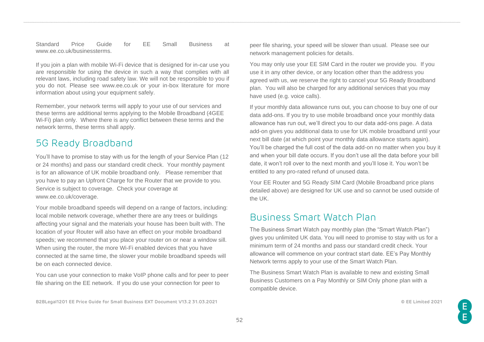#### Standard Price Guide for EE Small Business at www.ee.co.uk/businessterms.

If you join a plan with mobile Wi-Fi device that is designed for in-car use you are responsible for using the device in such a way that complies with all relevant laws, including road safety law. We will not be responsible to you if you do not. Please see www.ee.co.uk or your in-box literature for more information about using your equipment safely.

Remember, your network terms will apply to your use of our services and these terms are additional terms applying to the Mobile Broadband (4GEE Wi-Fi) plan only. Where there is any conflict between these terms and the network terms, these terms shall apply.

# 5G Ready Broadband

You'll have to promise to stay with us for the length of your Service Plan (12 or 24 months) and pass our standard credit check. Your monthly payment is for an allowance of UK mobile broadband only. Please remember that you have to pay an Upfront Charge for the Router that we provide to you. Service is subject to coverage. Check your coverage at www.ee.co.uk/coverage.

Your mobile broadband speeds will depend on a range of factors, including: local mobile network coverage, whether there are any trees or buildings affecting your signal and the materials your house has been built with. The location of your Router will also have an effect on your mobile broadband speeds; we recommend that you place your router on or near a window sill. When using the router, the more Wi-Fi enabled devices that you have connected at the same time, the slower your mobile broadband speeds will be on each connected device.

You can use your connection to make VoIP phone calls and for peer to peer file sharing on the EE network. If you do use your connection for peer to

**B2BLegal1201 EE Price Guide for Small Business EXT Document V13.2 31.03.2021 © EE Limited 2021**

peer file sharing, your speed will be slower than usual. Please see our network management policies for details.

You may only use your EE SIM Card in the router we provide you. If you use it in any other device, or any location other than the address you agreed with us, we reserve the right to cancel your 5G Ready Broadband plan. You will also be charged for any additional services that you may have used (e.g. voice calls).

If your monthly data allowance runs out, you can choose to buy one of our data add-ons. If you try to use mobile broadband once your monthly data allowance has run out, we'll direct you to our data add-ons page. A data add-on gives you additional data to use for UK mobile broadband until your next bill date (at which point your monthly data allowance starts again). You'll be charged the full cost of the data add-on no matter when you buy it and when your bill date occurs. If you don't use all the data before your bill date, it won't roll over to the next month and you'll lose it. You won't be entitled to any pro-rated refund of unused data.

Your EE Router and 5G Ready SIM Card (Mobile Broadband price plans detailed above) are designed for UK use and so cannot be used outside of the UK.

## Business Smart Watch Plan

The Business Smart Watch pay monthly plan (the "Smart Watch Plan") gives you unlimited UK data. You will need to promise to stay with us for a minimum term of 24 months and pass our standard credit check. Your allowance will commence on your contract start date. EE's Pay Monthly Network terms apply to your use of the Smart Watch Plan.

The Business Smart Watch Plan is available to new and existing Small Business Customers on a Pay Monthly or SIM Only phone plan with a compatible device.

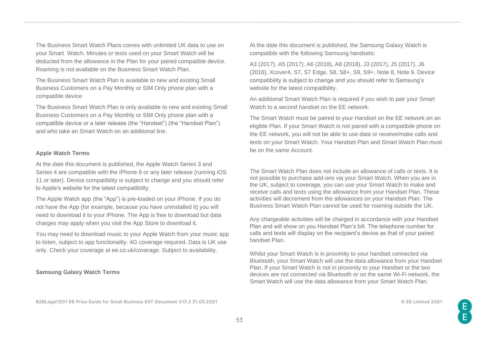The Business Smart Watch Plans comes with unlimited UK data to use on your Smart Watch. Minutes or texts used on your Smart Watch will be deducted from the allowance in the Plan for your paired compatible device. Roaming is not available on the Business Smart Watch Plan.

The Business Smart Watch Plan is available to new and existing Small Business Customers on a Pay Monthly or SIM Only phone plan with a compatible device

The Business Smart Watch Plan is only available to new and existing Small Business Customers on a Pay Monthly or SIM Only phone plan with a compatible device or a later release (the "Handset") (the "Handset Plan") and who take an Smart Watch on an additional line.

#### **Apple Watch Terms**

At the date this document is published, the Apple Watch Series 3 and Series 4 are compatible with the iPhone 6 or any later release (running iOS 11 or later). Device compatibility is subject to change and you should refer to Apple's website for the latest compatibility.

The Apple Watch app (the "App") is pre-loaded on your iPhone. If you do not have the App (for example, because you have uninstalled it) you will need to download it to your iPhone. The App is free to download but data charges may apply when you visit the App Store to download it.

You may need to download music to your Apple Watch from your music app to listen, subject to app functionality. 4G coverage required. Data is UK use only. Check your coverage at ee.co.uk/coverage. Subject to availability.

### **Samsung Galaxy Watch Terms**

At the date this document is published, the Samsung Galaxy Watch is compatible with the following Samsung handsets:

A3 (2017), A5 (2017), A6 (2018), A8 (2018), J3 (2017), J5 (2017), J6 (2018), Xcover4, S7, S7 Edge, S8, S8+, S9, S9+, Note 8, Note 9. Device compatibility is subject to change and you should refer to Samsung's website for the latest compatibility.

An additional Smart Watch Plan is required if you wish to pair your Smart Watch to a second handset on the EE network.

The Smart Watch must be paired to your Handset on the EE network on an eligible Plan. If your Smart Watch is not paired with a compatibile phone on the EE network, you will not be able to use data or receive/make calls and texts on your Smart Watch. Your Handset Plan and Smart Watch Plan must be on the same Account.

The Smart Watch Plan does not include an allowance of calls or texts. It is not possible to purchase add-ons via your Smart Watch. When you are in the UK, subject to coverage, you can use your Smart Watch to make and receive calls and texts using the allowance from your Handset Plan. These activities will decrement from the allowances on your Handset Plan. The Business Smart Watch Plan cannot be used for roaming outside the UK.

Any chargeable activities will be charged in accordance with your Handset Plan and will show on you Handset Plan's bill. The telephone number for calls and texts will display on the recipient's device as that of your paired handset Plan.

Whilst your Smart Watch is in proximity to your handset connected via Bluetooth, your Smart Watch will use the data allowance from your Handset Plan. If your Smart Watch is not in proximity to your Handset or the two devices are not connected via Bluetooth or on the same Wi-Fi network, the Smart Watch will use the data allowance from your Smart Watch Plan.

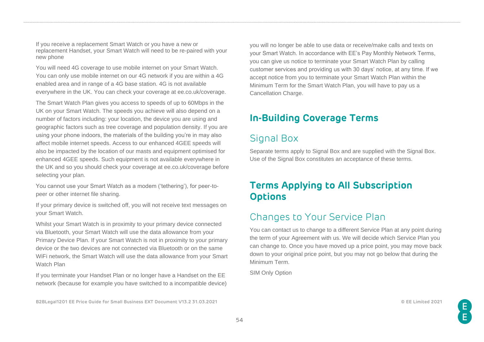If you receive a replacement Smart Watch or you have a new or replacement Handset, your Smart Watch will need to be re-paired with your new phone

You will need 4G coverage to use mobile internet on your Smart Watch. You can only use mobile internet on our 4G network if you are within a 4G enabled area and in range of a 4G base station. 4G is not available everywhere in the UK. You can check your coverage at ee.co.uk/coverage.

The Smart Watch Plan gives you access to speeds of up to 60Mbps in the UK on your Smart Watch. The speeds you achieve will also depend on a number of factors including: your location, the device you are using and geographic factors such as tree coverage and population density. If you are using your phone indoors, the materials of the building you're in may also affect mobile internet speeds. Access to our enhanced 4GEE speeds will also be impacted by the location of our masts and equipment optimised for enhanced 4GEE speeds. Such equipment is not available everywhere in the UK and so you should check your coverage at ee.co.uk/coverage before selecting your plan.

You cannot use your Smart Watch as a modem ('tethering'), for peer-topeer or other internet file sharing.

If your primary device is switched off, you will not receive text messages on your Smart Watch.

Whilst your Smart Watch is in proximity to your primary device connected via Bluetooth, your Smart Watch will use the data allowance from your Primary Device Plan. If your Smart Watch is not in proximity to your primary device or the two devices are not connected via Bluetooth or on the same WiFi network, the Smart Watch will use the data allowance from your Smart Watch Plan

If you terminate your Handset Plan or no longer have a Handset on the EE network (because for example you have switched to a incompatible device)

**B2BLegal1201 EE Price Guide for Small Business EXT Document V13.2 31.03.2021 © EE Limited 2021**

you will no longer be able to use data or receive/make calls and texts on your Smart Watch. In accordance with EE's Pay Monthly Network Terms, you can give us notice to terminate your Smart Watch Plan by calling customer services and providing us with 30 days' notice, at any time. If we accept notice from you to terminate your Smart Watch Plan within the Minimum Term for the Smart Watch Plan, you will have to pay us a Cancellation Charge.

## **In-Building Coverage Terms**

# Signal Box

Separate terms apply to Signal Box and are supplied with the Signal Box. Use of the Signal Box constitutes an acceptance of these terms.

## **Terms Applying to All Subscription Options**

## Changes to Your Service Plan

You can contact us to change to a different Service Plan at any point during the term of your Agreement with us. We will decide which Service Plan you can change to. Once you have moved up a price point, you may move back down to your original price point, but you may not go below that during the Minimum Term.

SIM Only Option

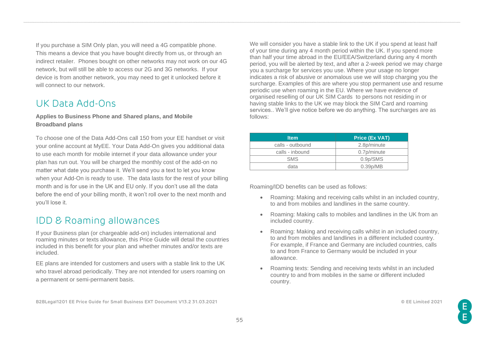If you purchase a SIM Only plan, you will need a 4G compatible phone. This means a device that you have bought directly from us, or through an indirect retailer. Phones bought on other networks may not work on our 4G network, but will still be able to access our 2G and 3G networks. If your device is from another network, you may need to get it unlocked before it will connect to our network.

## UK Data Add-Ons

### **Applies to Business Phone and Shared plans, and Mobile Broadband plans**

To choose one of the Data Add-Ons call 150 from your EE handset or visit your online account at MyEE. Your Data Add-On gives you additional data to use each month for mobile internet if your data allowance under your plan has run out. You will be charged the monthly cost of the add-on no matter what date you purchase it. We'll send you a text to let you know when your Add-On is ready to use. The data lasts for the rest of your billing month and is for use in the UK and EU only. If you don't use all the data before the end of your billing month, it won't roll over to the next month and you'll lose it.

## IDD & Roaming allowances

If your Business plan (or chargeable add-on) includes international and roaming minutes or texts allowance, this Price Guide will detail the countries included in this benefit for your plan and whether minutes and/or texts are included.

EE plans are intended for customers and users with a stable link to the UK who travel abroad periodically. They are not intended for users roaming on a permanent or semi-permanent basis.

We will consider you have a stable link to the UK if you spend at least half of your time during any 4 month period within the UK. If you spend more than half your time abroad in the EU/EEA/Switzerland during any 4 month period, you will be alerted by text, and after a 2-week period we may charge you a surcharge for services you use. Where your usage no longer indicates a risk of abusive or anomalous use we will stop charging you the surcharge. Examples of this are where you stop permanent use and resume periodic use when roaming in the EU. Where we have evidence of organised reselling of our UK SIM Cards to persons not residing in or having stable links to the UK we may block the SIM Card and roaming services.. We'll give notice before we do anything. The surcharges are as follows:

| <b>Item</b>      | <b>Price (Ex VAT)</b>             |
|------------------|-----------------------------------|
| calls - outbound | 2.8p/minute                       |
| calls - inbound  | 0.7p/minute                       |
| <b>SMS</b>       | 0.9 <sub>p</sub> / <sub>SMS</sub> |
| data             | 0.39 <sub>p</sub> /MB             |

Roaming/IDD benefits can be used as follows:

- Roaming: Making and receiving calls whilst in an included country, to and from mobiles and landlines in the same country.
- Roaming: Making calls to mobiles and landlines in the UK from an included country.
- Roaming: Making and receiving calls whilst in an included country, to and from mobiles and landlines in a different included country. For example, if France and Germany are included countries, calls to and from France to Germany would be included in your allowance.
- Roaming texts: Sending and receiving texts whilst in an included country to and from mobiles in the same or different included country.

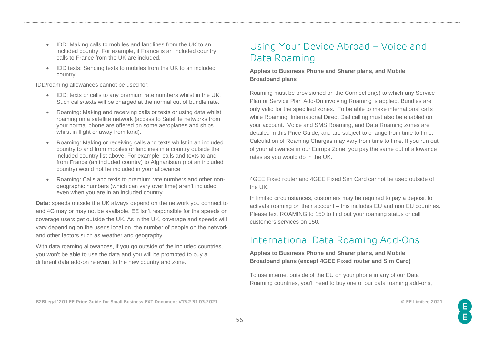- IDD: Making calls to mobiles and landlines from the UK to an included country. For example, if France is an included country calls to France from the UK are included.
- IDD texts: Sending texts to mobiles from the UK to an included country.

IDD/roaming allowances cannot be used for:

- IDD: texts or calls to any premium rate numbers whilst in the UK. Such calls/texts will be charged at the normal out of bundle rate.
- Roaming: Making and receiving calls or texts or using data whilst roaming on a satellite network (access to Satellite networks from your normal phone are offered on some aeroplanes and ships whilst in flight or away from land).
- Roaming: Making or receiving calls and texts whilst in an included country to and from mobiles or landlines in a country outside the included country list above. For example, calls and texts to and from France (an included country) to Afghanistan (not an included country) would not be included in your allowance
- Roaming: Calls and texts to premium rate numbers and other nongeographic numbers (which can vary over time) aren't included even when you are in an included country.

**Data:** speeds outside the UK always depend on the network you connect to and 4G may or may not be available. EE isn't responsible for the speeds or coverage users get outside the UK. As in the UK, coverage and speeds will vary depending on the user's location, the number of people on the network and other factors such as weather and geography.

With data roaming allowances, if you go outside of the included countries, you won't be able to use the data and you will be prompted to buy a different data add-on relevant to the new country and zone.

# Using Your Device Abroad – Voice and Data Roaming

### **Applies to Business Phone and Sharer plans, and Mobile Broadband plans**

Roaming must be provisioned on the Connection(s) to which any Service Plan or Service Plan Add-On involving Roaming is applied. Bundles are only valid for the specified zones. To be able to make international calls while Roaming, International Direct Dial calling must also be enabled on your account. Voice and SMS Roaming, and Data Roaming zones are detailed in this Price Guide, and are subject to change from time to time. Calculation of Roaming Charges may vary from time to time. If you run out of your allowance in our Europe Zone, you pay the same out of allowance rates as you would do in the UK.

4GEE Fixed router and 4GEE Fixed Sim Card cannot be used outside of the UK.

In limited circumstances, customers may be required to pay a deposit to activate roaming on their account – this includes EU and non EU countries. Please text ROAMING to 150 to find out your roaming status or call customers services on 150.

# International Data Roaming Add-Ons

**Applies to Business Phone and Sharer plans, and Mobile Broadband plans (except 4GEE Fixed router and Sim Card)**

To use internet outside of the EU on your phone in any of our Data Roaming countries, you'll need to buy one of our data roaming add-ons,

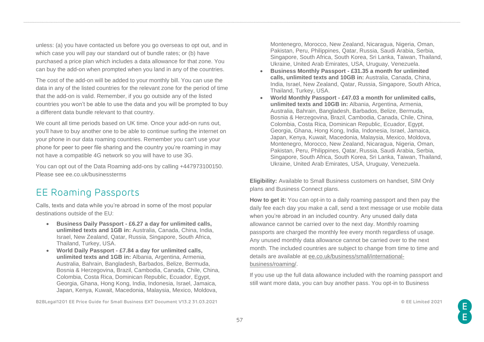unless: (a) you have contacted us before you go overseas to opt out, and in which case you will pay our standard out of bundle rates; or (b) have purchased a price plan which includes a data allowance for that zone. You can buy the add-on when prompted when you land in any of the countries.

The cost of the add-on will be added to your monthly bill. You can use the data in any of the listed countries for the relevant zone for the period of time that the add-on is valid. Remember, if you go outside any of the listed countries you won't be able to use the data and you will be prompted to buy a different data bundle relevant to that country.

We count all time periods based on UK time. Once your add-on runs out, you'll have to buy another one to be able to continue surfing the internet on your phone in our data roaming countries. Remember you can't use your phone for peer to peer file sharing and the country you're roaming in may not have a compatible 4G network so you will have to use 3G.

You can opt out of the Data Roaming add-ons by calling +447973100150. Please see ee.co.uk/businessterms

# EE Roaming Passports

Calls, texts and data while you're abroad in some of the most popular destinations outside of the EU:

- **Business Daily Passport - £6.27 a day for unlimited calls, unlimited texts and 1GB in:** Australia, Canada, China, India, Israel, New Zealand, Qatar, Russia, Singapore, South Africa, Thailand, Turkey, USA.
- **World Daily Passport - £7.84 a day for unlimited calls, unlimited texts and 1GB in:** Albania, Argentina, Armenia, Australia, Bahrain, Bangladesh, Barbados, Belize, Bermuda, Bosnia & Herzegovina, Brazil, Cambodia, Canada, Chile, China, Colombia, Costa Rica, Dominican Republic, Ecuador, Egypt, Georgia, Ghana, Hong Kong, India, Indonesia, Israel, Jamaica, Japan, Kenya, Kuwait, Macedonia, Malaysia, Mexico, Moldova,

**B2BLegal1201 EE Price Guide for Small Business EXT Document V13.2 31.03.2021 © EE Limited 2021**

Montenegro, Morocco, New Zealand, Nicaragua, Nigeria, Oman, Pakistan, Peru, Philippines, Qatar, Russia, Saudi Arabia, Serbia, Singapore, South Africa, South Korea, Sri Lanka, Taiwan, Thailand, Ukraine, United Arab Emirates, USA, Uruguay, Venezuela.

- **Business Monthly Passport - £31.35 a month for unlimited calls, unlimited texts and 10GB in:** Australia, Canada, China, India, Israel, New Zealand, Qatar, Russia, Singapore, South Africa, Thailand, Turkey, USA.
- **World Monthly Passport - £47.03 a month for unlimited calls, unlimited texts and 10GB in:** Albania, Argentina, Armenia, Australia, Bahrain, Bangladesh, Barbados, Belize, Bermuda, Bosnia & Herzegovina, Brazil, Cambodia, Canada, Chile, China, Colombia, Costa Rica, Dominican Republic, Ecuador, Egypt, Georgia, Ghana, Hong Kong, India, Indonesia, Israel, Jamaica, Japan, Kenya, Kuwait, Macedonia, Malaysia, Mexico, Moldova, Montenegro, Morocco, New Zealand, Nicaragua, Nigeria, Oman, Pakistan, Peru, Philippines, Qatar, Russia, Saudi Arabia, Serbia, Singapore, South Africa, South Korea, Sri Lanka, Taiwan, Thailand, Ukraine, United Arab Emirates, USA, Uruguay, Venezuela.

**Eligibility:** Available to Small Business customers on handset, SIM Only plans and Business Connect plans.

**How to get it:** You can opt-in to a daily roaming passport and then pay the daily fee each day you make a call, send a text message or use mobile data when you're abroad in an included country. Any unused daily data allowance cannot be carried over to the next day. Monthly roaming passports are charged the monthly fee every month regardless of usage. Any unused monthly data allowance cannot be carried over to the next month. The included countries are subject to change from time to time and details are available at [ee.co.uk/business/small/international](https://ee.co.uk/business/small/international-business/roaming/)[business/roaming/.](https://ee.co.uk/business/small/international-business/roaming/)

If you use up the full data allowance included with the roaming passport and still want more data, you can buy another pass. You opt-in to Business

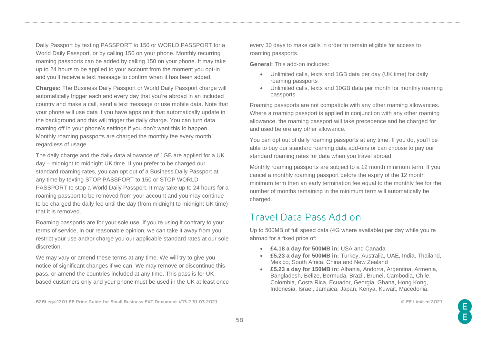Daily Passport by texting PASSPORT to 150 or WORLD PASSPORT for a World Daily Passport, or by calling 150 on your phone. Monthly recurring roaming passports can be added by calling 150 on your phone. It may take up to 24 hours to be applied to your account from the moment you opt-in and you'll receive a text message to confirm when it has been added.

**Charges:** The Business Daily Passport or World Daily Passport charge will automatically trigger each and every day that you're abroad in an included country and make a call, send a text message or use mobile data. Note that your phone will use data if you have apps on it that automatically update in the background and this will trigger the daily charge. You can turn data roaming off in your phone's settings if you don't want this to happen. Monthly roaming passports are charged the monthly fee every month regardless of usage.

The daily charge and the daily data allowance of 1GB are applied for a UK day – midnight to midnight UK time. If you prefer to be charged our standard roaming rates, you can opt out of a Business Daily Passport at any time by texting STOP PASSPORT to 150 or STOP WORLD PASSPORT to stop a World Daily Passport. It may take up to 24 hours for a roaming passport to be removed from your account and you may continue to be charged the daily fee until the day (from midnight to midnight UK time) that it is removed.

Roaming passports are for your sole use. If you're using it contrary to your terms of service, in our reasonable opinion, we can take it away from you, restrict your use and/or charge you our applicable standard rates at our sole discretion.

We may vary or amend these terms at any time. We will try to give you notice of significant changes if we can. We may remove or discontinue this pass, or amend the countries included at any time. This pass is for UK based customers only and your phone must be used in the UK at least once

**B2BLegal1201 EE Price Guide for Small Business EXT Document V13.2 31.03.2021 © EE Limited 2021**

every 30 days to make calls in order to remain eligible for access to roaming passports.

**General:** This add-on includes:

- Unlimited calls, texts and 1GB data per day (UK time) for daily roaming passports
- Unlimited calls, texts and 10GB data per month for monthly roaming passports

Roaming passports are not compatible with any other roaming allowances. Where a roaming passport is applied in conjunction with any other roaming allowance, the roaming passport will take precedence and be charged for and used before any other allowance.

You can opt out of daily roaming passports at any time. If you do, you'll be able to buy our standard roaming data add-ons or can choose to pay our standard roaming rates for data when you travel abroad.

Monthly roaming passports are subject to a 12 month minimum term. If you cancel a monthly roaming passport before the expiry of the 12 month minimum term then an early termination fee equal to the monthly fee for the number of months remaining in the minimum term will automatically be charged.

## Travel Data Pass Add on

Up to 500MB of full speed data (4G where available) per day while you're abroad for a fixed price of:

- **£4.18 a day for 500MB in:** USA and Canada
- **£5.23 a day for 500MB in:** Turkey, Australia, UAE, India, Thailand, Mexico, South Africa, China and New Zealand
- **£5.23 a day for 150MB in:** Albania, Andorra, Argentina, Armenia, Bangladesh, Belize, Bermuda, Brazil, Brunei, Cambodia, Chile, Colombia, Costa Rica, Ecuador, Georgia, Ghana, Hong Kong, Indonesia, Israel, Jamaica, Japan, Kenya, Kuwait, Macedonia,

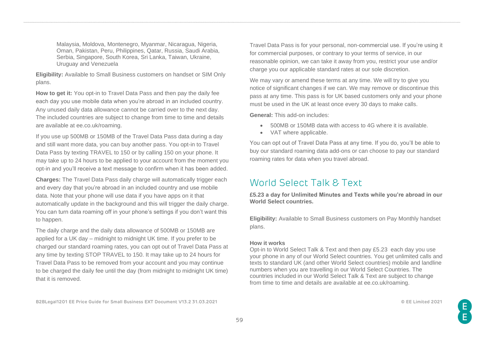Malaysia, Moldova, Montenegro, Myanmar, Nicaragua, Nigeria, Oman, Pakistan, Peru, Philippines, Qatar, Russia, Saudi Arabia, Serbia, Singapore, South Korea, Sri Lanka, Taiwan, Ukraine, Uruguay and Venezuela

**Eligibility:** Available to Small Business customers on handset or SIM Only plans.

**How to get it:** You opt-in to Travel Data Pass and then pay the daily fee each day you use mobile data when you're abroad in an included country. Any unused daily data allowance cannot be carried over to the next day. The included countries are subject to change from time to time and details are available at ee.co.uk/roaming.

If you use up 500MB or 150MB of the Travel Data Pass data during a day and still want more data, you can buy another pass. You opt-in to Travel Data Pass by texting TRAVEL to 150 or by calling 150 on your phone. It may take up to 24 hours to be applied to your account from the moment you opt-in and you'll receive a text message to confirm when it has been added.

**Charges:** The Travel Data Pass daily charge will automatically trigger each and every day that you're abroad in an included country and use mobile data. Note that your phone will use data if you have apps on it that automatically update in the background and this will trigger the daily charge. You can turn data roaming off in your phone's settings if you don't want this to happen.

The daily charge and the daily data allowance of 500MB or 150MB are applied for a UK day – midnight to midnight UK time. If you prefer to be charged our standard roaming rates, you can opt out of Travel Data Pass at any time by texting STOP TRAVEL to 150. It may take up to 24 hours for Travel Data Pass to be removed from your account and you may continue to be charged the daily fee until the day (from midnight to midnight UK time) that it is removed.

Travel Data Pass is for your personal, non-commercial use. If you're using it for commercial purposes, or contrary to your terms of service, in our reasonable opinion, we can take it away from you, restrict your use and/or charge you our applicable standard rates at our sole discretion.

We may vary or amend these terms at any time. We will try to give you notice of significant changes if we can. We may remove or discontinue this pass at any time. This pass is for UK based customers only and your phone must be used in the UK at least once every 30 days to make calls.

**General:** This add-on includes:

- 500MB or 150MB data with access to 4G where it is available.
- VAT where applicable.

You can opt out of Travel Data Pass at any time. If you do, you'll be able to buy our standard roaming data add-ons or can choose to pay our standard roaming rates for data when you travel abroad.

## World Select Talk & Text

**£5.23 a day for Unlimited Minutes and Texts while you're abroad in our World Select countries.** 

**Eligibility:** Available to Small Business customers on Pay Monthly handset plans.

#### **How it works**

Opt-in to World Select Talk & Text and then pay £5.23 each day you use your phone in any of our World Select countries. You get unlimited calls and texts to standard UK (and other World Select countries) mobile and landline numbers when you are travelling in our World Select Countries. The countries included in our World Select Talk & Text are subject to change from time to time and details are available at ee.co.uk/roaming.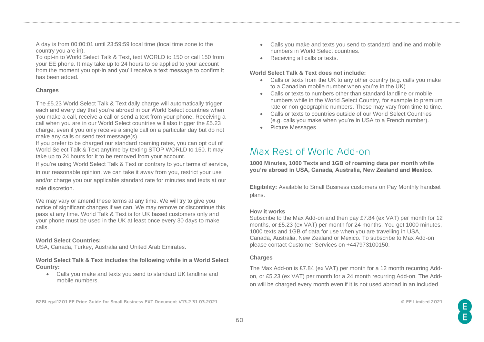A day is from 00:00:01 until 23:59:59 local time (local time zone to the country you are in).

To opt-in to World Select Talk & Text, text WORLD to 150 or call 150 from your EE phone. It may take up to 24 hours to be applied to your account from the moment you opt-in and you'll receive a text message to confirm it has been added.

### **Charges**

The £5.23 World Select Talk & Text daily charge will automatically trigger each and every day that you're abroad in our World Select countries when you make a call, receive a call or send a text from your phone. Receiving a call when you are in our World Select countries will also trigger the £5.23 charge, even if you only receive a single call on a particular day but do not make any calls or send text message(s).

If you prefer to be charged our standard roaming rates, you can opt out of World Select Talk & Text anytime by texting STOP WORLD to 150. It may take up to 24 hours for it to be removed from your account.

If you're using World Select Talk & Text or contrary to your terms of service, in our reasonable opinion, we can take it away from you, restrict your use and/or charge you our applicable standard rate for minutes and texts at our sole discretion.

We may vary or amend these terms at any time. We will try to give you notice of significant changes if we can. We may remove or discontinue this pass at any time. World Talk & Text is for UK based customers only and your phone must be used in the UK at least once every 30 days to make calls.

### **World Select Countries:**

USA, Canada, Turkey, Australia and United Arab Emirates.

**World Select Talk & Text includes the following while in a World Select Country:** 

- Calls you make and texts you send to standard UK landline and mobile numbers.
- **B2BLegal1201 EE Price Guide for Small Business EXT Document V13.2 31.03.2021 © EE Limited 2021**
- Calls you make and texts you send to standard landline and mobile numbers in World Select countries.
- Receiving all calls or texts.

### **World Select Talk & Text does not include:**

- Calls or texts from the UK to any other country (e.g. calls you make to a Canadian mobile number when you're in the UK).
- Calls or texts to numbers other than standard landline or mobile numbers while in the World Select Country, for example to premium rate or non-geographic numbers. These may vary from time to time.
- Calls or texts to countries outside of our World Select Countries (e.g. calls you make when you're in USA to a French number).
- Picture Messages

# Max Rest of World Add-on

**1000 Minutes, 1000 Texts and 1GB of roaming data per month while you're abroad in USA, Canada, Australia, New Zealand and Mexico.** 

**Eligibility:** Available to Small Business customers on Pay Monthly handset plans.

#### **How it works**

Subscribe to the Max Add-on and then pay £7.84 (ex VAT) per month for 12 months, or £5.23 (ex VAT) per month for 24 months. You get 1000 minutes, 1000 texts and 1GB of data for use when you are travelling in USA, Canada, Australia, New Zealand or Mexico. To subscribe to Max Add-on please contact Customer Services on +447973100150.

#### **Charges**

The Max Add-on is £7.84 (ex VAT) per month for a 12 month recurring Addon, or £5.23 (ex VAT) per month for a 24 month recurring Add-on. The Addon will be charged every month even if it is not used abroad in an included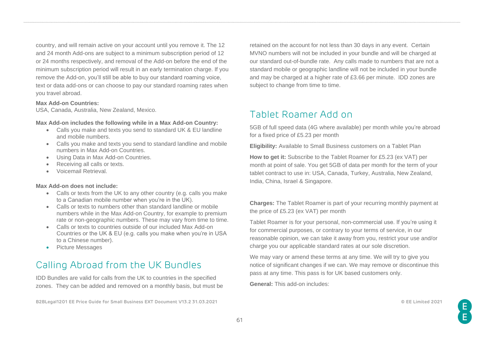country, and will remain active on your account until you remove it. The 12 and 24 month Add-ons are subject to a minimum subscription period of 12 or 24 months respectively, and removal of the Add-on before the end of the minimum subscription period will result in an early termination charge. If you remove the Add-on, you'll still be able to buy our standard roaming voice, text or data add-ons or can choose to pay our standard roaming rates when you travel abroad.

#### **Max Add-on Countries:**

USA, Canada, Australia, New Zealand, Mexico.

#### **Max Add-on includes the following while in a Max Add-on Country:**

- Calls you make and texts you send to standard UK & EU landline and mobile numbers.
- Calls you make and texts you send to standard landline and mobile numbers in Max Add-on Countries.
- Using Data in Max Add-on Countries.
- Receiving all calls or texts.
- Voicemail Retrieval.

#### **Max Add-on does not include:**

- Calls or texts from the UK to any other country (e.g. calls you make to a Canadian mobile number when you're in the UK).
- Calls or texts to numbers other than standard landline or mobile numbers while in the Max Add-on Country, for example to premium rate or non-geographic numbers. These may vary from time to time.
- Calls or texts to countries outside of our included Max Add-on Countries or the UK & EU (e.g. calls you make when you're in USA to a Chinese number).
- Picture Messages

## Calling Abroad from the UK Bundles

IDD Bundles are valid for calls from the UK to countries in the specified zones. They can be added and removed on a monthly basis, but must be

**B2BLegal1201 EE Price Guide for Small Business EXT Document V13.2 31.03.2021 © EE Limited 2021**

retained on the account for not less than 30 days in any event. Certain MVNO numbers will not be included in your bundle and will be charged at our standard out-of-bundle rate. Any calls made to numbers that are not a standard mobile or geographic landline will not be included in your bundle and may be charged at a higher rate of £3.66 per minute. IDD zones are subject to change from time to time.

## Tablet Roamer Add on

5GB of full speed data (4G where available) per month while you're abroad for a fixed price of £5.23 per month

**Eligibility:** Available to Small Business customers on a Tablet Plan

**How to get it:** Subscribe to the Tablet Roamer for £5.23 (ex VAT) per month at point of sale. You get 5GB of data per month for the term of your tablet contract to use in: USA, Canada, Turkey, Australia, New Zealand, India, China, Israel & Singapore.

**Charges:** The Tablet Roamer is part of your recurring monthly payment at the price of £5.23 (ex VAT) per month

Tablet Roamer is for your personal, non-commercial use. If you're using it for commercial purposes, or contrary to your terms of service, in our reasonable opinion, we can take it away from you, restrict your use and/or charge you our applicable standard rates at our sole discretion.

We may vary or amend these terms at any time. We will try to give you notice of significant changes if we can. We may remove or discontinue this pass at any time. This pass is for UK based customers only.

**General:** This add-on includes:

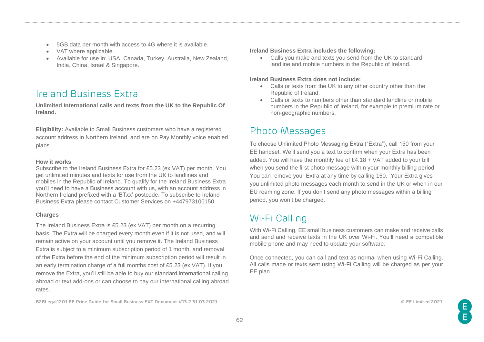- 5GB data per month with access to 4G where it is available.
- VAT where applicable.
- Available for use in: USA, Canada, Turkey, Australia, New Zealand, India, China, Israel & Singapore.

# Ireland Business Extra

**Unlimited International calls and texts from the UK to the Republic Of Ireland.** 

**Eligibility:** Available to Small Business customers who have a registered account address in Northern Ireland, and are on Pay Monthly voice enabled plans.

### **How it works**

Subscribe to the Ireland Business Extra for £5.23 (ex VAT) per month. You get unlimited minutes and texts for use from the UK to landlines and mobiles in the Republic of Ireland. To qualify for the Ireland Business Extra you'll need to have a Business account with us, with an account address in Northern Ireland prefixed with a 'BTxx' postcode. To subscribe to Ireland Business Extra please contact Customer Services on +447973100150.

### **Charges**

The Ireland Business Extra is £5.23 (ex VAT) per month on a recurring basis. The Extra will be charged every month even if it is not used, and will remain active on your account until you remove it. The Ireland Business Extra is subject to a minimum subscription period of 1 month, and removal of the Extra before the end of the minimum subscription period will result in an early termination charge of a full months cost of £5.23 (ex VAT). If you remove the Extra, you'll still be able to buy our standard international calling abroad or text add-ons or can choose to pay our international calling abroad rates.

**B2BLegal1201 EE Price Guide for Small Business EXT Document V13.2 31.03.2021 © EE Limited 2021**

#### **Ireland Business Extra includes the following:**

• Calls you make and texts you send from the UK to standard landline and mobile numbers in the Republic of Ireland.

### **Ireland Business Extra does not include:**

- Calls or texts from the UK to any other country other than the Republic of Ireland.
- Calls or texts to numbers other than standard landline or mobile numbers in the Republic of Ireland, for example to premium rate or non-geographic numbers.

# Photo Messages

To choose Unlimited Photo Messaging Extra ("Extra"), call 150 from your EE handset. We'll send you a text to confirm when your Extra has been added. You will have the monthly fee of £4.18 + VAT added to your bill when you send the first photo message within your monthly billing period. You can remove your Extra at any time by calling 150. Your Extra gives you unlimited photo messages each month to send in the UK or when in our EU roaming zone. If you don't send any photo messages within a billing period, you won't be charged.

# Wi-Fi Calling

With Wi-Fi Calling, EE small business customers can make and receive calls and send and receive texts in the UK over Wi-Fi. You'll need a compatible mobile phone and may need to update your software.

Once connected, you can call and text as normal when using Wi-Fi Calling. All calls made or texts sent using Wi-Fi Calling will be charged as per your EE plan.

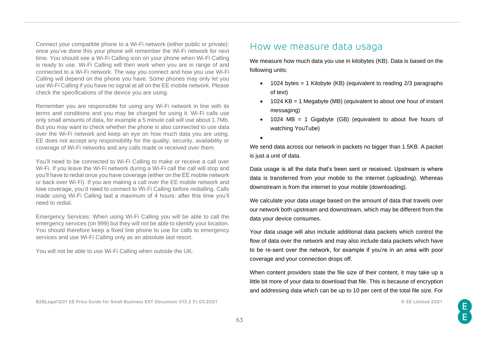Connect your compatible phone to a Wi-Fi network (either public or private): once you've done this your phone will remember the Wi-Fi network for next time. You should see a Wi-Fi Calling icon on your phone when Wi-Fi Calling is ready to use. Wi-Fi Calling will then work when you are in range of and connected to a Wi-Fi network. The way you connect and how you use Wi-Fi Calling will depend on the phone you have. Some phones may only let you use Wi-Fi Calling if you have no signal at all on the EE mobile network. Please check the specifications of the device you are using.

Remember you are responsible for using any Wi-Fi network in line with its terms and conditions and you may be charged for using it. Wi-Fi calls use only small amounts of data, for example a 5 minute call will use about 1.7Mb. But you may want to check whether the phone is also connected to use data over the Wi-Fi network and keep an eye on how much data you are using. EE does not accept any responsibility for the quality, security, availability or coverage of Wi-Fi networks and any calls made or received over them.

You'll need to be connected to Wi-Fi Calling to make or receive a call over Wi-Fi. If you leave the Wi-Fi network during a Wi-Fi call the call will stop and you'll have to redial once you have coverage (either on the EE mobile network or back over Wi-Fi). If you are making a call over the EE mobile network and lose coverage, you'd need to connect to Wi-Fi Calling before redialling. Calls made using Wi-Fi Calling last a maximum of 4 hours: after this time you'll need to redial.

Emergency Services: When using Wi-Fi Calling you will be able to call the emergency services (on 999) but they will not be able to identify your location. You should therefore keep a fixed line phone to use for calls to emergency services and use Wi-Fi Calling only as an absolute last resort.

You will not be able to use Wi-Fi Calling when outside the UK.

## How we measure data usaga

We measure how much data you use in kilobytes (KB). Data is based on the following units:

- $\bullet$  1024 bytes = 1 Kilobyte (KB) (equivalent to reading 2/3 paragraphs of text)
- 1024 KB = 1 Megabyte (MB) (equivalent to about one hour of instant messaging)
- 1024 MB = 1 Gigabyte (GB) (equivalent to about five hours of watching YouTube)
- •

We send data across our network in packets no bigger than 1.5KB. A packet is just a unit of data.

Data usage is all the data that's been sent or received. Upstream is where data is transferred from your mobile to the internet (uploading). Whereas downstream is from the internet to your mobile (downloading).

We calculate your data usage based on the amount of data that travels over our network both upstream and downstream, which may be different from the data your device consumes.

Your data usage will also include additional data packets which control the flow of data over the network and may also include data packets which have to be re-sent over the network, for example if you're in an area with poor coverage and your connection drops off.

When content providers state the file size of their content, it may take up a little bit more of your data to download that file. This is because of encryption and addressing data which can be up to 10 per cent of the total file size. For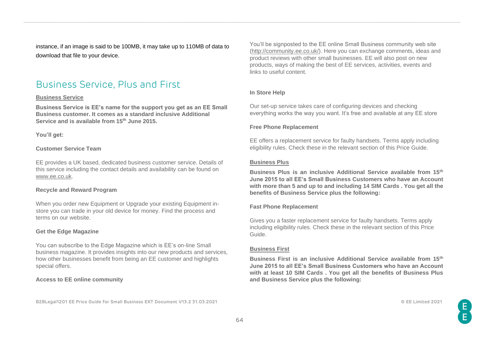instance, if an image is said to be 100MB, it may take up to 110MB of data to download that file to your device.

# Business Service, Plus and First

#### **Business Service**

**Business Service is EE's name for the support you get as an EE Small Business customer. It comes as a standard inclusive Additional Service and is available from 15th June 2015.**

**You'll get:**

#### **Customer Service Team**

EE provides a UK based, dedicated business customer service. Details of this service including the contact details and availability can be found on [www.ee.co.uk.](http://www.ee.co.uk/)

#### **Recycle and Reward Program**

When you order new Equipment or Upgrade your existing Equipment instore you can trade in your old device for money. Find the process and terms on our website.

### **Get the Edge Magazine**

You can subscribe to the Edge Magazine which is EE's on-line Small business magazine. It provides insights into our new products and services, how other businesses benefit from being an EE customer and highlights special offers.

#### **Access to EE online community**

**B2BLegal1201 EE Price Guide for Small Business EXT Document V13.2 31.03.2021 © EE Limited 2021**

You'll be signposted to the EE online Small Business community web site [\(http://community.ee.co.uk/\)](http://community.ee.co.uk/). Here you can exchange comments, ideas and product reviews with other small businesses. EE will also post on new products, ways of making the best of EE services, activities, events and links to useful content.

#### **In Store Help**

Our set-up service takes care of configuring devices and checking everything works the way you want. It's free and available at any EE store

#### **Free Phone Replacement**

EE offers a replacement service for faulty handsets. Terms apply including eligibility rules. Check these in the relevant section of this Price Guide.

#### **Business Plus**

**Business Plus is an inclusive Additional Service available from 15th June 2015 to all EE's Small Business Customers who have an Account with more than 5 and up to and including 14 SIM Cards . You get all the benefits of Business Service plus the following:**

#### **Fast Phone Replacement**

Gives you a faster replacement service for faulty handsets. Terms apply including eligibility rules. Check these in the relevant section of this Price Guide.

#### **Business First**

**Business First is an inclusive Additional Service available from 15th June 2015 to all EE's Small Business Customers who have an Account with at least 10 SIM Cards . You get all the benefits of Business Plus and Business Service plus the following:**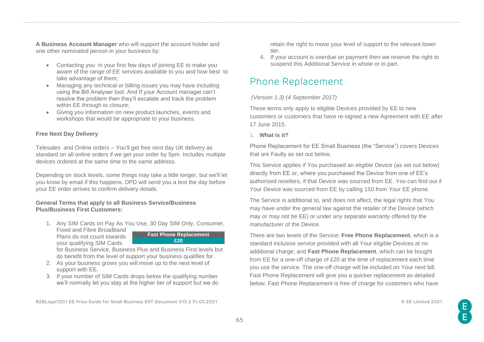**A Business Account Manager** who will support the account holder and one other nominated person in your business by:

- Contacting you in your first few days of joining EE to make you aware of the range of EE services available to you and how best to take advantage of them;
- Managing any technical or billing issues you may have including using the Bill Analyser tool. And If your Account manager can't resolve the problem then they'll escalate and track the problem within EE through to closure;
- Giving you information on new product launches, events and workshops that would be appropriate to your business.

### **Free Next Day Delivery**

Telesales and Online orders – You'll get free next day UK delivery as standard on all online orders if we get your order by 5pm. Includes multiple devices ordered at the same time to the same address.

Depending on stock levels, some things may take a little longer, but we'll let you know by email if this happens. DPD will send you a text the day before your EE order arrives to confirm delivery details.

### **General Terms that apply to all Business Service/Business Plus/Business First Customers:**

- 1. Any SIM Cards on Pay As You Use, 30 Day SIM Only, Consumer,
- Fixed and Fibre Broadband Plans do not count towards your qualifying SIM Cards



for Business Service, Business Plus and Business First levels but do benefit from the level of support your business qualifies for.

- 2. As your business grows you will move up to the next level of support with EE.
- 3. If your number of SIM Cards drops below the qualifying number we'll normally let you stay at the higher tier of support but we do

retain the right to move your level of support to the relevant lower tier.

4. If your account is overdue on payment then we reserve the right to suspend this Additional Service in whole or in part.

# Phone Replacement

### *(Version 1.3) (4 September 2017)*

These terms only apply to eligible Devices provided by EE to new customers or customers that have re-signed a new Agreement with EE after 17 June 2015.

**1. What is it?**

Phone Replacement for EE Small Business (the "Service") covers Devices that are Faulty as set out below.

This Service applies if You purchased an eligible Device (as set out below) directly from EE or, where you purchased the Device from one of EE's authorised resellers, if that Device was sourced from EE. You can find out if Your Device was sourced from EE by calling 150 from Your EE phone.

The Service is additional to, and does not affect, the legal rights that You may have under the general law against the retailer of the Device (which may or may not be EE) or under any separate warranty offered by the manufacturer of the Device.

There are two levels of the Service: **Free Phone Replacement**, which is a standard inclusive service provided with all Your eligible Devices at no additional charge; and **Fast Phone Replacement**, which can be bought from EE for a one-off charge of £20 at the time of replacement each time you use the service. The one-off charge will be included on Your next bill. Fast Phone Replacement will give you a quicker replacement as detailed below. Fast Phone Replacement is free of charge for customers who have

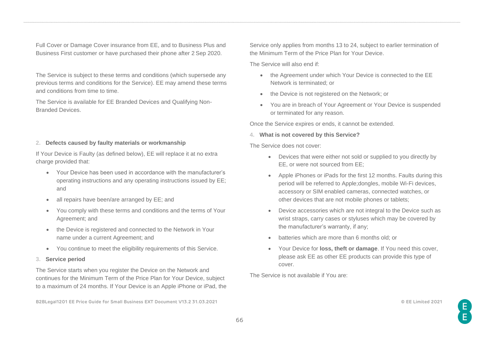Full Cover or Damage Cover insurance from EE, and to Business Plus and Business First customer or have purchased their phone after 2 Sep 2020.

The Service is subject to these terms and conditions (which supersede any previous terms and conditions for the Service). EE may amend these terms and conditions from time to time.

The Service is available for EE Branded Devices and Qualifying Non-Branded Devices.

#### **2. Defects caused by faulty materials or workmanship**

If Your Device is Faulty (as defined below), EE will replace it at no extra charge provided that:

- Your Device has been used in accordance with the manufacturer's operating instructions and any operating instructions issued by EE; and
- all repairs have been/are arranged by EE; and
- You comply with these terms and conditions and the terms of Your Agreement; and
- the Device is registered and connected to the Network in Your name under a current Agreement; and
- You continue to meet the eligibility requirements of this Service.
- **3. Service period**

The Service starts when you register the Device on the Network and continues for the Minimum Term of the Price Plan for Your Device, subject to a maximum of 24 months. If Your Device is an Apple iPhone or iPad, the

**B2BLegal1201 EE Price Guide for Small Business EXT Document V13.2 31.03.2021 © EE Limited 2021**

Service only applies from months 13 to 24, subject to earlier termination of the Minimum Term of the Price Plan for Your Device.

The Service will also end if:

- the Agreement under which Your Device is connected to the EE Network is terminated; or
- the Device is not registered on the Network; or
- You are in breach of Your Agreement or Your Device is suspended or terminated for any reason.

Once the Service expires or ends, it cannot be extended.

**4. What is not covered by this Service?**

The Service does not cover:

- Devices that were either not sold or supplied to you directly by EE, or were not sourced from EE;
- Apple iPhones or iPads for the first 12 months. Faults during this period will be referred to Apple;dongles, mobile Wi-Fi devices, accessory or SIM enabled cameras, connected watches, or other devices that are not mobile phones or tablets;
- Device accessories which are not integral to the Device such as wrist straps, carry cases or styluses which may be covered by the manufacturer's warranty, if any;
- batteries which are more than 6 months old; or
- Your Device for **loss, theft or damage**. If You need this cover, please ask EE as other EE products can provide this type of cover.

The Service is not available if You are: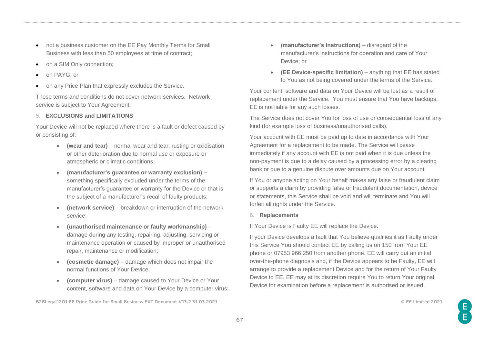- not a business customer on the EE Pay Monthly Terms for Small Business with less than 50 employees at time of contract;
- on a SIM Only connection;
- on PAYG: or
- on any Price Plan that expressly excludes the Service.

These terms and conditions do not cover network services. Network service is subject to Your Agreement.

### **5. EXCLUSIONS and LIMITATIONS**

Your Device will not be replaced where there is a fault or defect caused by or consisting of:

- **(wear and tear)** normal wear and tear, rusting or oxidisation or other deterioration due to normal use or exposure or atmospheric or climatic conditions;
- **(manufacturer's guarantee or warranty exclusion) –** something specifically excluded under the terms of the manufacturer's guarantee or warranty for the Device or that is the subject of a manufacturer's recall of faulty products;
- **(network service)** breakdown or interruption of the network service;
- **(unauthorised maintenance or faulty workmanship)** damage during any testing, repairing, adjusting, servicing or maintenance operation or caused by improper or unauthorised repair, maintenance or modification;
- **(cosmetic damage)**  damage which does not impair the normal functions of Your Device;
- **(computer virus)**  damage caused to Your Device or Your content, software and data on Your Device by a computer virus;

**B2BLegal1201 EE Price Guide for Small Business EXT Document V13.2 31.03.2021 © EE Limited 2021**

- **(manufacturer's instructions)**  disregard of the manufacturer's instructions for operation and care of Your Device; or
- **(EE Device-specific limitation)** anything that EE has stated to You as not being covered under the terms of the Service.

Your content, software and data on Your Device will be lost as a result of replacement under the Service. You must ensure that You have backups. EE is not liable for any such losses.

The Service does not cover You for loss of use or consequential loss of any kind (for example loss of business/unauthorised calls).

Your account with EE must be paid up to date in accordance with Your Agreement for a replacement to be made. The Service will cease immediately if any account with EE is not paid when it is due unless the non-payment is due to a delay caused by a processing error by a clearing bank or due to a genuine dispute over amounts due on Your account.

If You or anyone acting on Your behalf makes any false or fraudulent claim or supports a claim by providing false or fraudulent documentation, device or statements, this Service shall be void and will terminate and You will forfeit all rights under the Service.

### **6. Replacements**

If Your Device is Faulty EE will replace the Device.

If your Device develops a fault that You believe qualifies it as Faulty under this Service You should contact EE by calling us on 150 from Your EE phone or 07953 966 250 from another phone. EE will carry out an initial over-the-phone diagnosis and, if the Device appears to be Faulty, EE will arrange to provide a replacement Device and for the return of Your Faulty Device to EE. EE may at its discretion require You to return Your original Device for examination before a replacement is authorised or issued.

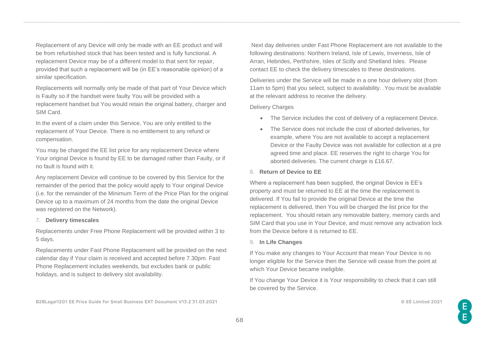Replacement of any Device will only be made with an EE product and will be from refurbished stock that has been tested and is fully functional. A replacement Device may be of a different model to that sent for repair, provided that such a replacement will be (in EE's reasonable opinion) of a similar specification.

Replacements will normally only be made of that part of Your Device which is Faulty so if the handset were faulty You will be provided with a replacement handset but You would retain the original battery, charger and SIM Card.

In the event of a claim under this Service, You are only entitled to the replacement of Your Device. There is no entitlement to any refund or compensation.

You may be charged the EE list price for any replacement Device where Your original Device is found by EE to be damaged rather than Faulty, or if no fault is found with it.

Any replacement Device will continue to be covered by this Service for the remainder of the period that the policy would apply to Your original Device (i.e. for the remainder of the Minimum Term of the Price Plan for the original Device up to a maximum of 24 months from the date the original Device was registered on the Network).

#### **7. Delivery timescales**

Replacements under Free Phone Replacement will be provided within 3 to 5 days.

Replacements under Fast Phone Replacement will be provided on the next calendar day if Your claim is received and accepted before 7.30pm. Fast Phone Replacement includes weekends, but excludes bank or public holidays, and is subject to delivery slot availability.

Next day deliveries under Fast Phone Replacement are not available to the following destinations: Northern Ireland, Isle of Lewis, Inverness, Isle of Arran, Hebrides, Perthshire, Isles of Scilly and Shetland Isles. Please contact EE to check the delivery timescales to these destinations.

Deliveries under the Service will be made in a one hour delivery slot (from 11am to 5pm) that you select, subject to availability. .You must be available at the relevant address to receive the delivery.

#### Delivery Charges

- The Service includes the cost of delivery of a replacement Device.
- The Service does not include the cost of aborted deliveries, for example, where You are not available to accept a replacement Device or the Faulty Device was not available for collection at a pre agreed time and place. EE reserves the right to charge You for aborted deliveries. The current charge is £16.67.

### **8. Return of Device to EE**

Where a replacement has been supplied, the original Device is EE's property and must be returned to EE at the time the replacement is delivered. If You fail to provide the original Device at the time the replacement is delivered, then You will be charged the list price for the replacement. You should retain any removable battery, memory cards and SIM Card that you use in Your Device, and must remove any activation lock from the Device before it is returned to EE.

#### **9. In Life Changes**

If You make any changes to Your Account that mean Your Device is no longer eligible for the Service then the Service will cease from the point at which Your Device became ineligible.

If You change Your Device it is Your responsibility to check that it can still be covered by the Service.

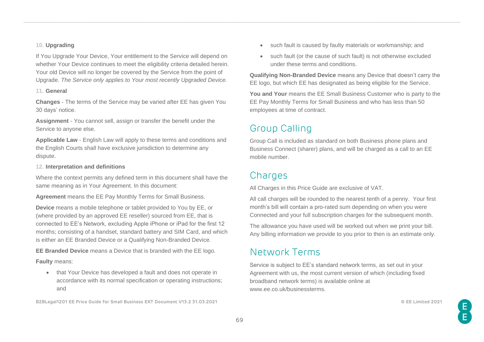### **10. Upgrading**

If You Upgrade Your Device, Your entitlement to the Service will depend on whether Your Device continues to meet the eligibility criteria detailed herein. Your old Device will no longer be covered by the Service from the point of Upgrade. *The Service only applies to Your most recently Upgraded Device.*

#### **11. General**

**Changes** - The terms of the Service may be varied after EE has given You 30 days' notice.

**Assignment** - You cannot sell, assign or transfer the benefit under the Service to anyone else.

**Applicable Law** - English Law will apply to these terms and conditions and the English Courts shall have exclusive jurisdiction to determine any dispute.

### **12. Interpretation and definitions**

Where the context permits any defined term in this document shall have the same meaning as in Your Agreement. In this document:

**Agreement** means the EE Pay Monthly Terms for Small Business.

**Device** means a mobile telephone or tablet provided to You by EE, or (where provided by an approved EE reseller) sourced from EE, that is connected to EE's Network, excluding Apple iPhone or iPad for the first 12 months; consisting of a handset, standard battery and SIM Card, and which is either an EE Branded Device or a Qualifying Non-Branded Device.

**EE Branded Device** means a Device that is branded with the EE logo. **Faulty** means:

• that Your Device has developed a fault and does not operate in accordance with its normal specification or operating instructions; and

**B2BLegal1201 EE Price Guide for Small Business EXT Document V13.2 31.03.2021 © EE Limited 2021**

- such fault is caused by faulty materials or workmanship; and
- such fault (or the cause of such fault) is not otherwise excluded under these terms and conditions.

**Qualifying Non-Branded Device** means any Device that doesn't carry the EE logo, but which EE has designated as being eligible for the Service.

**You and Your** means the EE Small Business Customer who is party to the EE Pay Monthly Terms for Small Business and who has less than 50 employees at time of contract.

# Group Calling

Group Call is included as standard on both Business phone plans and Business Connect (sharer) plans, and will be charged as a call to an EE mobile number.

## **Charges**

All Charges in this Price Guide are exclusive of VAT.

All call charges will be rounded to the nearest tenth of a penny. Your first month's bill will contain a pro-rated sum depending on when you were Connected and your full subscription charges for the subsequent month.

The allowance you have used will be worked out when we print your bill. Any billing information we provide to you prior to then is an estimate only.

# Network Terms

Service is subject to EE's standard network terms, as set out in your Agreement with us, the most current version of which (including fixed broadband network terms) is available online at www.ee.co.uk/businessterms.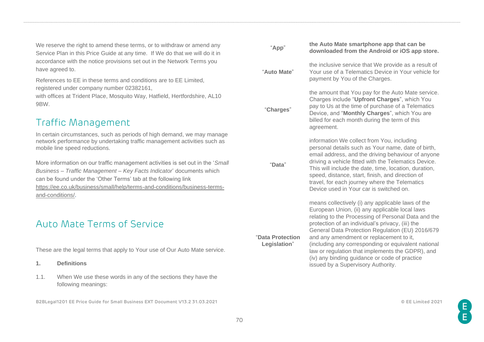We reserve the right to amend these terms, or to withdraw or amend any Service Plan in this Price Guide at any time. If We do that we will do it in accordance with the notice provisions set out in the Network Terms you have agreed to.

References to EE in these terms and conditions are to EE Limited, registered under company number 02382161,

with offices at Trident Place, Mosquito Way, Hatfield, Hertfordshire, AL10 9BW.

## Traffic Management

In certain circumstances, such as periods of high demand, we may manage network performance by undertaking traffic management activities such as mobile line speed reductions.

More information on our traffic management activities is set out in the '*Small Business – Traffic Management – Key Facts Indicator*' documents which can be found under the 'Other Terms' tab at the following link [https://ee.co.uk/business/small/help/terms-and-conditions/business-terms](https://ee.co.uk/business/small/help/terms-and-conditions/business-terms-and-conditions/)[and-conditions/.](https://ee.co.uk/business/small/help/terms-and-conditions/business-terms-and-conditions/)

## Auto Mate Terms of Service

These are the legal terms that apply to Your use of Our Auto Mate service.

#### **1. Definitions**

1.1. When We use these words in any of the sections they have the following meanings:

| "App"                            | the Auto Mate smartphone app that can be<br>downloaded from the Android or iOS app store.                                                                                                                                                                                                                                                                                                                                                                                                                       |
|----------------------------------|-----------------------------------------------------------------------------------------------------------------------------------------------------------------------------------------------------------------------------------------------------------------------------------------------------------------------------------------------------------------------------------------------------------------------------------------------------------------------------------------------------------------|
| "Auto Mate"                      | the inclusive service that We provide as a result of<br>Your use of a Telematics Device in Your vehicle for<br>payment by You of the Charges.                                                                                                                                                                                                                                                                                                                                                                   |
| "Charges"                        | the amount that You pay for the Auto Mate service.<br>Charges include "Upfront Charges", which You<br>pay to Us at the time of purchase of a Telematics<br>Device, and "Monthly Charges", which You are<br>billed for each month during the term of this<br>agreement.                                                                                                                                                                                                                                          |
| "Data"                           | information We collect from You, including<br>personal details such as Your name, date of birth,<br>email address, and the driving behaviour of anyone<br>driving a vehicle fitted with the Telematics Device.<br>This will include the date, time, location, duration,<br>speed, distance, start, finish, and direction of<br>travel, for each journey where the Telematics<br>Device used in Your car is switched on.                                                                                         |
| "Data Protection<br>Legislation" | means collectively (i) any applicable laws of the<br>European Union, (ii) any applicable local laws<br>relating to the Processing of Personal Data and the<br>protection of an individual's privacy, (iii) the<br>General Data Protection Regulation (EU) 2016/679<br>and any amendment or replacement to it,<br>(including any corresponding or equivalent national<br>law or regulation that implements the GDPR), and<br>(iv) any binding guidance or code of practice<br>issued by a Supervisory Authority. |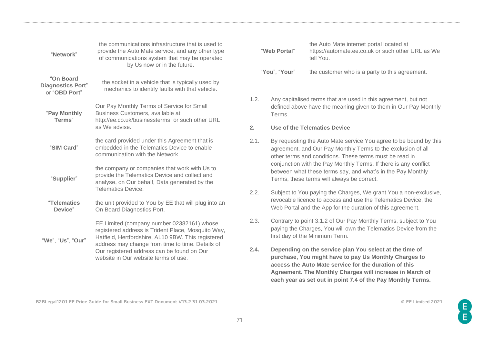| "Network"                                              | the communications infrastructure that is used to<br>provide the Auto Mate service, and any other type<br>of communications system that may be operated<br>by Us now or in the future.                     |      | "Web Port                         |
|--------------------------------------------------------|------------------------------------------------------------------------------------------------------------------------------------------------------------------------------------------------------------|------|-----------------------------------|
| "On Board<br><b>Diagnostics Port"</b><br>or "OBD Port" | the socket in a vehicle that is typically used by<br>mechanics to identify faults with that vehicle.                                                                                                       |      | "You", "Yo                        |
| "Pay Monthly<br>Terms"                                 | Our Pay Monthly Terms of Service for Small<br>Business Customers, available at<br>http://ee.co.uk/businessterms, or such other URL                                                                         | 1.2. | Any ca<br>defined<br><b>Terms</b> |
|                                                        | as We advise.                                                                                                                                                                                              | 2.   | Use of                            |
| "SIM Card"                                             | the card provided under this Agreement that is<br>embedded in the Telematics Device to enable<br>communication with the Network.                                                                           | 2.1. | By req<br>agreer<br>other to      |
| "Supplier"                                             | the company or companies that work with Us to<br>provide the Telematics Device and collect and<br>analyse, on Our behalf, Data generated by the                                                            |      | conjun<br>betwee<br><b>Terms</b>  |
|                                                        | <b>Telematics Device.</b>                                                                                                                                                                                  | 2.2. | Subjec                            |
| "Telematics<br>Device"                                 | the unit provided to You by EE that will plug into an<br>On Board Diagnostics Port.                                                                                                                        |      | revoca<br>Web P                   |
| "We", "Us", "Our"                                      | EE Limited (company number 02382161) whose<br>registered address is Trident Place, Mosquito Way,<br>Hatfield, Hertfordshire, AL10 9BW. This registered<br>address may change from time to time. Details of | 2.3. | Contra<br>paying<br>first da      |
|                                                        | Our registered address can be found on Our<br>website in Our website terms of use.                                                                                                                         |      | Depen<br>purcha<br>acces:         |

| "Web Portal"  | the Auto Mate internet portal located at<br>https://automate.ee.co.uk or such other URL as We<br>tell You. |
|---------------|------------------------------------------------------------------------------------------------------------|
| "You", "Your" | the customer who is a party to this agreement.                                                             |

apitalised terms that are used in this agreement, but not d above have the meaning given to them in Our Pay Monthly Terms.

#### **2. Produce Telematics Device**

- questing the Auto Mate service You agree to be bound by this ment, and Our Pay Monthly Terms to the exclusion of all terms and conditions. These terms must be read in nction with the Pay Monthly Terms. If there is any conflict en what these terms say, and what's in the Pay Monthly s, these terms will always be correct.
- ct to You paying the Charges, We grant You a non-exclusive, able licence to access and use the Telematics Device, the Portal and the App for the duration of this agreement.
- ary to point 3.1.2 of Our Pay Monthly Terms, subject to You the Charges, You will own the Telematics Device from the ay of the Minimum Term.
- **2.4. Depending on the service plan You select at the time of purchase, You might have to pay Us Monthly Charges to access the Auto Mate service for the duration of this Agreement. The Monthly Charges will increase in March of each year as set out in point 7.4 of the Pay Monthly Terms.**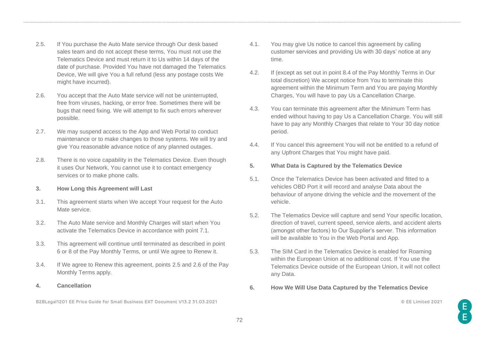- 2.5. If You purchase the Auto Mate service through Our desk based sales team and do not accept these terms, You must not use the Telematics Device and must return it to Us within 14 days of the date of purchase. Provided You have not damaged the Telematics Device, We will give You a full refund (less any postage costs We might have incurred).
- 2.6. You accept that the Auto Mate service will not be uninterrupted, free from viruses, hacking, or error free. Sometimes there will be bugs that need fixing. We will attempt to fix such errors wherever possible.
- 2.7. We may suspend access to the App and Web Portal to conduct maintenance or to make changes to those systems. We will try and give You reasonable advance notice of any planned outages.
- 2.8. There is no voice capability in the Telematics Device. Even though it uses Our Network, You cannot use it to contact emergency services or to make phone calls.
- **3. How Long this Agreement will Last**
- 3.1. This agreement starts when We accept Your request for the Auto Mate service.
- 3.2. The Auto Mate service and Monthly Charges will start when You activate the Telematics Device in accordance with point 7.1.
- 3.3. This agreement will continue until terminated as described in point 6 or 8 of the Pay Monthly Terms, or until We agree to Renew it.
- 3.4. If We agree to Renew this agreement, points 2.5 and 2.6 of the Pay Monthly Terms apply.
- **4. Cancellation**

- 4.1. You may give Us notice to cancel this agreement by calling customer services and providing Us with 30 days' notice at any time.
- 4.2. If (except as set out in point 8.4 of the Pay Monthly Terms in Our total discretion) We accept notice from You to terminate this agreement within the Minimum Term and You are paying Monthly Charges, You will have to pay Us a Cancellation Charge.
- 4.3. You can terminate this agreement after the Minimum Term has ended without having to pay Us a Cancellation Charge. You will still have to pay any Monthly Charges that relate to Your 30 day notice period.
- 4.4. If You cancel this agreement You will not be entitled to a refund of any Upfront Charges that You might have paid.
- **5. What Data is Captured by the Telematics Device**
- 5.1. Once the Telematics Device has been activated and fitted to a vehicles OBD Port it will record and analyse Data about the behaviour of anyone driving the vehicle and the movement of the vehicle.
- 5.2. The Telematics Device will capture and send Your specific location, direction of travel, current speed, service alerts, and accident alerts (amongst other factors) to Our Supplier's server. This information will be available to You in the Web Portal and App.
- 5.3. The SIM Card in the Telematics Device is enabled for Roaming within the European Union at no additional cost. If You use the Telematics Device outside of the European Union, it will not collect any Data.
- **6. How We Will Use Data Captured by the Telematics Device**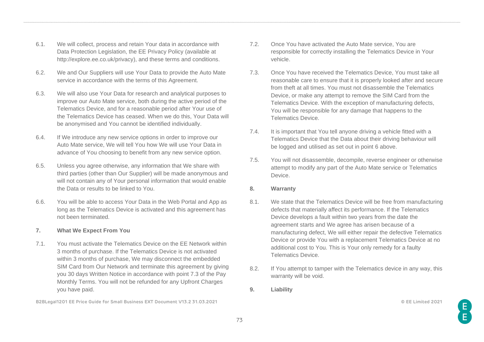- 6.1. We will collect, process and retain Your data in accordance with Data Protection Legislation, the EE Privacy Policy (available at [http://explore.ee.co.uk/privacy\)](http://explore.ee.co.uk/privacy), and these terms and conditions.
- 6.2. We and Our Suppliers will use Your Data to provide the Auto Mate service in accordance with the terms of this Agreement.
- 6.3. We will also use Your Data for research and analytical purposes to improve our Auto Mate service, both during the active period of the Telematics Device, and for a reasonable period after Your use of the Telematics Device has ceased. When we do this, Your Data will be anonymised and You cannot be identified individually.
- 6.4. If We introduce any new service options in order to improve our Auto Mate service, We will tell You how We will use Your Data in advance of You choosing to benefit from any new service option.
- 6.5. Unless you agree otherwise, any information that We share with third parties (other than Our Supplier) will be made anonymous and will not contain any of Your personal information that would enable the Data or results to be linked to You.
- 6.6. You will be able to access Your Data in the Web Portal and App as long as the Telematics Device is activated and this agreement has not been terminated.
- **7. What We Expect From You**
- 7.1. You must activate the Telematics Device on the EE Network within 3 months of purchase. If the Telematics Device is not activated within 3 months of purchase, We may disconnect the embedded SIM Card from Our Network and terminate this agreement by giving you 30 days Written Notice in accordance with point 7.3 of the Pay Monthly Terms. You will not be refunded for any Upfront Charges you have paid.

- 7.2. Once You have activated the Auto Mate service, You are responsible for correctly installing the Telematics Device in Your vehicle.
- 7.3. Once You have received the Telematics Device, You must take all reasonable care to ensure that it is properly looked after and secure from theft at all times. You must not disassemble the Telematics Device, or make any attempt to remove the SIM Card from the Telematics Device. With the exception of manufacturing defects, You will be responsible for any damage that happens to the Telematics Device.
- 7.4. It is important that You tell anyone driving a vehicle fitted with a Telematics Device that the Data about their driving behaviour will be logged and utilised as set out in point [6](#page-71-0) above.
- 7.5. You will not disassemble, decompile, reverse engineer or otherwise attempt to modify any part of the Auto Mate service or Telematics Device.
- **8. Warranty**
- 8.1. We state that the Telematics Device will be free from manufacturing defects that materially affect its performance. If the Telematics Device develops a fault within two years from the date the agreement starts and We agree has arisen because of a manufacturing defect, We will either repair the defective Telematics Device or provide You with a replacement Telematics Device at no additional cost to You. This is Your only remedy for a faulty Telematics Device.
- 8.2. If You attempt to tamper with the Telematics device in any way, this warranty will be void.
- **9. Liability**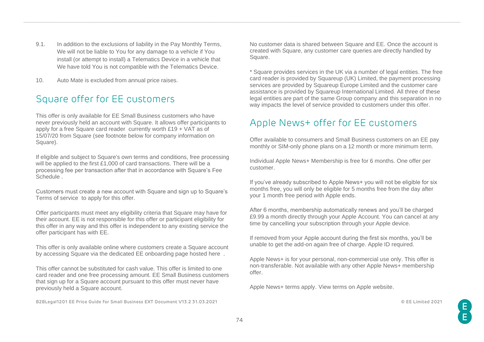- 9.1. In addition to the exclusions of liability in the Pay Monthly Terms, We will not be liable to You for any damage to a vehicle if You install (or attempt to install) a Telematics Device in a vehicle that We have told You is not compatible with the Telematics Device.
- 10. Auto Mate is excluded from annual price raises.

## Square offer for EE customers

This offer is only available for EE Small Business customers who have never previously held an account with Square. It allows offer participants to apply for a free Square card reader currently worth £19 + VAT as of 15/07/20 from Square (see footnote below for company information on Square).

If eligible and subject to Square's own terms and conditions, free processing will be applied to the first £1,000 of card transactions. There will be a processing fee per transaction after that in accordance with Square's [Fee](https://squareup.com/t/f_partnerships/d_partnerpage/p_ee/c_digital/o_partneroffer/u_signup/l_gb?route=/gb/en/legal/general/fees)  [Schedule](https://squareup.com/t/f_partnerships/d_partnerpage/p_ee/c_digital/o_partneroffer/u_signup/l_gb?route=/gb/en/legal/general/fees) .

Customers must create a new account with Square and sign up to Square's Terms of service to apply for this offer.

Offer participants must meet any eligibility criteria that Square may have for their account. EE is not responsible for this offer or participant eligibility for this offer in any way and this offer is independent to any existing service the offer participant has with EE.

This offer is only available online where customers create a Square account by accessing Square via the dedicated EE onboarding page hosted [here](http://squareup.com/go/eedigital) .

This offer cannot be substituted for cash value. This offer is limited to one card reader and one free processing amount. EE Small Business customers that sign up for a Square account pursuant to this offer must never have previously held a Square account.

**B2BLegal1201 EE Price Guide for Small Business EXT Document V13.2 31.03.2021 © EE Limited 2021**

No customer data is shared between Square and EE. Once the account is created with Square, any customer care queries are directly handled by Square.

\* Square provides services in the UK via a number of legal entities. The free card reader is provided by Squareup (UK) Limited, the payment processing services are provided by Squareup Europe Limited and the customer care assistance is provided by Squareup International Limited. All three of these legal entities are part of the same Group company and this separation in no way impacts the level of service provided to customers under this offer.

## Apple News+ offer for EE customers

Offer available to consumers and Small Business customers on an EE pay monthly or SIM-only phone plans on a 12 month or more minimum term.

Individual Apple News+ Membership is free for 6 months. One offer per customer.

If you've already subscribed to Apple News+ you will not be eligible for six months free, you will only be eligible for 5 months free from the day after your 1 month free period with Apple ends.

After 6 months, membership automatically renews and you'll be charged £9.99 a month directly through your Apple Account. You can cancel at any time by cancelling your subscription through your Apple device.

If removed from your Apple account during the first six months, you'll be unable to get the add-on again free of charge. Apple ID required.

Apple News+ is for your personal, non-commercial use only. This offer is non-transferable. Not available with any other Apple News+ membership offer.

Apple News+ terms apply. [View terms on Apple website.](https://apple.com/legal/internet-services/itunes/uk/terms)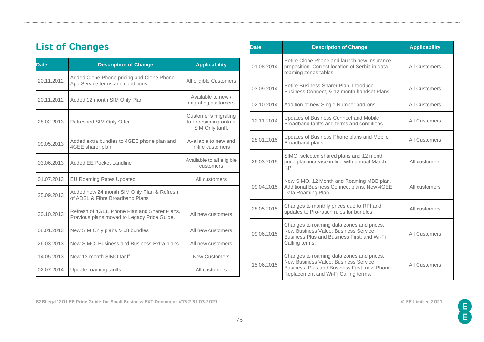## **List of Changes**

| <b>Date</b> | <b>Description of Change</b>                                                                | <b>Applicability</b>                                               |
|-------------|---------------------------------------------------------------------------------------------|--------------------------------------------------------------------|
| 20.11.2012  | Added Clone Phone pricing and Clone Phone<br>App Service terms and conditions.              | All eligible Customers                                             |
| 20.11.2012  | Added 12 month SIM Only Plan                                                                | Available to new /<br>migrating customers                          |
| 28.02.2013  | Refreshed SIM Only Offer                                                                    | Customer's migrating<br>to or resigning onto a<br>SIM Only tariff. |
| 09.05.2013  | Added extra bundles to 4GEE phone plan and<br>4GEE sharer plan                              | Available to new and<br>in-life customers                          |
| 03.06.2013  | Added EE Pocket Landline                                                                    | Available to all eligible<br>customers                             |
| 01.07.2013  | <b>EU Roaming Rates Updated</b>                                                             | All customers                                                      |
| 25.09.2013  | Added new 24 month SIM Only Plan & Refresh<br>of ADSL & Fibre Broadband Plans               |                                                                    |
| 30.10.2013  | Refresh of 4GEE Phone Plan and Sharer Plans.<br>Previous plans moved to Legacy Price Guide. | All new customers                                                  |
| 08.01.2013  | New SIM Only plans & 08 bundles                                                             | All new customers                                                  |
| 26.03.2013  | New SIMO, Business and Business Extra plans.                                                | All new customers                                                  |
| 14.05.2013  | New 12 month SIMO tariff                                                                    | <b>New Customers</b>                                               |
| 02.07.2014  | Update roaming tariffs                                                                      | All customers                                                      |

| <b>Date</b> | <b>Description of Change</b>                                                                                                                                              | <b>Applicability</b> |
|-------------|---------------------------------------------------------------------------------------------------------------------------------------------------------------------------|----------------------|
| 01.08.2014  | Retire Clone Phone and launch new Insurance<br>proposition. Correct location of Serbia in data<br>roaming zones tables.                                                   | All Customers        |
| 03.09.2014  | Retire Business Sharer Plan, Introduce<br>Business Connect, & 12 month handset Plans.                                                                                     | <b>All Customers</b> |
| 02.10.2014  | Addition of new Single Number add-ons                                                                                                                                     | <b>All Customers</b> |
| 12.11.2014  | Updates of Business Connect and Mobile<br>Broadband tariffs and terms and conditions                                                                                      | <b>All Customers</b> |
| 28.01.2015  | Updates of Business Phone plans and Mobile<br>Broadband plans                                                                                                             | <b>All Customers</b> |
| 26.03.2015  | SIMO, selected shared plans and 12 month<br>price plan increase in line with annual March<br><b>RPI</b>                                                                   | All customers        |
| 09.04.2015  | New SIMO, 12 Month and Roaming MBB plan.<br>Additional Business Connect plans. New 4GEE<br>Data Roaming Plan.                                                             | All customers        |
| 28.05.2015  | Changes to monthly prices due to RPI and<br>updates to Pro-ration rules for bundles                                                                                       | All customers        |
| 09.06.2015  | Changes to roaming data zones and prices.<br>New Business Value; Business Service,<br>Business Plus and Business First; and Wi-Fi<br>Calling terms.                       | All Customers        |
| 15.06.2015  | Changes to roaming data zones and prices.<br>New Business Value; Business Service,<br>Business Plus and Business First; new Phone<br>Replacement and Wi-Fi Calling terms. | <b>All Customers</b> |

**B2BLegal1201 EE Price Guide for Small Business EXT Document V13.2 31.03.2021 © EE Limited 2021**

E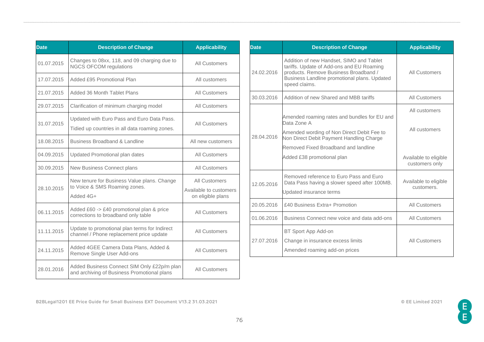| <b>Date</b> | <b>Description of Change</b>                                                                 | <b>Applicability</b>                                         |
|-------------|----------------------------------------------------------------------------------------------|--------------------------------------------------------------|
| 01.07.2015  | Changes to 08xx, 118, and 09 charging due to<br><b>NGCS OFCOM regulations</b>                | All Customers                                                |
| 17.07.2015  | Added £95 Promotional Plan                                                                   | All customers                                                |
| 21.07.2015  | Added 36 Month Tablet Plans                                                                  | All Customers                                                |
| 29.07.2015  | Clarification of minimum charging model                                                      | <b>All Customers</b>                                         |
| 31.07.2015  | Updated with Euro Pass and Euro Data Pass.<br>Tidied up countries in all data roaming zones. | All Customers                                                |
| 18.08.2015  | Business Broadband & Landline                                                                | All new customers                                            |
| 04.09.2015  | Updated Promotional plan dates                                                               | All Customers                                                |
| 30.09.2015  | New Business Connect plans                                                                   | <b>All Customers</b>                                         |
| 28.10.2015  | New tenure for Business Value plans. Change<br>to Voice & SMS Roaming zones.<br>Added 4G+    | All Customers<br>Available to customers<br>on eligible plans |
| 06.11.2015  | Added £60 -> £40 promotional plan & price<br>corrections to broadband only table             | All Customers                                                |
| 11.11.2015  | Update to promotional plan terms for Indirect<br>channel / Phone replacement price update    | All Customers                                                |
| 24.11.2015  | Added 4GEE Camera Data Plans, Added &<br>Remove Single User Add-ons                          | All Customers                                                |
| 28.01.2016  | Added Business Connect SIM Only £22p/m plan<br>and archiving of Business Promotional plans   | <b>All Customers</b>                                         |

| <b>Date</b> | <b>Description of Change</b>                                                                                                                                                                    | <b>Applicability</b>                    |
|-------------|-------------------------------------------------------------------------------------------------------------------------------------------------------------------------------------------------|-----------------------------------------|
| 24.02.2016  | Addition of new Handset, SIMO and Tablet<br>tariffs. Update of Add-ons and EU Roaming<br>products. Remove Business Broadband /<br>Business Landline promotional plans. Updated<br>speed claims. | <b>All Customers</b>                    |
| 30.03.2016  | Addition of new Shared and MBB tariffs                                                                                                                                                          | All Customers                           |
| 28.04.2016  | Amended roaming rates and bundles for EU and<br>Data Zone A<br>Amended wording of Non Direct Debit Fee to<br>Non Direct Debit Payment Handling Charge<br>Removed Fixed Broadband and landline   | All customers<br>All customers          |
|             | Added £38 promotional plan                                                                                                                                                                      | Available to eligible<br>customers only |
| 12.05.2016  | Removed reference to Euro Pass and Euro<br>Data Pass having a slower speed after 100MB.<br>Updated insurance terms                                                                              | Available to eligible<br>customers.     |
| 20.05.2016  | £40 Business Extra+ Promotion                                                                                                                                                                   | <b>All Customers</b>                    |
| 01.06.2016  | Business Connect new voice and data add-ons                                                                                                                                                     | <b>All Customers</b>                    |
| 27.07.2016  | BT Sport App Add-on<br>Change in insurance excess limits<br>Amended roaming add-on prices                                                                                                       | <b>All Customers</b>                    |

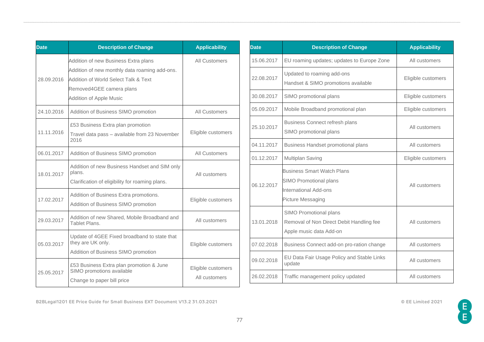| <b>Date</b> | <b>Description of Change</b>                                                                                                                                                                | <b>Applicability</b>                |
|-------------|---------------------------------------------------------------------------------------------------------------------------------------------------------------------------------------------|-------------------------------------|
| 28.09.2016  | Addition of new Business Extra plans<br>Addition of new monthly data roaming add-ons.<br>Addition of World Select Talk & Text<br>Removed4GEE camera plans<br><b>Addition of Apple Music</b> | All Customers                       |
| 24.10.2016  | Addition of Business SIMO promotion                                                                                                                                                         | All Customers                       |
| 11.11.2016  | £53 Business Extra plan promotion<br>Travel data pass - available from 23 November<br>2016                                                                                                  | Eligible customers                  |
| 06.01.2017  | Addition of Business SIMO promotion                                                                                                                                                         | <b>All Customers</b>                |
| 18.01.2017  | Addition of new Business Handset and SIM only<br>plans.<br>Clarification of eligibility for roaming plans.                                                                                  | All customers                       |
| 17.02.2017  | Addition of Business Extra promotions.<br>Addition of Business SIMO promotion                                                                                                               | Eligible customers                  |
| 29.03.2017  | Addition of new Shared, Mobile Broadband and<br>Tablet Plans.                                                                                                                               | All customers                       |
| 05.03.2017  | Update of 4GEE Fixed broadband to state that<br>they are UK only.<br>Addition of Business SIMO promotion                                                                                    | Eligible customers                  |
| 25.05.2017  | £53 Business Extra plan promotion & June<br>SIMO promotions available<br>Change to paper bill price                                                                                         | Eligible customers<br>All customers |

| <b>Date</b> | <b>Description of Change</b>                                                                                     | <b>Applicability</b> |
|-------------|------------------------------------------------------------------------------------------------------------------|----------------------|
| 15.06.2017  | EU roaming updates; updates to Europe Zone                                                                       | All customers        |
| 22.08.2017  | Updated to roaming add-ons<br>Handset & SIMO promotions available                                                | Eligible customers   |
| 30.08.2017  | SIMO promotional plans                                                                                           | Eligible customers   |
| 05.09.2017  | Mobile Broadband promotional plan                                                                                | Eligible customers   |
| 25.10.2017  | <b>Business Connect refresh plans</b><br>SIMO promotional plans                                                  | All customers        |
| 04.11.2017  | <b>Business Handset promotional plans</b>                                                                        | All customers        |
| 01.12.2017  | Multiplan Saving                                                                                                 | Eligible customers   |
| 06.12.2017  | <b>Business Smart Watch Plans</b><br><b>SIMO Promotional plans</b><br>International Add-ons<br>Picture Messaging | All customers        |
| 13.01.2018  | SIMO Promotional plans<br>Removal of Non Direct Debit Handling fee<br>Apple music data Add-on                    | All customers        |
| 07.02.2018  | Business Connect add-on pro-ration change                                                                        | All customers        |
| 09.02.2018  | EU Data Fair Usage Policy and Stable Links<br>update                                                             | All customers        |
| 26.02.2018  | Traffic management policy updated                                                                                | All customers        |

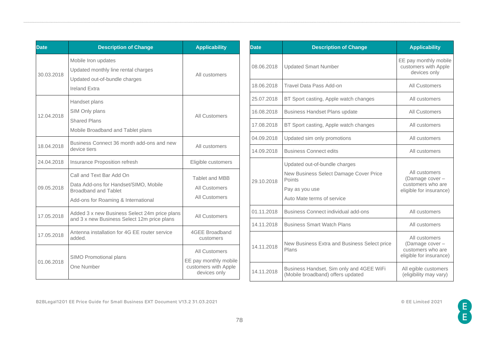| <b>Date</b> | <b>Description of Change</b>                                                                                                            | <b>Applicability</b>                                                           |
|-------------|-----------------------------------------------------------------------------------------------------------------------------------------|--------------------------------------------------------------------------------|
| 30.03.2018  | Mobile Iron updates<br>Updated monthly line rental charges<br>Updated out-of-bundle charges<br><b>Ireland Extra</b>                     | All customers                                                                  |
| 12.04.2018  | Handset plans<br>SIM Only plans<br><b>Shared Plans</b><br>Mobile Broadband and Tablet plans                                             | All Customers                                                                  |
| 18.04.2018  | Business Connect 36 month add-ons and new<br>device tiers                                                                               | All customers                                                                  |
| 24.04.2018  | Insurance Proposition refresh                                                                                                           | Eligible customers                                                             |
| 09.05.2018  | Call and Text Bar Add On<br>Data Add-ons for Handset/SIMO, Mobile<br><b>Broadband and Tablet</b><br>Add-ons for Roaming & International | <b>Tablet and MBB</b><br>All Customers<br><b>All Customers</b>                 |
| 17.05.2018  | Added 3 x new Business Select 24m price plans<br>and 3 x new Business Select 12m price plans                                            | <b>All Customers</b>                                                           |
| 17.05.2018  | Antenna installation for 4G EE router service<br>added.                                                                                 | 4GEE Broadband<br>customers                                                    |
| 01.06.2018  | SIMO Promotional plans<br>One Number                                                                                                    | All Customers<br>EE pay monthly mobile<br>customers with Apple<br>devices only |

| <b>Date</b> | <b>Description of Change</b>                                                                                                      | <b>Applicability</b>                                                             |
|-------------|-----------------------------------------------------------------------------------------------------------------------------------|----------------------------------------------------------------------------------|
| 08.06.2018  | <b>Updated Smart Number</b>                                                                                                       | EE pay monthly mobile<br>customers with Apple<br>devices only                    |
| 18.06.2018  | Travel Data Pass Add-on                                                                                                           | All Customers                                                                    |
| 25.07.2018  | BT Sport casting, Apple watch changes                                                                                             | All customers                                                                    |
| 16.08.2018  | <b>Business Handset Plans update</b>                                                                                              | All Customers                                                                    |
| 17.08.2018  | BT Sport casting, Apple watch changes                                                                                             | All customers                                                                    |
| 04.09.2018  | Updated sim only promotions                                                                                                       | All customers                                                                    |
| 14.09.2018  | <b>Business Connect edits</b>                                                                                                     | All customers                                                                    |
| 29.10.2018  | Updated out-of-bundle charges<br>New Business Select Damage Cover Price<br>Points<br>Pay as you use<br>Auto Mate terms of service | All customers<br>(Damage cover -<br>customers who are<br>eligible for insurance) |
| 01.11.2018  | Business Connect individual add-ons                                                                                               | All customers                                                                    |
| 14.11.2018  | <b>Business Smart Watch Plans</b>                                                                                                 | All customers                                                                    |
| 14.11.2018  | New Business Extra and Business Select price<br>Plans                                                                             | All customers<br>(Damage cover -<br>customers who are<br>eligible for insurance) |
| 14.11.2018  | Business Handset, Sim only and 4GEE WiFi<br>(Mobile broadband) offers updated                                                     | All egible customers<br>(eligibility may vary)                                   |

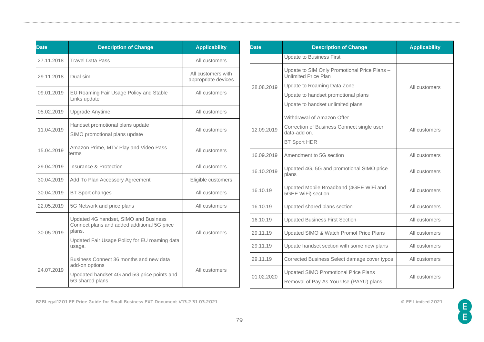| <b>Date</b> | <b>Description of Change</b>                                                                                                                              | <b>Applicability</b>                      |
|-------------|-----------------------------------------------------------------------------------------------------------------------------------------------------------|-------------------------------------------|
| 27.11.2018  | <b>Travel Data Pass</b>                                                                                                                                   | All customers                             |
| 29.11.2018  | Dual sim                                                                                                                                                  | All customers with<br>appropriate devices |
| 09.01.2019  | EU Roaming Fair Usage Policy and Stable<br>Links update                                                                                                   | All customers                             |
| 05.02.2019  | Upgrade Anytime                                                                                                                                           | All customers                             |
| 11.04.2019  | Handset promotional plans update<br>SIMO promotional plans update                                                                                         | All customers                             |
| 15.04.2019  | Amazon Prime, MTV Play and Video Pass<br>terms                                                                                                            | All customers                             |
| 29.04.2019  | Insurance & Protection                                                                                                                                    | All customers                             |
| 30.04.2019  | Add To Plan Accessory Agreement                                                                                                                           | Eligible customers                        |
| 30.04.2019  | <b>BT Sport changes</b>                                                                                                                                   | All customers                             |
| 22.05.2019  | 5G Network and price plans                                                                                                                                | All customers                             |
| 30.05.2019  | Updated 4G handset, SIMO and Business<br>Connect plans and added additional 5G price<br>plans.<br>Updated Fair Usage Policy for EU roaming data<br>usage. | All customers                             |
| 24.07.2019  | Business Connect 36 months and new data<br>add-on options<br>Upodated handset 4G and 5G price points and<br>5G shared plans                               | All customers                             |

| <b>Date</b> | <b>Description of Change</b>                                                          | <b>Applicability</b> |
|-------------|---------------------------------------------------------------------------------------|----------------------|
|             | <b>Update to Business First</b>                                                       |                      |
|             | Update to SIM Only Promotional Price Plans -<br><b>Unlimited Price Plan</b>           |                      |
| 28.08.2019  | Update to Roaming Data Zone                                                           | All customers        |
|             | Update to handset promotional plans                                                   |                      |
|             | Update to handset unlimited plans                                                     |                      |
|             | Withdrawal of Amazon Offer                                                            |                      |
| 12.09.2019  | Correction of Business Connect single user<br>data-add on.                            | All customers        |
|             | <b>BT Sport HDR</b>                                                                   |                      |
| 16.09.2019  | Amendment to 5G section                                                               | All customers        |
| 16.10.2019  | Updated 4G, 5G and promotional SIMO price<br>plans                                    | All customers        |
| 16.10.19    | Updated Mobile Broadband (4GEE WiFi and<br>5GEE WiFi) section                         | All customers        |
| 16.10.19    | Updated shared plans section                                                          | All customers        |
| 16.10.19    | <b>Updated Business First Section</b>                                                 | All customers        |
| 29.11.19    | Updated SIMO & Watch Promol Price Plans                                               | All customers        |
| 29.11.19    | Update handset section with some new plans                                            | All customers        |
| 29.11.19    | Corrected Business Select damage cover typos                                          | All customers        |
| 01.02.2020  | <b>Updated SIMO Promotional Price Plans</b><br>Removal of Pay As You Use (PAYU) plans | All customers        |